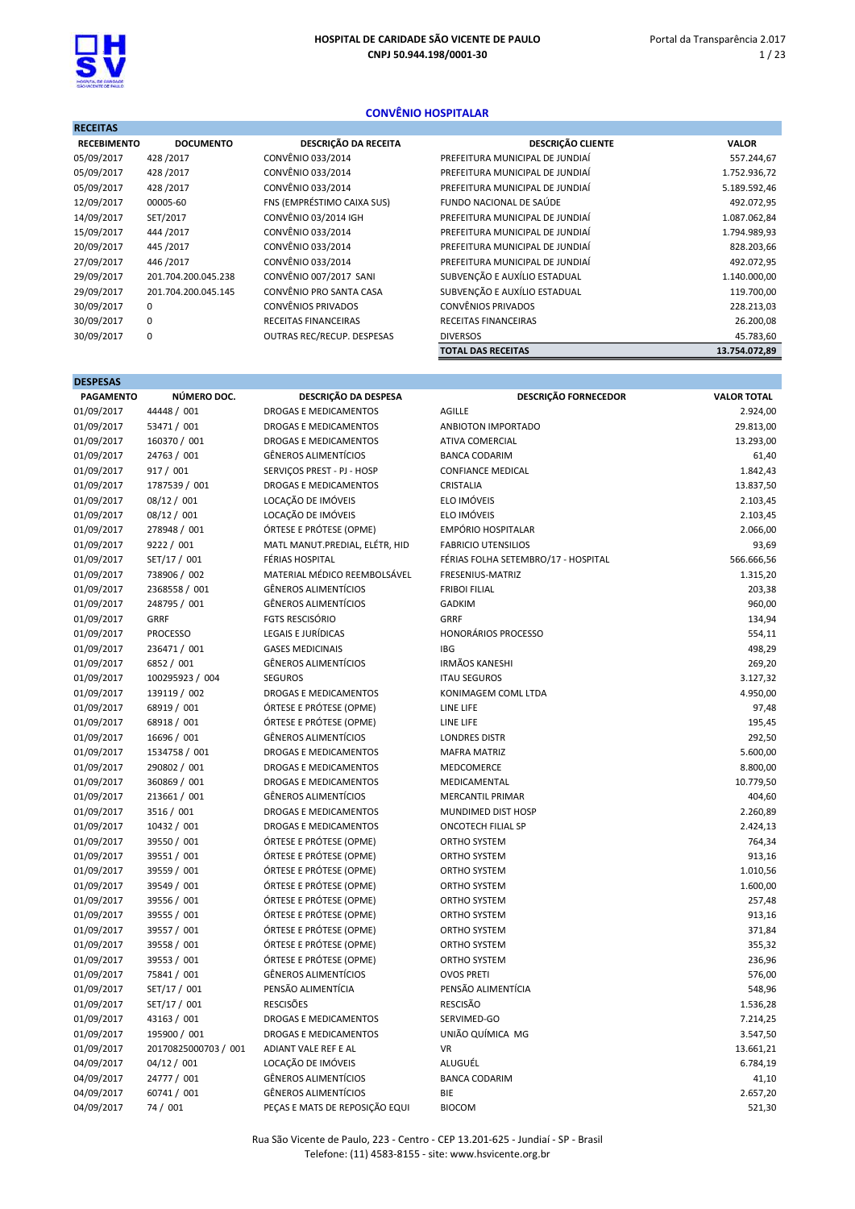

DESPESAS

#### CONVÊNIO HOSPITALAR

| <b>RECEITAS</b>    |                     |                            |                                 |               |
|--------------------|---------------------|----------------------------|---------------------------------|---------------|
| <b>RECEBIMENTO</b> | <b>DOCUMENTO</b>    | DESCRIÇÃO DA RECEITA       | <b>DESCRIÇÃO CLIENTE</b>        | <b>VALOR</b>  |
| 05/09/2017         | 428/2017            | CONVÊNIO 033/2014          | PREFEITURA MUNICIPAL DE JUNDIAÍ | 557.244,67    |
| 05/09/2017         | 428 / 2017          | CONVÊNIO 033/2014          | PREFEITURA MUNICIPAL DE JUNDIAÍ | 1.752.936,72  |
| 05/09/2017         | 428 / 2017          | CONVÊNIO 033/2014          | PREFEITURA MUNICIPAL DE JUNDIAÍ | 5.189.592,46  |
| 12/09/2017         | 00005-60            | FNS (EMPRÉSTIMO CAIXA SUS) | FUNDO NACIONAL DE SAÚDE         | 492.072,95    |
| 14/09/2017         | SET/2017            | CONVÊNIO 03/2014 IGH       | PREFEITURA MUNICIPAL DE JUNDIAÍ | 1.087.062,84  |
| 15/09/2017         | 444 / 2017          | CONVÊNIO 033/2014          | PREFEITURA MUNICIPAL DE JUNDIAÍ | 1.794.989,93  |
| 20/09/2017         | 445 / 2017          | CONVÊNIO 033/2014          | PREFEITURA MUNICIPAL DE JUNDIAÍ | 828.203,66    |
| 27/09/2017         | 446 / 2017          | CONVÊNIO 033/2014          | PREFEITURA MUNICIPAL DE JUNDIAÍ | 492.072,95    |
| 29/09/2017         | 201.704.200.045.238 | CONVÊNIO 007/2017 SANI     | SUBVENÇÃO E AUXÍLIO ESTADUAL    | 1.140.000,00  |
| 29/09/2017         | 201.704.200.045.145 | CONVÊNIO PRO SANTA CASA    | SUBVENÇÃO E AUXÍLIO ESTADUAL    | 119.700,00    |
| 30/09/2017         | 0                   | CONVÊNIOS PRIVADOS         | CONVÊNIOS PRIVADOS              | 228.213,03    |
| 30/09/2017         | $\mathbf 0$         | RECEITAS FINANCEIRAS       | RECEITAS FINANCEIRAS            | 26.200,08     |
| 30/09/2017         | 0                   | OUTRAS REC/RECUP. DESPESAS | <b>DIVERSOS</b>                 | 45.783,60     |
|                    |                     |                            | <b>TOTAL DAS RECEITAS</b>       | 13.754.072,89 |

| PAGAMENTO  | NÚMERO DOC.          | DESCRIÇÃO DA DESPESA           | <b>DESCRIÇÃO FORNECEDOR</b>         | <b>VALOR TOTAL</b> |
|------------|----------------------|--------------------------------|-------------------------------------|--------------------|
| 01/09/2017 | 44448 / 001          | <b>DROGAS E MEDICAMENTOS</b>   | <b>AGILLE</b>                       | 2.924,00           |
| 01/09/2017 | 53471 / 001          | <b>DROGAS E MEDICAMENTOS</b>   | ANBIOTON IMPORTADO                  | 29.813,00          |
| 01/09/2017 | 160370 / 001         | <b>DROGAS E MEDICAMENTOS</b>   | <b>ATIVA COMERCIAL</b>              | 13.293,00          |
| 01/09/2017 | 24763 / 001          | <b>GÊNEROS ALIMENTÍCIOS</b>    | <b>BANCA CODARIM</b>                | 61,40              |
| 01/09/2017 | 917 / 001            | SERVIÇOS PREST - PJ - HOSP     | <b>CONFIANCE MEDICAL</b>            | 1.842,43           |
| 01/09/2017 | 1787539 / 001        | <b>DROGAS E MEDICAMENTOS</b>   | CRISTALIA                           | 13.837,50          |
| 01/09/2017 | 08/12 / 001          | LOCAÇÃO DE IMÓVEIS             | ELO IMÓVEIS                         | 2.103,45           |
| 01/09/2017 | 08/12 / 001          | LOCAÇÃO DE IMÓVEIS             | ELO IMÓVEIS                         | 2.103,45           |
| 01/09/2017 | 278948 / 001         | ÓRTESE E PRÓTESE (OPME)        | <b>EMPÓRIO HOSPITALAR</b>           | 2.066,00           |
| 01/09/2017 | 9222 / 001           | MATL MANUT.PREDIAL, ELÉTR, HID | <b>FABRICIO UTENSILIOS</b>          | 93,69              |
| 01/09/2017 | SET/17 / 001         | FÉRIAS HOSPITAL                | FÉRIAS FOLHA SETEMBRO/17 - HOSPITAL | 566.666,56         |
| 01/09/2017 | 738906 / 002         | MATERIAL MÉDICO REEMBOLSÁVEL   | FRESENIUS-MATRIZ                    | 1.315,20           |
| 01/09/2017 | 2368558 / 001        | <b>GÊNEROS ALIMENTÍCIOS</b>    | <b>FRIBOI FILIAL</b>                | 203,38             |
| 01/09/2017 | 248795 / 001         | <b>GÊNEROS ALIMENTÍCIOS</b>    | <b>GADKIM</b>                       | 960,00             |
| 01/09/2017 | <b>GRRF</b>          | <b>FGTS RESCISÓRIO</b>         | GRRF                                | 134,94             |
| 01/09/2017 | <b>PROCESSO</b>      | LEGAIS E JURÍDICAS             | <b>HONORÁRIOS PROCESSO</b>          | 554,11             |
| 01/09/2017 | 236471 / 001         | <b>GASES MEDICINAIS</b>        | <b>IBG</b>                          | 498,29             |
| 01/09/2017 | 6852 / 001           | <b>GÊNEROS ALIMENTÍCIOS</b>    | <b>IRMÃOS KANESHI</b>               | 269,20             |
| 01/09/2017 | 100295923 / 004      | <b>SEGUROS</b>                 | <b>ITAU SEGUROS</b>                 | 3.127,32           |
| 01/09/2017 | 139119 / 002         | DROGAS E MEDICAMENTOS          | KONIMAGEM COML LTDA                 | 4.950,00           |
| 01/09/2017 | 68919 / 001          | ÓRTESE E PRÓTESE (OPME)        | LINE LIFE                           | 97,48              |
| 01/09/2017 | 68918 / 001          | ÓRTESE E PRÓTESE (OPME)        | LINE LIFE                           | 195,45             |
| 01/09/2017 | 16696 / 001          | <b>GÊNEROS ALIMENTÍCIOS</b>    | <b>LONDRES DISTR</b>                | 292,50             |
| 01/09/2017 | 1534758 / 001        | <b>DROGAS E MEDICAMENTOS</b>   | <b>MAFRA MATRIZ</b>                 | 5.600,00           |
| 01/09/2017 | 290802 / 001         | <b>DROGAS E MEDICAMENTOS</b>   | MEDCOMERCE                          | 8.800,00           |
| 01/09/2017 | 360869 / 001         | DROGAS E MEDICAMENTOS          | MEDICAMENTAL                        | 10.779,50          |
| 01/09/2017 | 213661 / 001         | <b>GÊNEROS ALIMENTÍCIOS</b>    | <b>MERCANTIL PRIMAR</b>             | 404,60             |
| 01/09/2017 | 3516 / 001           | <b>DROGAS E MEDICAMENTOS</b>   | MUNDIMED DIST HOSP                  | 2.260,89           |
| 01/09/2017 | 10432 / 001          | <b>DROGAS E MEDICAMENTOS</b>   | <b>ONCOTECH FILIAL SP</b>           | 2.424,13           |
| 01/09/2017 | 39550 / 001          | ÓRTESE E PRÓTESE (OPME)        | ORTHO SYSTEM                        | 764,34             |
| 01/09/2017 | 39551 / 001          | ÓRTESE E PRÓTESE (OPME)        | ORTHO SYSTEM                        | 913,16             |
| 01/09/2017 | 39559 / 001          | ÓRTESE E PRÓTESE (OPME)        | ORTHO SYSTEM                        | 1.010,56           |
| 01/09/2017 | 39549 / 001          | ÓRTESE E PRÓTESE (OPME)        | <b>ORTHO SYSTEM</b>                 | 1.600,00           |
| 01/09/2017 | 39556 / 001          | ÓRTESE E PRÓTESE (OPME)        | <b>ORTHO SYSTEM</b>                 | 257,48             |
| 01/09/2017 | 39555 / 001          | ÓRTESE E PRÓTESE (OPME)        | ORTHO SYSTEM                        | 913,16             |
| 01/09/2017 | 39557 / 001          | ÓRTESE E PRÓTESE (OPME)        | <b>ORTHO SYSTEM</b>                 | 371,84             |
| 01/09/2017 | 39558 / 001          | ÓRTESE E PRÓTESE (OPME)        | ORTHO SYSTEM                        | 355,32             |
| 01/09/2017 | 39553 / 001          | ÓRTESE E PRÓTESE (OPME)        | ORTHO SYSTEM                        | 236,96             |
| 01/09/2017 | 75841 / 001          | <b>GÊNEROS ALIMENTÍCIOS</b>    | <b>OVOS PRETI</b>                   | 576,00             |
| 01/09/2017 | SET/17 / 001         | PENSÃO ALIMENTÍCIA             | PENSÃO ALIMENTÍCIA                  | 548,96             |
| 01/09/2017 | SET/17 / 001         | <b>RESCISÕES</b>               | <b>RESCISÃO</b>                     | 1.536,28           |
| 01/09/2017 | 43163 / 001          | <b>DROGAS E MEDICAMENTOS</b>   | SERVIMED-GO                         | 7.214,25           |
| 01/09/2017 | 195900 / 001         | <b>DROGAS E MEDICAMENTOS</b>   | UNIÃO QUÍMICA MG                    | 3.547,50           |
| 01/09/2017 | 20170825000703 / 001 | ADIANT VALE REF E AL           | <b>VR</b>                           | 13.661,21          |
| 04/09/2017 | 04/12 / 001          | LOCAÇÃO DE IMÓVEIS             | ALUGUÉL                             | 6.784,19           |
| 04/09/2017 | 24777 / 001          | <b>GÊNEROS ALIMENTÍCIOS</b>    | <b>BANCA CODARIM</b>                | 41,10              |
| 04/09/2017 | 60741 / 001          | <b>GÊNEROS ALIMENTÍCIOS</b>    | BIE                                 | 2.657,20           |
| 04/09/2017 | 74 / 001             | PECAS E MATS DE REPOSIÇÃO EQUI | <b>BIOCOM</b>                       | 521,30             |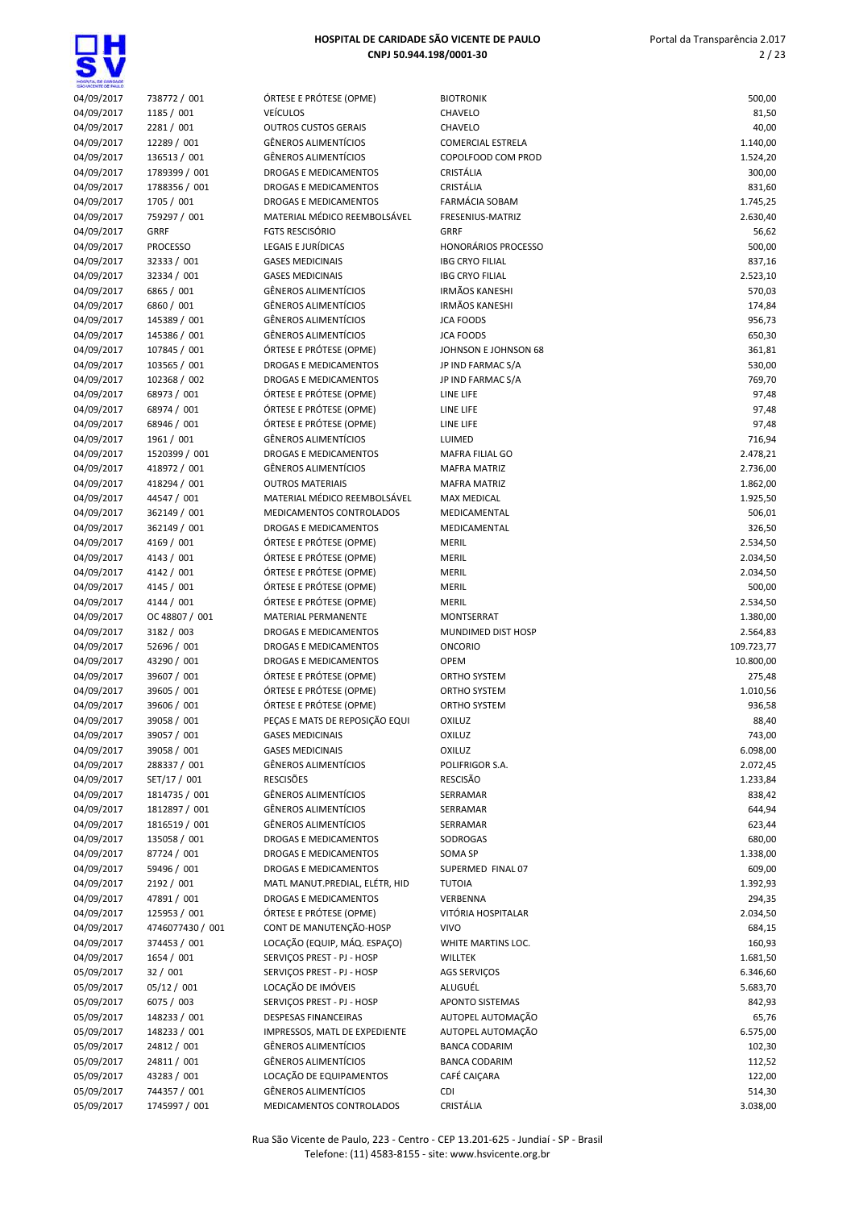**딯벇** 

| KOSPYTA, DE GARDADE<br>SÃO VICENTE DE FAIX O |                            |                                                            |                                                |                  |
|----------------------------------------------|----------------------------|------------------------------------------------------------|------------------------------------------------|------------------|
| 04/09/2017                                   | 738772 / 001               | ÓRTESE E PRÓTESE (OPME)                                    | <b>BIOTRONIK</b>                               | 500,00           |
| 04/09/2017                                   | 1185 / 001                 | <b>VEÍCULOS</b>                                            | CHAVELO                                        | 81,50            |
| 04/09/2017                                   | 2281 / 001                 | <b>OUTROS CUSTOS GERAIS</b>                                | CHAVELO                                        | 40,00            |
| 04/09/2017                                   | 12289 / 001                | <b>GÊNEROS ALIMENTÍCIOS</b>                                | <b>COMERCIAL ESTRELA</b>                       | 1.140,00         |
| 04/09/2017                                   | 136513 / 001               | <b>GÊNEROS ALIMENTÍCIOS</b>                                | COPOLFOOD COM PROD                             | 1.524,20         |
| 04/09/2017                                   | 1789399 / 001              | DROGAS E MEDICAMENTOS                                      | CRISTÁLIA                                      | 300,00           |
| 04/09/2017                                   | 1788356 / 001              | DROGAS E MEDICAMENTOS                                      | CRISTÁLIA                                      | 831,60           |
| 04/09/2017                                   | 1705 / 001                 | DROGAS E MEDICAMENTOS                                      | <b>FARMÁCIA SOBAM</b>                          | 1.745,25         |
| 04/09/2017                                   | 759297 / 001               | MATERIAL MÉDICO REEMBOLSÁVEL                               | FRESENIUS-MATRIZ                               | 2.630,40         |
| 04/09/2017                                   | <b>GRRF</b>                | <b>FGTS RESCISÓRIO</b>                                     | <b>GRRF</b>                                    | 56,62            |
| 04/09/2017                                   | <b>PROCESSO</b>            | LEGAIS E JURÍDICAS                                         | <b>HONORÁRIOS PROCESSO</b>                     | 500,00           |
| 04/09/2017                                   | 32333 / 001                | <b>GASES MEDICINAIS</b>                                    | <b>IBG CRYO FILIAL</b>                         | 837,16           |
| 04/09/2017                                   | 32334 / 001                | <b>GASES MEDICINAIS</b>                                    | <b>IBG CRYO FILIAL</b>                         | 2.523,10         |
| 04/09/2017                                   | 6865 / 001                 | <b>GÊNEROS ALIMENTÍCIOS</b><br><b>GÊNEROS ALIMENTÍCIOS</b> | <b>IRMÃOS KANESHI</b><br><b>IRMÃOS KANESHI</b> | 570,03           |
| 04/09/2017                                   | 6860 / 001<br>145389 / 001 | <b>GÊNEROS ALIMENTÍCIOS</b>                                | <b>JCA FOODS</b>                               | 174,84           |
| 04/09/2017<br>04/09/2017                     | 145386 / 001               | <b>GÊNEROS ALIMENTÍCIOS</b>                                | <b>JCA FOODS</b>                               | 956,73<br>650,30 |
| 04/09/2017                                   | 107845 / 001               | ÓRTESE E PRÓTESE (OPME)                                    | JOHNSON E JOHNSON 68                           | 361,81           |
| 04/09/2017                                   | 103565 / 001               | DROGAS E MEDICAMENTOS                                      | JP IND FARMAC S/A                              | 530,00           |
| 04/09/2017                                   | 102368 / 002               | DROGAS E MEDICAMENTOS                                      | JP IND FARMAC S/A                              | 769,70           |
| 04/09/2017                                   | 68973 / 001                | ÓRTESE E PRÓTESE (OPME)                                    | LINE LIFE                                      | 97,48            |
| 04/09/2017                                   | 68974 / 001                | ÓRTESE E PRÓTESE (OPME)                                    | LINE LIFE                                      | 97,48            |
| 04/09/2017                                   | 68946 / 001                | ÓRTESE E PRÓTESE (OPME)                                    | LINE LIFE                                      | 97,48            |
| 04/09/2017                                   | 1961 / 001                 | <b>GÊNEROS ALIMENTÍCIOS</b>                                | LUIMED                                         | 716,94           |
| 04/09/2017                                   | 1520399 / 001              | DROGAS E MEDICAMENTOS                                      | <b>MAFRA FILIAL GO</b>                         | 2.478,21         |
| 04/09/2017                                   | 418972 / 001               | <b>GÊNEROS ALIMENTÍCIOS</b>                                | <b>MAFRA MATRIZ</b>                            | 2.736,00         |
| 04/09/2017                                   | 418294 / 001               | <b>OUTROS MATERIAIS</b>                                    | <b>MAFRA MATRIZ</b>                            | 1.862,00         |
| 04/09/2017                                   | 44547 / 001                | MATERIAL MÉDICO REEMBOLSÁVEL                               | <b>MAX MEDICAL</b>                             | 1.925,50         |
| 04/09/2017                                   | 362149 / 001               | MEDICAMENTOS CONTROLADOS                                   | MEDICAMENTAL                                   | 506,01           |
| 04/09/2017                                   | 362149 / 001               | DROGAS E MEDICAMENTOS                                      | MEDICAMENTAL                                   | 326,50           |
| 04/09/2017                                   | 4169 / 001                 | ÓRTESE E PRÓTESE (OPME)                                    | <b>MERIL</b>                                   | 2.534,50         |
| 04/09/2017                                   | 4143 / 001                 | ÓRTESE E PRÓTESE (OPME)                                    | <b>MERIL</b>                                   | 2.034,50         |
| 04/09/2017                                   | 4142 / 001                 | ÓRTESE E PRÓTESE (OPME)                                    | <b>MERIL</b>                                   | 2.034,50         |
| 04/09/2017                                   | 4145 / 001                 | ÓRTESE E PRÓTESE (OPME)                                    | <b>MERIL</b>                                   | 500,00           |
| 04/09/2017                                   | 4144 / 001                 | ÓRTESE E PRÓTESE (OPME)                                    | <b>MERIL</b>                                   | 2.534,50         |
| 04/09/2017                                   | OC 48807 / 001             | MATERIAL PERMANENTE                                        | <b>MONTSERRAT</b>                              | 1.380,00         |
| 04/09/2017                                   | 3182 / 003                 | DROGAS E MEDICAMENTOS                                      | MUNDIMED DIST HOSP                             | 2.564,83         |
| 04/09/2017                                   | 52696 / 001                | DROGAS E MEDICAMENTOS                                      | <b>ONCORIO</b>                                 | 109.723,77       |
| 04/09/2017                                   | 43290 / 001                | DROGAS E MEDICAMENTOS                                      | <b>OPEM</b>                                    | 10.800,00        |
| 04/09/2017                                   | 39607 / 001                | ÓRTESE E PRÓTESE (OPME)                                    | ORTHO SYSTEM                                   | 275,48           |
| 04/09/2017                                   | 39605 / 001                | ÓRTESE E PRÓTESE (OPME)                                    | <b>ORTHO SYSTEM</b>                            | 1.010,56         |
| 04/09/2017                                   | 39606 / 001                | ÓRTESE E PRÓTESE (OPME)                                    | ORTHO SYSTEM                                   | 936,58           |
| 04/09/2017                                   | 39058 / 001                | PEÇAS E MATS DE REPOSIÇÃO EQUI                             | <b>OXILUZ</b>                                  | 88,40            |
| 04/09/2017                                   | 39057 / 001                | <b>GASES MEDICINAIS</b>                                    | <b>OXILUZ</b>                                  | 743,00           |
| 04/09/2017                                   | 39058 / 001                | <b>GASES MEDICINAIS</b>                                    | <b>OXILUZ</b>                                  | 6.098,00         |
| 04/09/2017                                   | 288337 / 001               | <b>GÊNEROS ALIMENTÍCIOS</b>                                | POLIFRIGOR S.A.                                | 2.072,45         |
| 04/09/2017                                   | SET/17 / 001               | <b>RESCISÕES</b>                                           | <b>RESCISÃO</b>                                | 1.233,84         |
| 04/09/2017                                   | 1814735 / 001              | <b>GÊNEROS ALIMENTÍCIOS</b>                                | SERRAMAR                                       | 838,42           |
| 04/09/2017                                   | 1812897 / 001              | <b>GÊNEROS ALIMENTÍCIOS</b>                                | SERRAMAR                                       | 644,94           |
| 04/09/2017                                   | 1816519 / 001              | <b>GÊNEROS ALIMENTÍCIOS</b>                                | SERRAMAR                                       | 623,44           |
| 04/09/2017                                   | 135058 / 001               | DROGAS E MEDICAMENTOS                                      | SODROGAS                                       | 680,00           |
| 04/09/2017                                   | 87724 / 001                | DROGAS E MEDICAMENTOS                                      | SOMA SP                                        | 1.338,00         |
| 04/09/2017                                   | 59496 / 001                | DROGAS E MEDICAMENTOS                                      | SUPERMED FINAL 07                              | 609,00           |
| 04/09/2017                                   | 2192 / 001                 | MATL MANUT.PREDIAL, ELÉTR, HID                             | <b>TUTOIA</b>                                  | 1.392,93         |
| 04/09/2017                                   | 47891 / 001                | DROGAS E MEDICAMENTOS                                      | VERBENNA                                       | 294,35           |
| 04/09/2017                                   | 125953 / 001               | ÓRTESE E PRÓTESE (OPME)                                    | VITÓRIA HOSPITALAR                             | 2.034,50         |
| 04/09/2017                                   | 4746077430 / 001           | CONT DE MANUTENÇÃO-HOSP                                    | <b>VIVO</b>                                    | 684,15           |
| 04/09/2017                                   | 374453 / 001               | LOCAÇÃO (EQUIP, MÁQ. ESPAÇO)                               | WHITE MARTINS LOC.                             | 160,93           |
| 04/09/2017                                   | 1654 / 001                 | SERVIÇOS PREST - PJ - HOSP                                 | WILLTEK                                        | 1.681,50         |
| 05/09/2017                                   | 32 / 001                   | SERVIÇOS PREST - PJ - HOSP                                 | AGS SERVIÇOS                                   | 6.346,60         |
| 05/09/2017                                   | 05/12 / 001                | LOCAÇÃO DE IMÓVEIS                                         | ALUGUÉL                                        | 5.683,70         |
| 05/09/2017                                   | 6075 / 003                 | SERVIÇOS PREST - PJ - HOSP                                 | <b>APONTO SISTEMAS</b>                         | 842,93           |
| 05/09/2017                                   | 148233 / 001               | DESPESAS FINANCEIRAS                                       | AUTOPEL AUTOMAÇÃO                              | 65,76            |
| 05/09/2017                                   | 148233 / 001               | IMPRESSOS, MATL DE EXPEDIENTE                              | AUTOPEL AUTOMAÇÃO                              | 6.575,00         |
| 05/09/2017                                   | 24812 / 001                | <b>GÊNEROS ALIMENTÍCIOS</b>                                | <b>BANCA CODARIM</b>                           | 102,30           |
| 05/09/2017                                   | 24811 / 001                | <b>GÊNEROS ALIMENTÍCIOS</b>                                | <b>BANCA CODARIM</b>                           | 112,52           |
| 05/09/2017                                   | 43283 / 001                | LOCAÇÃO DE EQUIPAMENTOS                                    | CAFÉ CAIÇARA                                   | 122,00           |
| 05/09/2017                                   | 744357 / 001               | <b>GÊNEROS ALIMENTÍCIOS</b>                                | <b>CDI</b>                                     | 514,30           |
| 05/09/2017                                   | 1745997 / 001              | MEDICAMENTOS CONTROLADOS                                   | CRISTÁLIA                                      | 3.038,00         |
|                                              |                            |                                                            |                                                |                  |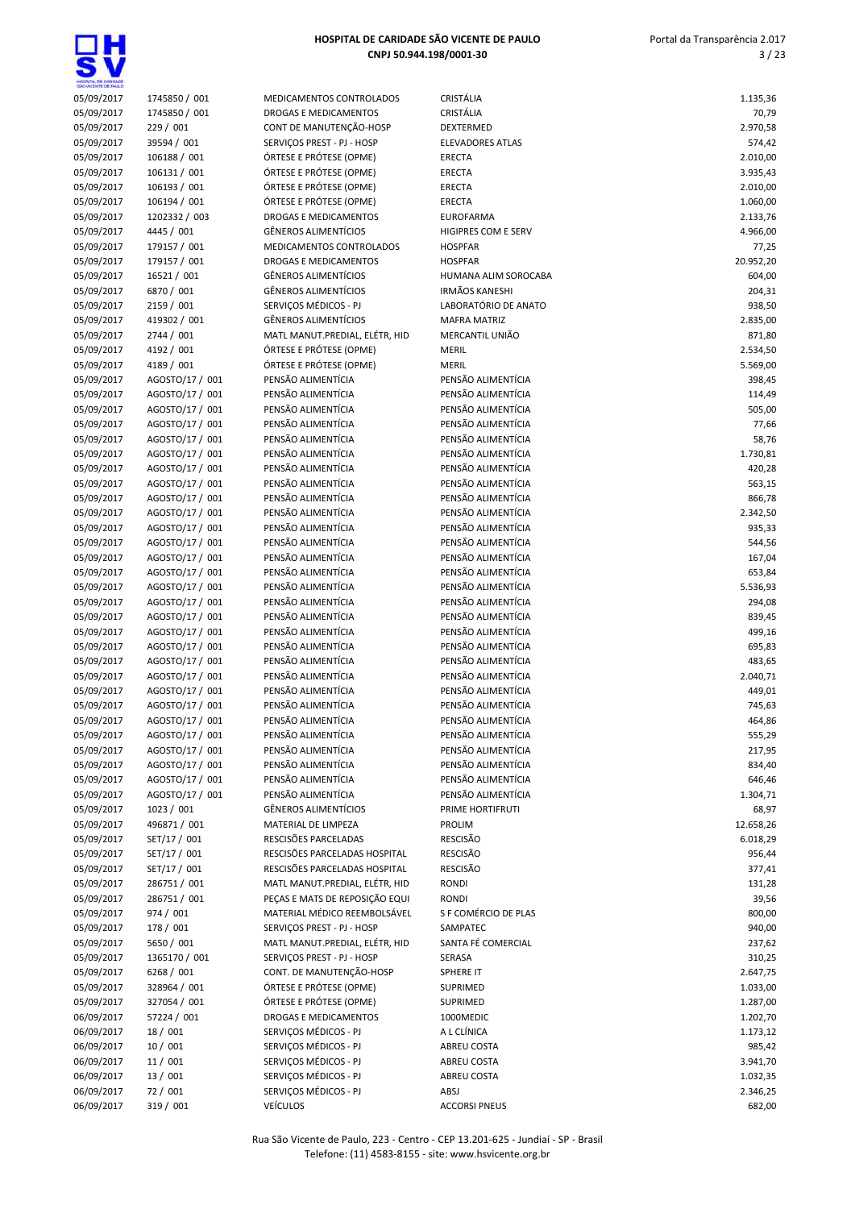**SA** 

| MOSPITAL DE GARDADE<br>SÃO VICENTE DE FAILLO |                                    |                                                              |                                          |                     |
|----------------------------------------------|------------------------------------|--------------------------------------------------------------|------------------------------------------|---------------------|
| 05/09/2017                                   | 1745850 / 001                      | MEDICAMENTOS CONTROLADOS                                     | CRISTÁLIA                                | 1.135,36            |
| 05/09/2017                                   | 1745850 / 001                      | DROGAS E MEDICAMENTOS                                        | CRISTÁLIA                                | 70,79               |
| 05/09/2017<br>05/09/2017                     | 229 / 001<br>39594 / 001           | CONT DE MANUTENÇÃO-HOSP<br>SERVIÇOS PREST - PJ - HOSP        | DEXTERMED<br><b>ELEVADORES ATLAS</b>     | 2.970,58<br>574,42  |
| 05/09/2017                                   | 106188 / 001                       | ÓRTESE E PRÓTESE (OPME)                                      | <b>ERECTA</b>                            | 2.010,00            |
| 05/09/2017                                   | 106131 / 001                       | ÓRTESE E PRÓTESE (OPME)                                      | <b>ERECTA</b>                            | 3.935,43            |
| 05/09/2017                                   | 106193 / 001                       | ÓRTESE E PRÓTESE (OPME)                                      | ERECTA                                   | 2.010,00            |
| 05/09/2017                                   | 106194 / 001                       | ÓRTESE E PRÓTESE (OPME)                                      | <b>ERECTA</b>                            | 1.060,00            |
| 05/09/2017                                   | 1202332 / 003                      | <b>DROGAS E MEDICAMENTOS</b>                                 | <b>EUROFARMA</b>                         | 2.133,76            |
| 05/09/2017                                   | 4445 / 001                         | <b>GÊNEROS ALIMENTÍCIOS</b>                                  | HIGIPRES COM E SERV                      | 4.966,00            |
| 05/09/2017                                   | 179157 / 001                       | MEDICAMENTOS CONTROLADOS<br><b>DROGAS E MEDICAMENTOS</b>     | <b>HOSPFAR</b><br><b>HOSPFAR</b>         | 77,25               |
| 05/09/2017<br>05/09/2017                     | 179157 / 001<br>16521 / 001        | <b>GÊNEROS ALIMENTÍCIOS</b>                                  | HUMANA ALIM SOROCABA                     | 20.952,20<br>604,00 |
| 05/09/2017                                   | 6870 / 001                         | <b>GÊNEROS ALIMENTÍCIOS</b>                                  | <b>IRMÃOS KANESHI</b>                    | 204,31              |
| 05/09/2017                                   | 2159 / 001                         | SERVIÇOS MÉDICOS - PJ                                        | LABORATÓRIO DE ANATO                     | 938,50              |
| 05/09/2017                                   | 419302 / 001                       | <b>GÊNEROS ALIMENTÍCIOS</b>                                  | <b>MAFRA MATRIZ</b>                      | 2.835,00            |
| 05/09/2017                                   | 2744 / 001                         | MATL MANUT.PREDIAL, ELÉTR, HID                               | MERCANTIL UNIÃO                          | 871,80              |
| 05/09/2017                                   | 4192 / 001                         | ÓRTESE E PRÓTESE (OPME)                                      | <b>MERIL</b>                             | 2.534,50            |
| 05/09/2017                                   | 4189 / 001                         | ÓRTESE E PRÓTESE (OPME)                                      | <b>MERIL</b>                             | 5.569,00            |
| 05/09/2017                                   | AGOSTO/17 / 001                    | PENSÃO ALIMENTÍCIA                                           | PENSÃO ALIMENTÍCIA<br>PENSÃO ALIMENTÍCIA | 398,45              |
| 05/09/2017<br>05/09/2017                     | AGOSTO/17 / 001<br>AGOSTO/17 / 001 | PENSÃO ALIMENTÍCIA<br>PENSÃO ALIMENTÍCIA                     | PENSÃO ALIMENTÍCIA                       | 114,49<br>505,00    |
| 05/09/2017                                   | AGOSTO/17 / 001                    | PENSÃO ALIMENTÍCIA                                           | PENSÃO ALIMENTÍCIA                       | 77,66               |
| 05/09/2017                                   | AGOSTO/17 / 001                    | PENSÃO ALIMENTÍCIA                                           | PENSÃO ALIMENTÍCIA                       | 58,76               |
| 05/09/2017                                   | AGOSTO/17 / 001                    | PENSÃO ALIMENTÍCIA                                           | PENSÃO ALIMENTÍCIA                       | 1.730,81            |
| 05/09/2017                                   | AGOSTO/17 / 001                    | PENSÃO ALIMENTÍCIA                                           | PENSÃO ALIMENTÍCIA                       | 420,28              |
| 05/09/2017                                   | AGOSTO/17 / 001                    | PENSÃO ALIMENTÍCIA                                           | PENSÃO ALIMENTÍCIA                       | 563,15              |
| 05/09/2017                                   | AGOSTO/17 / 001                    | PENSÃO ALIMENTÍCIA                                           | PENSÃO ALIMENTÍCIA                       | 866,78              |
| 05/09/2017                                   | AGOSTO/17 / 001                    | PENSÃO ALIMENTÍCIA                                           | PENSÃO ALIMENTÍCIA                       | 2.342,50            |
| 05/09/2017<br>05/09/2017                     | AGOSTO/17 / 001<br>AGOSTO/17 / 001 | PENSÃO ALIMENTÍCIA<br>PENSÃO ALIMENTÍCIA                     | PENSÃO ALIMENTÍCIA<br>PENSÃO ALIMENTÍCIA | 935,33<br>544,56    |
| 05/09/2017                                   | AGOSTO/17 / 001                    | PENSÃO ALIMENTÍCIA                                           | PENSÃO ALIMENTÍCIA                       | 167,04              |
| 05/09/2017                                   | AGOSTO/17 / 001                    | PENSÃO ALIMENTÍCIA                                           | PENSÃO ALIMENTÍCIA                       | 653,84              |
| 05/09/2017                                   | AGOSTO/17 / 001                    | PENSÃO ALIMENTÍCIA                                           | PENSÃO ALIMENTÍCIA                       | 5.536,93            |
| 05/09/2017                                   | AGOSTO/17 / 001                    | PENSÃO ALIMENTÍCIA                                           | PENSÃO ALIMENTÍCIA                       | 294,08              |
| 05/09/2017                                   | AGOSTO/17 / 001                    | PENSÃO ALIMENTÍCIA                                           | PENSÃO ALIMENTÍCIA                       | 839,45              |
| 05/09/2017                                   | AGOSTO/17 / 001                    | PENSÃO ALIMENTÍCIA                                           | PENSÃO ALIMENTÍCIA                       | 499,16              |
| 05/09/2017                                   | AGOSTO/17 / 001                    | PENSÃO ALIMENTÍCIA                                           | PENSÃO ALIMENTÍCIA                       | 695,83              |
| 05/09/2017<br>05/09/2017                     | AGOSTO/17 / 001<br>AGOSTO/17 / 001 | PENSÃO ALIMENTÍCIA<br>PENSÃO ALIMENTÍCIA                     | PENSÃO ALIMENTÍCIA<br>PENSÃO ALIMENTÍCIA | 483,65<br>2.040,71  |
| 05/09/2017                                   | AGOSTO/17 / 001                    | PENSÃO ALIMENTÍCIA                                           | PENSÃO ALIMENTÍCIA                       | 449,01              |
| 05/09/2017                                   | AGOSTO/17 / 001                    | PENSÃO ALIMENTÍCIA                                           | PENSÃO ALIMENTÍCIA                       | 745,63              |
| 05/09/2017                                   | AGOSTO/17 / 001                    | PENSÃO ALIMENTÍCIA                                           | PENSÃO ALIMENTÍCIA                       | 464,86              |
| 05/09/2017                                   | AGOSTO/17 / 001                    | PENSÃO ALIMENTÍCIA                                           | PENSÃO ALIMENTÍCIA                       | 555,29              |
| 05/09/2017                                   | AGOSTO/17 / 001                    | PENSÃO ALIMENTÍCIA                                           | PENSÃO ALIMENTÍCIA                       | 217,95              |
| 05/09/2017                                   | AGOSTO/17 / 001                    | PENSÃO ALIMENTÍCIA                                           | PENSÃO ALIMENTÍCIA                       | 834,40              |
| 05/09/2017                                   | AGOSTO/17 / 001<br>AGOSTO/17 / 001 | PENSÃO ALIMENTÍCIA<br>PENSÃO ALIMENTÍCIA                     | PENSÃO ALIMENTÍCIA                       | 646,46              |
| 05/09/2017<br>05/09/2017                     | 1023 / 001                         | <b>GÊNEROS ALIMENTÍCIOS</b>                                  | PENSÃO ALIMENTÍCIA<br>PRIME HORTIFRUTI   | 1.304,71<br>68,97   |
| 05/09/2017                                   | 496871 / 001                       | MATERIAL DE LIMPEZA                                          | PROLIM                                   | 12.658,26           |
| 05/09/2017                                   | SET/17 / 001                       | RESCISÕES PARCELADAS                                         | RESCISÃO                                 | 6.018,29            |
| 05/09/2017                                   | SET/17 / 001                       | RESCISÕES PARCELADAS HOSPITAL                                | RESCISÃO                                 | 956,44              |
| 05/09/2017                                   | SET/17 / 001                       | RESCISÕES PARCELADAS HOSPITAL                                | RESCISÃO                                 | 377,41              |
| 05/09/2017                                   | 286751 / 001                       | MATL MANUT.PREDIAL, ELÉTR, HID                               | <b>RONDI</b>                             | 131,28              |
| 05/09/2017                                   | 286751 / 001                       | PEÇAS E MATS DE REPOSIÇÃO EQUI                               | <b>RONDI</b>                             | 39,56               |
| 05/09/2017                                   | 974 / 001                          | MATERIAL MÉDICO REEMBOLSÁVEL                                 | S F COMÉRCIO DE PLAS                     | 800,00              |
| 05/09/2017<br>05/09/2017                     | 178 / 001<br>5650 / 001            | SERVIÇOS PREST - PJ - HOSP<br>MATL MANUT.PREDIAL, ELÉTR, HID | SAMPATEC<br>SANTA FÉ COMERCIAL           | 940,00<br>237,62    |
| 05/09/2017                                   | 1365170 / 001                      | SERVIÇOS PREST - PJ - HOSP                                   | SERASA                                   | 310,25              |
| 05/09/2017                                   | 6268 / 001                         | CONT. DE MANUTENÇÃO-HOSP                                     | SPHERE IT                                | 2.647,75            |
| 05/09/2017                                   | 328964 / 001                       | ÓRTESE E PRÓTESE (OPME)                                      | SUPRIMED                                 | 1.033,00            |
| 05/09/2017                                   | 327054 / 001                       | ÓRTESE E PRÓTESE (OPME)                                      | SUPRIMED                                 | 1.287,00            |
| 06/09/2017                                   | 57224 / 001                        | DROGAS E MEDICAMENTOS                                        | 1000MEDIC                                | 1.202,70            |
| 06/09/2017                                   | 18 / 001                           | SERVIÇOS MÉDICOS - PJ                                        | A L CLÍNICA                              | 1.173,12            |
| 06/09/2017<br>06/09/2017                     | 10/001                             | SERVIÇOS MÉDICOS - PJ<br>SERVIÇOS MÉDICOS - PJ               | ABREU COSTA<br>ABREU COSTA               | 985,42<br>3.941,70  |
| 06/09/2017                                   | 11/001<br>13 / 001                 | SERVIÇOS MÉDICOS - PJ                                        | ABREU COSTA                              | 1.032,35            |
| 06/09/2017                                   | 72 / 001                           | SERVIÇOS MÉDICOS - PJ                                        | ABSJ                                     | 2.346,25            |
| 06/09/2017                                   | 319 / 001                          | <b>VEÍCULOS</b>                                              | <b>ACCORSI PNEUS</b>                     | 682,00              |
|                                              |                                    |                                                              |                                          |                     |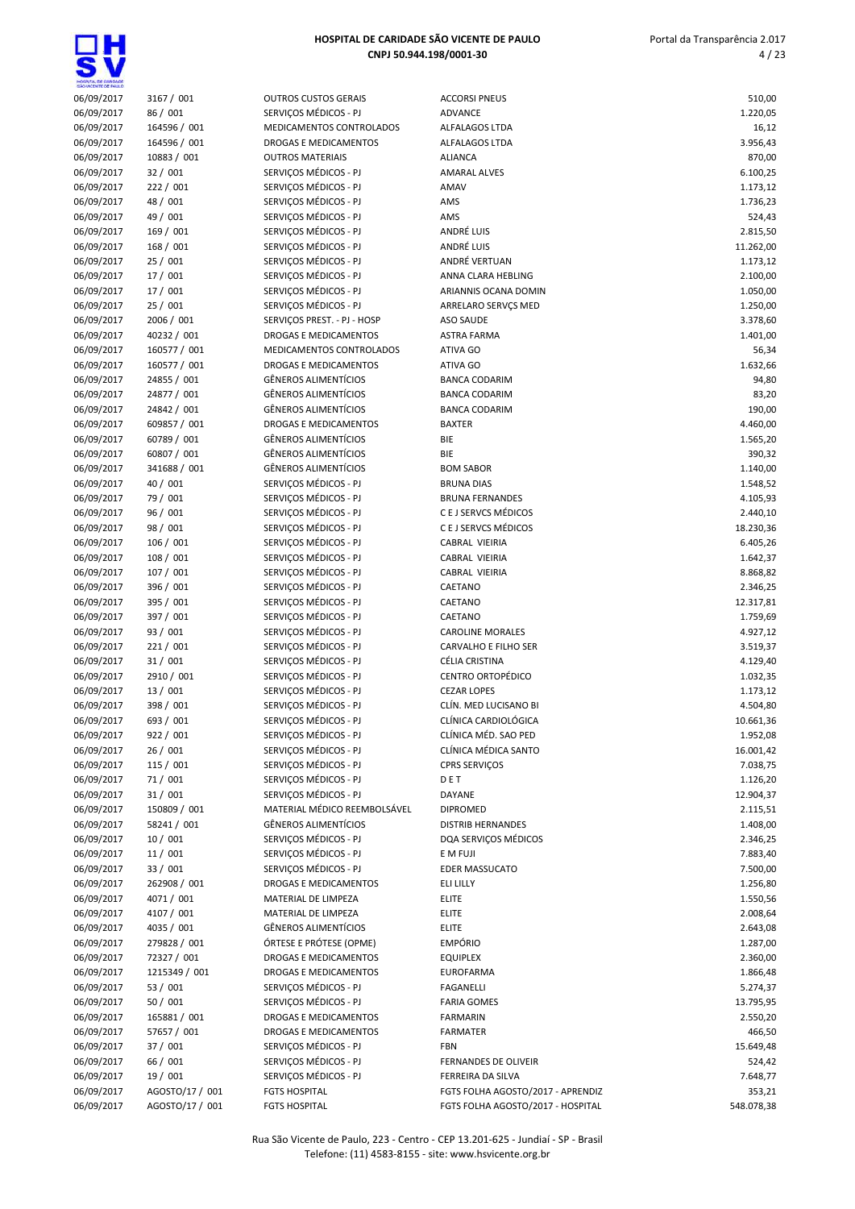| HOGIVTA, DE GANDADE<br>SÃO VICENTE DE FAIX O |                             |                                                          |                                    |                       |
|----------------------------------------------|-----------------------------|----------------------------------------------------------|------------------------------------|-----------------------|
| 06/09/2017                                   | 3167 / 001                  | <b>OUTROS CUSTOS GERAIS</b>                              | <b>ACCORSI PNEUS</b>               | 510,00                |
| 06/09/2017                                   | 86 / 001                    | SERVIÇOS MÉDICOS - PJ                                    | <b>ADVANCE</b>                     | 1.220,05              |
| 06/09/2017                                   | 164596 / 001                | MEDICAMENTOS CONTROLADOS                                 | ALFALAGOS LTDA                     | 16,12                 |
| 06/09/2017                                   | 164596 / 001                | <b>DROGAS E MEDICAMENTOS</b>                             | ALFALAGOS LTDA                     | 3.956,43              |
| 06/09/2017                                   | 10883 / 001                 | <b>OUTROS MATERIAIS</b>                                  | <b>ALIANCA</b>                     | 870,00                |
| 06/09/2017                                   | 32/001<br>222 / 001         | SERVICOS MÉDICOS - PJ<br>SERVIÇOS MÉDICOS - PJ           | <b>AMARAL ALVES</b>                | 6.100,25              |
| 06/09/2017<br>06/09/2017                     | 48 / 001                    | SERVIÇOS MÉDICOS - PJ                                    | AMAV<br>AMS                        | 1.173,12<br>1.736,23  |
| 06/09/2017                                   | 49 / 001                    | SERVICOS MÉDICOS - PJ                                    | AMS                                | 524,43                |
| 06/09/2017                                   | 169 / 001                   | SERVIÇOS MÉDICOS - PJ                                    | ANDRÉ LUIS                         | 2.815,50              |
| 06/09/2017                                   | 168 / 001                   | SERVIÇOS MÉDICOS - PJ                                    | ANDRÉ LUIS                         | 11.262,00             |
| 06/09/2017                                   | 25 / 001                    | SERVIÇOS MÉDICOS - PJ                                    | ANDRÉ VERTUAN                      | 1.173,12              |
| 06/09/2017                                   | 17/001                      | SERVIÇOS MÉDICOS - PJ                                    | ANNA CLARA HEBLING                 | 2.100,00              |
| 06/09/2017                                   | 17 / 001                    | SERVIÇOS MÉDICOS - PJ                                    | ARIANNIS OCANA DOMIN               | 1.050,00              |
| 06/09/2017                                   | 25/001                      | SERVIÇOS MÉDICOS - PJ                                    | ARRELARO SERVÇS MED                | 1.250,00              |
| 06/09/2017                                   | 2006 / 001                  | SERVIÇOS PREST. - PJ - HOSP                              | <b>ASO SAUDE</b>                   | 3.378,60              |
| 06/09/2017                                   | 40232 / 001                 | DROGAS E MEDICAMENTOS                                    | <b>ASTRA FARMA</b>                 | 1.401,00              |
| 06/09/2017                                   | 160577 / 001                | MEDICAMENTOS CONTROLADOS<br><b>DROGAS E MEDICAMENTOS</b> | ATIVA GO<br>ATIVA GO               | 56,34                 |
| 06/09/2017<br>06/09/2017                     | 160577 / 001<br>24855 / 001 | <b>GÊNEROS ALIMENTÍCIOS</b>                              | <b>BANCA CODARIM</b>               | 1.632,66<br>94,80     |
| 06/09/2017                                   | 24877 / 001                 | <b>GÊNEROS ALIMENTÍCIOS</b>                              | <b>BANCA CODARIM</b>               | 83,20                 |
| 06/09/2017                                   | 24842 / 001                 | <b>GÊNEROS ALIMENTÍCIOS</b>                              | <b>BANCA CODARIM</b>               | 190,00                |
| 06/09/2017                                   | 609857 / 001                | <b>DROGAS E MEDICAMENTOS</b>                             | <b>BAXTER</b>                      | 4.460,00              |
| 06/09/2017                                   | 60789 / 001                 | <b>GÊNEROS ALIMENTÍCIOS</b>                              | BIE                                | 1.565,20              |
| 06/09/2017                                   | 60807 / 001                 | <b>GÊNEROS ALIMENTÍCIOS</b>                              | BIE                                | 390,32                |
| 06/09/2017                                   | 341688 / 001                | <b>GÊNEROS ALIMENTÍCIOS</b>                              | <b>BOM SABOR</b>                   | 1.140,00              |
| 06/09/2017                                   | 40 / 001                    | SERVIÇOS MÉDICOS - PJ                                    | <b>BRUNA DIAS</b>                  | 1.548,52              |
| 06/09/2017                                   | 79 / 001                    | SERVIÇOS MÉDICOS - PJ                                    | <b>BRUNA FERNANDES</b>             | 4.105,93              |
| 06/09/2017                                   | 96 / 001                    | SERVIÇOS MÉDICOS - PJ                                    | C E J SERVCS MÉDICOS               | 2.440,10              |
| 06/09/2017                                   | 98 / 001                    | SERVIÇOS MÉDICOS - PJ                                    | C E J SERVCS MÉDICOS               | 18.230,36             |
| 06/09/2017                                   | 106 / 001                   | SERVIÇOS MÉDICOS - PJ                                    | CABRAL VIEIRIA                     | 6.405,26              |
| 06/09/2017                                   | 108 / 001                   | SERVIÇOS MÉDICOS - PJ                                    | CABRAL VIEIRIA                     | 1.642,37              |
| 06/09/2017<br>06/09/2017                     | 107 / 001<br>396 / 001      | SERVIÇOS MÉDICOS - PJ<br>SERVIÇOS MÉDICOS - PJ           | CABRAL VIEIRIA<br>CAETANO          | 8.868,82<br>2.346,25  |
| 06/09/2017                                   | 395 / 001                   | SERVIÇOS MÉDICOS - PJ                                    | CAETANO                            | 12.317,81             |
| 06/09/2017                                   | 397 / 001                   | SERVIÇOS MÉDICOS - PJ                                    | CAETANO                            | 1.759,69              |
| 06/09/2017                                   | 93 / 001                    | SERVIÇOS MÉDICOS - PJ                                    | <b>CAROLINE MORALES</b>            | 4.927,12              |
| 06/09/2017                                   | 221 / 001                   | SERVIÇOS MÉDICOS - PJ                                    | <b>CARVALHO E FILHO SER</b>        | 3.519,37              |
| 06/09/2017                                   | 31/001                      | SERVIÇOS MÉDICOS - PJ                                    | CÉLIA CRISTINA                     | 4.129,40              |
| 06/09/2017                                   | 2910 / 001                  | SERVIÇOS MÉDICOS - PJ                                    | <b>CENTRO ORTOPÉDICO</b>           | 1.032,35              |
| 06/09/2017                                   | 13 / 001                    | SERVIÇOS MÉDICOS - PJ                                    | <b>CEZAR LOPES</b>                 | 1.173,12              |
| 06/09/2017                                   | 398 / 001                   | SERVIÇOS MÉDICOS - PJ                                    | CLÍN. MED LUCISANO BI              | 4.504,80              |
| 06/09/2017                                   | 693 / 001                   | SERVIÇOS MÉDICOS - PJ                                    | CLÍNICA CARDIOLÓGICA               | 10.661,36             |
| 06/09/2017                                   | 922 / 001                   | SERVIÇOS MÉDICOS - PJ                                    | CLÍNICA MÉD. SAO PED               | 1.952,08              |
| 06/09/2017                                   | 26/001                      | SERVIÇOS MÉDICOS - PJ                                    | CLÍNICA MÉDICA SANTO               | 16.001,42             |
| 06/09/2017                                   | 115 / 001                   | SERVIÇOS MÉDICOS - PJ                                    | <b>CPRS SERVIÇOS</b>               | 7.038,75              |
| 06/09/2017<br>06/09/2017                     | 71/001<br>31/001            | SERVICOS MÉDICOS - PJ<br>SERVICOS MÉDICOS - PJ           | DET<br>DAYANE                      | 1.126,20<br>12.904,37 |
| 06/09/2017                                   | 150809 / 001                | MATERIAL MÉDICO REEMBOLSÁVEL                             | <b>DIPROMED</b>                    | 2.115,51              |
| 06/09/2017                                   | 58241 / 001                 | <b>GÊNEROS ALIMENTÍCIOS</b>                              | <b>DISTRIB HERNANDES</b>           | 1.408,00              |
| 06/09/2017                                   | 10/001                      | SERVIÇOS MÉDICOS - PJ                                    | DQA SERVIÇOS MÉDICOS               | 2.346,25              |
| 06/09/2017                                   | 11/001                      | SERVIÇOS MÉDICOS - PJ                                    | E M FUJI                           | 7.883,40              |
| 06/09/2017                                   | 33 / 001                    | SERVIÇOS MÉDICOS - PJ                                    | <b>EDER MASSUCATO</b>              | 7.500,00              |
| 06/09/2017                                   | 262908 / 001                | DROGAS E MEDICAMENTOS                                    | ELI LILLY                          | 1.256,80              |
| 06/09/2017                                   | 4071 / 001                  | MATERIAL DE LIMPEZA                                      | <b>ELITE</b>                       | 1.550,56              |
| 06/09/2017                                   | 4107 / 001                  | MATERIAL DE LIMPEZA                                      | <b>ELITE</b>                       | 2.008,64              |
| 06/09/2017                                   | 4035 / 001                  | GÊNEROS ALIMENTÍCIOS                                     | <b>ELITE</b>                       | 2.643,08              |
| 06/09/2017                                   | 279828 / 001                | ÓRTESE E PRÓTESE (OPME)                                  | <b>EMPÓRIO</b>                     | 1.287,00              |
| 06/09/2017                                   | 72327 / 001                 | DROGAS E MEDICAMENTOS                                    | <b>EQUIPLEX</b>                    | 2.360,00              |
| 06/09/2017                                   | 1215349 / 001               | DROGAS E MEDICAMENTOS                                    | <b>EUROFARMA</b>                   | 1.866,48              |
| 06/09/2017                                   | 53 / 001                    | SERVIÇOS MÉDICOS - PJ                                    | <b>FAGANELLI</b>                   | 5.274,37              |
| 06/09/2017                                   | 50 / 001                    | SERVIÇOS MÉDICOS - PJ                                    | <b>FARIA GOMES</b>                 | 13.795,95             |
| 06/09/2017<br>06/09/2017                     | 165881 / 001<br>57657 / 001 | DROGAS E MEDICAMENTOS<br>DROGAS E MEDICAMENTOS           | <b>FARMARIN</b><br><b>FARMATER</b> | 2.550,20<br>466,50    |
| 06/09/2017                                   | 37 / 001                    | SERVIÇOS MÉDICOS - PJ                                    | <b>FBN</b>                         | 15.649,48             |
| 06/09/2017                                   | 66 / 001                    | SERVIÇOS MÉDICOS - PJ                                    | FERNANDES DE OLIVEIR               | 524,42                |
| 06/09/2017                                   | 19 / 001                    | SERVIÇOS MÉDICOS - PJ                                    | FERREIRA DA SILVA                  | 7.648,77              |
| 06/09/2017                                   | AGOSTO/17 / 001             | <b>FGTS HOSPITAL</b>                                     | FGTS FOLHA AGOSTO/2017 - APRENDIZ  | 353,21                |
| 06/09/2017                                   | AGOSTO/17 / 001             | <b>EGTS HOSPITAL</b>                                     | EGTS EOLHA AGOSTO/2017 - HOSPITAL  | 548 078 38            |

ĮĦ

| HOSPITAL DE CAROADE<br>SÃO VICENTE DE FAIX O |                             |                                                          |                                              |                       |
|----------------------------------------------|-----------------------------|----------------------------------------------------------|----------------------------------------------|-----------------------|
| 06/09/2017                                   | 3167 / 001                  | <b>OUTROS CUSTOS GERAIS</b>                              | <b>ACCORSI PNEUS</b>                         | 510,00                |
| 06/09/2017                                   | 86 / 001                    | SERVIÇOS MÉDICOS - PJ                                    | <b>ADVANCE</b>                               | 1.220,05              |
| 06/09/2017                                   | 164596 / 001                | MEDICAMENTOS CONTROLADOS                                 | ALFALAGOS LTDA                               | 16,12                 |
| 06/09/2017<br>06/09/2017                     | 164596 / 001<br>10883 / 001 | DROGAS E MEDICAMENTOS<br><b>OUTROS MATERIAIS</b>         | ALFALAGOS LTDA<br><b>ALIANCA</b>             | 3.956,43<br>870,00    |
| 06/09/2017                                   | 32/001                      | SERVIÇOS MÉDICOS - PJ                                    | <b>AMARAL ALVES</b>                          | 6.100,25              |
| 06/09/2017                                   | 222 / 001                   | SERVIÇOS MÉDICOS - PJ                                    | AMAV                                         | 1.173,12              |
| 06/09/2017                                   | 48 / 001                    | SERVIÇOS MÉDICOS - PJ                                    | AMS                                          | 1.736,23              |
| 06/09/2017                                   | 49 / 001                    | SERVIÇOS MÉDICOS - PJ                                    | AMS                                          | 524,43                |
| 06/09/2017                                   | 169 / 001                   | SERVICOS MÉDICOS - PJ                                    | ANDRÉ LUIS                                   | 2.815,50              |
| 06/09/2017                                   | 168 / 001                   | SERVIÇOS MÉDICOS - PJ                                    | ANDRÉ LUIS                                   | 11.262,00             |
| 06/09/2017                                   | 25 / 001                    | SERVIÇOS MÉDICOS - PJ                                    | ANDRÉ VERTUAN                                | 1.173,12              |
| 06/09/2017                                   | 17 / 001                    | SERVIÇOS MÉDICOS - PJ                                    | ANNA CLARA HEBLING                           | 2.100,00              |
| 06/09/2017                                   | 17 / 001                    | SERVIÇOS MÉDICOS - PJ                                    | ARIANNIS OCANA DOMIN                         | 1.050,00              |
| 06/09/2017                                   | 25 / 001                    | SERVIÇOS MÉDICOS - PJ                                    | ARRELARO SERVÇS MED                          | 1.250,00              |
| 06/09/2017                                   | 2006 / 001                  | SERVIÇOS PREST. - PJ - HOSP                              | <b>ASO SAUDE</b>                             | 3.378,60              |
| 06/09/2017<br>06/09/2017                     | 40232 / 001<br>160577 / 001 | DROGAS E MEDICAMENTOS                                    | <b>ASTRA FARMA</b>                           | 1.401,00              |
| 06/09/2017                                   | 160577 / 001                | MEDICAMENTOS CONTROLADOS<br><b>DROGAS E MEDICAMENTOS</b> | ATIVA GO<br>ATIVA GO                         | 56,34<br>1.632,66     |
| 06/09/2017                                   | 24855 / 001                 | <b>GÊNEROS ALIMENTÍCIOS</b>                              | <b>BANCA CODARIM</b>                         | 94,80                 |
| 06/09/2017                                   | 24877 / 001                 | <b>GÊNEROS ALIMENTÍCIOS</b>                              | <b>BANCA CODARIM</b>                         | 83,20                 |
| 06/09/2017                                   | 24842 / 001                 | <b>GÊNEROS ALIMENTÍCIOS</b>                              | <b>BANCA CODARIM</b>                         | 190,00                |
| 06/09/2017                                   | 609857 / 001                | DROGAS E MEDICAMENTOS                                    | <b>BAXTER</b>                                | 4.460,00              |
| 06/09/2017                                   | 60789 / 001                 | <b>GÊNEROS ALIMENTÍCIOS</b>                              | BIE                                          | 1.565,20              |
| 06/09/2017                                   | 60807 / 001                 | <b>GÊNEROS ALIMENTÍCIOS</b>                              | BIE                                          | 390,32                |
| 06/09/2017                                   | 341688 / 001                | <b>GÊNEROS ALIMENTÍCIOS</b>                              | <b>BOM SABOR</b>                             | 1.140,00              |
| 06/09/2017                                   | 40 / 001                    | SERVIÇOS MÉDICOS - PJ                                    | <b>BRUNA DIAS</b>                            | 1.548,52              |
| 06/09/2017                                   | 79 / 001                    | SERVIÇOS MÉDICOS - PJ                                    | <b>BRUNA FERNANDES</b>                       | 4.105,93              |
| 06/09/2017                                   | 96 / 001                    | SERVIÇOS MÉDICOS - PJ                                    | C E J SERVCS MÉDICOS                         | 2.440,10              |
| 06/09/2017                                   | 98 / 001                    | SERVIÇOS MÉDICOS - PJ                                    | C E J SERVCS MÉDICOS                         | 18.230,36             |
| 06/09/2017                                   | 106 / 001                   | SERVIÇOS MÉDICOS - PJ<br>SERVIÇOS MÉDICOS - PJ           | CABRAL VIEIRIA                               | 6.405,26              |
| 06/09/2017<br>06/09/2017                     | 108 / 001<br>107/001        | SERVIÇOS MÉDICOS - PJ                                    | CABRAL VIEIRIA<br>CABRAL VIEIRIA             | 1.642,37<br>8.868,82  |
| 06/09/2017                                   | 396 / 001                   | SERVIÇOS MÉDICOS - PJ                                    | CAETANO                                      | 2.346,25              |
| 06/09/2017                                   | 395 / 001                   | SERVIÇOS MÉDICOS - PJ                                    | CAETANO                                      | 12.317,81             |
| 06/09/2017                                   | 397 / 001                   | SERVIÇOS MÉDICOS - PJ                                    | CAETANO                                      | 1.759,69              |
| 06/09/2017                                   | 93 / 001                    | SERVIÇOS MÉDICOS - PJ                                    | <b>CAROLINE MORALES</b>                      | 4.927,12              |
| 06/09/2017                                   | 221 / 001                   | SERVIÇOS MÉDICOS - PJ                                    | CARVALHO E FILHO SER                         | 3.519,37              |
| 06/09/2017                                   | 31/001                      | SERVIÇOS MÉDICOS - PJ                                    | CÉLIA CRISTINA                               | 4.129,40              |
| 06/09/2017                                   | 2910 / 001                  | SERVIÇOS MÉDICOS - PJ                                    | <b>CENTRO ORTOPÉDICO</b>                     | 1.032,35              |
| 06/09/2017                                   | 13 / 001                    | SERVIÇOS MÉDICOS - PJ                                    | <b>CEZAR LOPES</b>                           | 1.173,12              |
| 06/09/2017                                   | 398 / 001                   | SERVICOS MÉDICOS - PJ                                    | CLÍN. MED LUCISANO BI                        | 4.504,80              |
| 06/09/2017                                   | 693 / 001                   | SERVIÇOS MÉDICOS - PJ                                    | CLÍNICA CARDIOLÓGICA                         | 10.661,36             |
| 06/09/2017<br>06/09/2017                     | 922 / 001                   | SERVICOS MÉDICOS - PJ<br>SERVICOS MÉDICOS - PJ           | CLÍNICA MÉD. SAO PED<br>CLÍNICA MÉDICA SANTO | 1.952,08              |
| 06/09/2017                                   | 26 / 001<br>115 / 001       | SERVICOS MÉDICOS - PJ                                    | <b>CPRS SERVIÇOS</b>                         | 16.001,42<br>7.038,75 |
| 06/09/2017                                   | 71 / 001                    | SERVIÇOS MÉDICOS - PJ                                    | DET                                          | 1.126,20              |
| 06/09/2017                                   | 31/001                      | SERVICOS MÉDICOS - PJ                                    | DAYANE                                       | 12.904,37             |
| 06/09/2017                                   | 150809 / 001                | MATERIAL MÉDICO REEMBOLSÁVEL                             | <b>DIPROMED</b>                              | 2.115,51              |
| 06/09/2017                                   | 58241 / 001                 | <b>GÊNEROS ALIMENTÍCIOS</b>                              | <b>DISTRIB HERNANDES</b>                     | 1.408,00              |
| 06/09/2017                                   | 10 / 001                    | SERVIÇOS MÉDICOS - PJ                                    | DQA SERVIÇOS MÉDICOS                         | 2.346,25              |
| 06/09/2017                                   | 11 / 001                    | SERVICOS MÉDICOS - PJ                                    | E M FUJI                                     | 7.883,40              |
| 06/09/2017                                   | 33 / 001                    | SERVICOS MÉDICOS - PJ                                    | <b>EDER MASSUCATO</b>                        | 7.500,00              |
| 06/09/2017                                   | 262908 / 001                | DROGAS E MEDICAMENTOS                                    | ELI LILLY                                    | 1.256,80              |
| 06/09/2017                                   | 4071 / 001                  | MATERIAL DE LIMPEZA                                      | <b>ELITE</b>                                 | 1.550,56              |
| 06/09/2017                                   | 4107 / 001                  | MATERIAL DE LIMPEZA                                      | <b>ELITE</b>                                 | 2.008,64              |
| 06/09/2017                                   | 4035 / 001                  | GÊNEROS ALIMENTÍCIOS                                     | <b>ELITE</b>                                 | 2.643,08              |
| 06/09/2017<br>06/09/2017                     | 279828 / 001<br>72327 / 001 | ÓRTESE E PRÓTESE (OPME)<br>DROGAS E MEDICAMENTOS         | <b>EMPÓRIO</b><br><b>EQUIPLEX</b>            | 1.287,00              |
| 06/09/2017                                   | 1215349 / 001               | DROGAS E MEDICAMENTOS                                    | EUROFARMA                                    | 2.360,00<br>1.866,48  |
| 06/09/2017                                   | 53 / 001                    | SERVIÇOS MÉDICOS - PJ                                    | <b>FAGANELLI</b>                             | 5.274,37              |
| 06/09/2017                                   | 50 / 001                    | SERVIÇOS MÉDICOS - PJ                                    | <b>FARIA GOMES</b>                           | 13.795,95             |
| 06/09/2017                                   | 165881 / 001                | DROGAS E MEDICAMENTOS                                    | <b>FARMARIN</b>                              | 2.550,20              |
| 06/09/2017                                   | 57657 / 001                 | DROGAS E MEDICAMENTOS                                    | <b>FARMATER</b>                              | 466,50                |
| 06/09/2017                                   | 37 / 001                    | SERVIÇOS MÉDICOS - PJ                                    | <b>FBN</b>                                   | 15.649,48             |
| 06/09/2017                                   | 66 / 001                    | SERVIÇOS MÉDICOS - PJ                                    | FERNANDES DE OLIVEIR                         | 524,42                |
| 06/09/2017                                   | 19 / 001                    | SERVIÇOS MÉDICOS - PJ                                    | FERREIRA DA SILVA                            | 7.648,77              |
| 06/09/2017                                   | AGOSTO/17 / 001             | <b>FGTS HOSPITAL</b>                                     | FGTS FOLHA AGOSTO/2017 - APRENDIZ            | 353,21                |
| 06/09/2017                                   | AGOSTO/17 / 001             | <b>FGTS HOSPITAL</b>                                     | FGTS FOLHA AGOSTO/2017 - HOSPITAL            | 548.078,38            |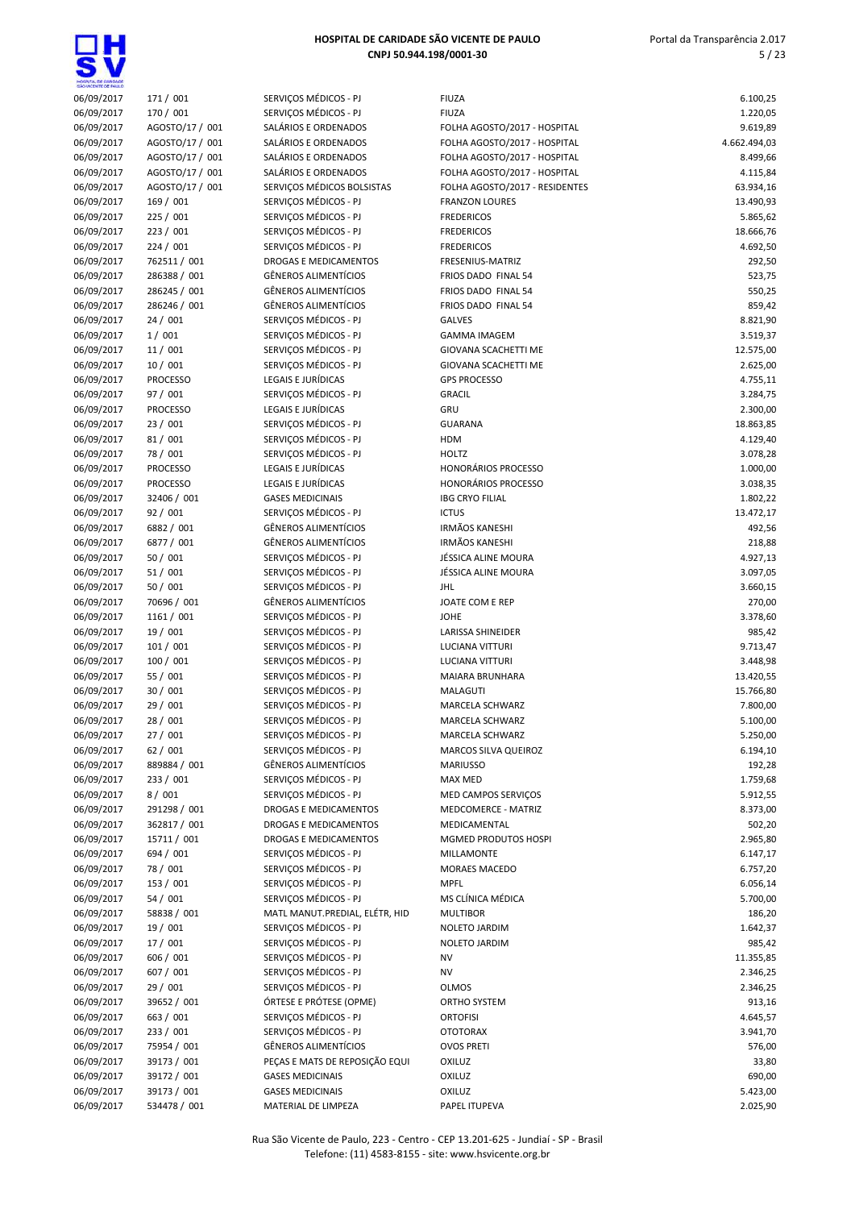JM

| HOGPITAL DE GANDADE<br>GÁO VICENTE DE FAILLO |                              |                                                            |                                            |                      |
|----------------------------------------------|------------------------------|------------------------------------------------------------|--------------------------------------------|----------------------|
| 06/09/2017                                   | 171 / 001                    | SERVIÇOS MÉDICOS - PJ                                      | <b>FIUZA</b>                               | 6.100,25             |
| 06/09/2017                                   | 170 / 001                    | SERVICOS MÉDICOS - PJ                                      | <b>FIUZA</b>                               | 1.220,05             |
| 06/09/2017                                   | AGOSTO/17 / 001              | SALÁRIOS E ORDENADOS                                       | FOLHA AGOSTO/2017 - HOSPITAL               | 9.619,89             |
| 06/09/2017                                   | AGOSTO/17 / 001              | SALÁRIOS E ORDENADOS                                       | FOLHA AGOSTO/2017 - HOSPITAL               | 4.662.494,03         |
| 06/09/2017                                   | AGOSTO/17 / 001              | SALÁRIOS E ORDENADOS                                       | FOLHA AGOSTO/2017 - HOSPITAL               | 8.499,66             |
| 06/09/2017                                   | AGOSTO/17 / 001              | SALÁRIOS E ORDENADOS                                       | FOLHA AGOSTO/2017 - HOSPITAL               | 4.115,84             |
| 06/09/2017                                   | AGOSTO/17 / 001              | SERVIÇOS MÉDICOS BOLSISTAS                                 | FOLHA AGOSTO/2017 - RESIDENTES             | 63.934,16            |
| 06/09/2017                                   | 169 / 001                    | SERVIÇOS MÉDICOS - PJ                                      | <b>FRANZON LOURES</b>                      | 13.490,93            |
| 06/09/2017                                   | 225 / 001                    | SERVIÇOS MÉDICOS - PJ                                      | <b>FREDERICOS</b>                          | 5.865,62             |
| 06/09/2017                                   | 223 / 001                    | SERVICOS MÉDICOS - PJ                                      | <b>FREDERICOS</b>                          | 18.666,76            |
| 06/09/2017                                   | 224/001                      | SERVICOS MÉDICOS - PJ                                      | <b>FREDERICOS</b>                          | 4.692,50             |
| 06/09/2017                                   | 762511 / 001                 | <b>DROGAS E MEDICAMENTOS</b>                               | <b>FRESENIUS-MATRIZ</b>                    | 292,50               |
| 06/09/2017                                   | 286388 / 001<br>286245 / 001 | <b>GÊNEROS ALIMENTÍCIOS</b><br><b>GÊNEROS ALIMENTÍCIOS</b> | FRIOS DADO FINAL 54<br>FRIOS DADO FINAL 54 | 523,75               |
| 06/09/2017<br>06/09/2017                     | 286246 / 001                 | <b>GÊNEROS ALIMENTÍCIOS</b>                                | FRIOS DADO FINAL 54                        | 550,25<br>859,42     |
| 06/09/2017                                   | 24/001                       | SERVIÇOS MÉDICOS - PJ                                      | <b>GALVES</b>                              | 8.821,90             |
| 06/09/2017                                   | 1/001                        | SERVIÇOS MÉDICOS - PJ                                      | <b>GAMMA IMAGEM</b>                        | 3.519,37             |
| 06/09/2017                                   | 11/001                       | SERVIÇOS MÉDICOS - PJ                                      | GIOVANA SCACHETTI ME                       | 12.575,00            |
| 06/09/2017                                   | 10/001                       | SERVICOS MÉDICOS - PJ                                      | <b>GIOVANA SCACHETTI ME</b>                | 2.625,00             |
| 06/09/2017                                   | <b>PROCESSO</b>              | <b>LEGAIS E JURÍDICAS</b>                                  | <b>GPS PROCESSO</b>                        | 4.755,11             |
| 06/09/2017                                   | 97 / 001                     | SERVICOS MÉDICOS - PJ                                      | <b>GRACIL</b>                              | 3.284,75             |
| 06/09/2017                                   | <b>PROCESSO</b>              | LEGAIS E JURÍDICAS                                         | GRU                                        | 2.300,00             |
| 06/09/2017                                   | 23/001                       | SERVIÇOS MÉDICOS - PJ                                      | <b>GUARANA</b>                             | 18.863,85            |
| 06/09/2017                                   | 81/001                       | SERVIÇOS MÉDICOS - PJ                                      | <b>HDM</b>                                 | 4.129,40             |
| 06/09/2017                                   | 78 / 001                     | SERVIÇOS MÉDICOS - PJ                                      | <b>HOLTZ</b>                               | 3.078,28             |
| 06/09/2017                                   | <b>PROCESSO</b>              | LEGAIS E JURÍDICAS                                         | <b>HONORÁRIOS PROCESSO</b>                 | 1.000,00             |
| 06/09/2017                                   | <b>PROCESSO</b>              | LEGAIS E JURÍDICAS                                         | <b>HONORÁRIOS PROCESSO</b>                 | 3.038,35             |
| 06/09/2017                                   | 32406 / 001                  | <b>GASES MEDICINAIS</b>                                    | <b>IBG CRYO FILIAL</b>                     | 1.802,22             |
| 06/09/2017                                   | 92/001                       | SERVIÇOS MÉDICOS - PJ                                      | <b>ICTUS</b>                               | 13.472,17            |
| 06/09/2017                                   | 6882 / 001                   | <b>GÊNEROS ALIMENTÍCIOS</b>                                | <b>IRMÃOS KANESHI</b>                      | 492,56               |
| 06/09/2017                                   | 6877 / 001                   | <b>GÊNEROS ALIMENTÍCIOS</b>                                | <b>IRMÃOS KANESHI</b>                      | 218,88               |
| 06/09/2017                                   | 50 / 001                     | SERVIÇOS MÉDICOS - PJ                                      | JÉSSICA ALINE MOURA                        | 4.927,13             |
| 06/09/2017                                   | 51/001                       | SERVIÇOS MÉDICOS - PJ                                      | JÉSSICA ALINE MOURA                        | 3.097,05             |
| 06/09/2017                                   | 50 / 001                     | SERVIÇOS MÉDICOS - PJ                                      | <b>JHL</b>                                 | 3.660,15             |
| 06/09/2017                                   | 70696 / 001                  | <b>GÊNEROS ALIMENTÍCIOS</b>                                | JOATE COM E REP                            | 270,00               |
| 06/09/2017                                   | 1161 / 001                   | SERVIÇOS MÉDICOS - PJ                                      | <b>JOHE</b>                                | 3.378,60             |
| 06/09/2017                                   | 19 / 001                     | SERVIÇOS MÉDICOS - PJ                                      | <b>LARISSA SHINEIDER</b>                   | 985,42               |
| 06/09/2017                                   | 101/001                      | SERVIÇOS MÉDICOS - PJ                                      | <b>LUCIANA VITTURI</b>                     | 9.713,47             |
| 06/09/2017                                   | 100/001                      | SERVIÇOS MÉDICOS - PJ                                      | <b>LUCIANA VITTURI</b>                     | 3.448,98             |
| 06/09/2017                                   | 55 / 001                     | SERVICOS MÉDICOS - PJ<br>SERVICOS MÉDICOS - PJ             | MAIARA BRUNHARA                            | 13.420,55            |
| 06/09/2017                                   | 30/001<br>29 / 001           | SERVICOS MÉDICOS - PJ                                      | MALAGUTI                                   | 15.766,80            |
| 06/09/2017<br>06/09/2017                     | 28 / 001                     | SERVIÇOS MÉDICOS - PJ                                      | MARCELA SCHWARZ<br>MARCELA SCHWARZ         | 7.800,00<br>5.100,00 |
| 06/09/2017                                   | 27/001                       | SERVIÇOS MÉDICOS - PJ                                      | MARCELA SCHWARZ                            | 5.250,00             |
| 06/09/2017                                   | 62 / 001                     | SERVIÇOS MÉDICOS - PJ                                      | MARCOS SILVA QUEIROZ                       | 6.194,10             |
| 06/09/2017                                   | 889884 / 001                 | <b>GÊNEROS ALIMENTÍCIOS</b>                                | <b>MARIUSSO</b>                            | 192,28               |
| 06/09/2017                                   | 233 / 001                    | SERVIÇOS MÉDICOS - PJ                                      | MAX MED                                    | 1.759,68             |
| 06/09/2017                                   | 8/001                        | SERVIÇOS MÉDICOS - PJ                                      | MED CAMPOS SERVIÇOS                        | 5.912,55             |
| 06/09/2017                                   | 291298 / 001                 | DROGAS E MEDICAMENTOS                                      | MEDCOMERCE - MATRIZ                        | 8.373,00             |
| 06/09/2017                                   | 362817 / 001                 | DROGAS E MEDICAMENTOS                                      | MEDICAMENTAL                               | 502,20               |
| 06/09/2017                                   | 15711 / 001                  | DROGAS E MEDICAMENTOS                                      | MGMED PRODUTOS HOSPI                       | 2.965,80             |
| 06/09/2017                                   | 694 / 001                    | SERVIÇOS MÉDICOS - PJ                                      | MILLAMONTE                                 | 6.147,17             |
| 06/09/2017                                   | 78 / 001                     | SERVIÇOS MÉDICOS - PJ                                      | MORAES MACEDO                              | 6.757,20             |
| 06/09/2017                                   | 153 / 001                    | SERVIÇOS MÉDICOS - PJ                                      | <b>MPFL</b>                                | 6.056,14             |
| 06/09/2017                                   | 54/001                       | SERVIÇOS MÉDICOS - PJ                                      | MS CLÍNICA MÉDICA                          | 5.700,00             |
| 06/09/2017                                   | 58838 / 001                  | MATL MANUT.PREDIAL, ELÉTR, HID                             | <b>MULTIBOR</b>                            | 186,20               |
| 06/09/2017                                   | 19 / 001                     | SERVIÇOS MÉDICOS - PJ                                      | NOLETO JARDIM                              | 1.642,37             |
| 06/09/2017                                   | 17/001                       | SERVIÇOS MÉDICOS - PJ                                      | NOLETO JARDIM                              | 985,42               |
| 06/09/2017                                   | 606 / 001                    | SERVIÇOS MÉDICOS - PJ                                      | <b>NV</b>                                  | 11.355,85            |
| 06/09/2017                                   | 607 / 001                    | SERVIÇOS MÉDICOS - PJ                                      | NV                                         | 2.346,25             |
| 06/09/2017                                   | 29 / 001                     | SERVIÇOS MÉDICOS - PJ                                      | <b>OLMOS</b>                               | 2.346,25             |
| 06/09/2017                                   | 39652 / 001                  | ÓRTESE E PRÓTESE (OPME)                                    | ORTHO SYSTEM                               | 913,16               |
| 06/09/2017                                   | 663 / 001                    | SERVIÇOS MÉDICOS - PJ                                      | <b>ORTOFISI</b>                            | 4.645,57             |
| 06/09/2017                                   | 233 / 001                    | SERVIÇOS MÉDICOS - PJ                                      | <b>OTOTORAX</b>                            | 3.941,70             |
| 06/09/2017                                   | 75954 / 001                  | <b>GÊNEROS ALIMENTÍCIOS</b>                                | <b>OVOS PRETI</b>                          | 576,00               |
| 06/09/2017                                   | 39173 / 001                  | PEÇAS E MATS DE REPOSIÇÃO EQUI                             | <b>OXILUZ</b>                              | 33,80                |
| 06/09/2017                                   | 39172 / 001                  | <b>GASES MEDICINAIS</b>                                    | <b>OXILUZ</b>                              | 690,00               |
| 06/09/2017                                   | 39173 / 001                  | <b>GASES MEDICINAIS</b>                                    | OXILUZ                                     | 5.423,00             |
| 06/09/2017                                   | 534478 / 001                 | MATERIAL DE LIMPEZA                                        | PAPEL ITUPEVA                              | 2.025,90             |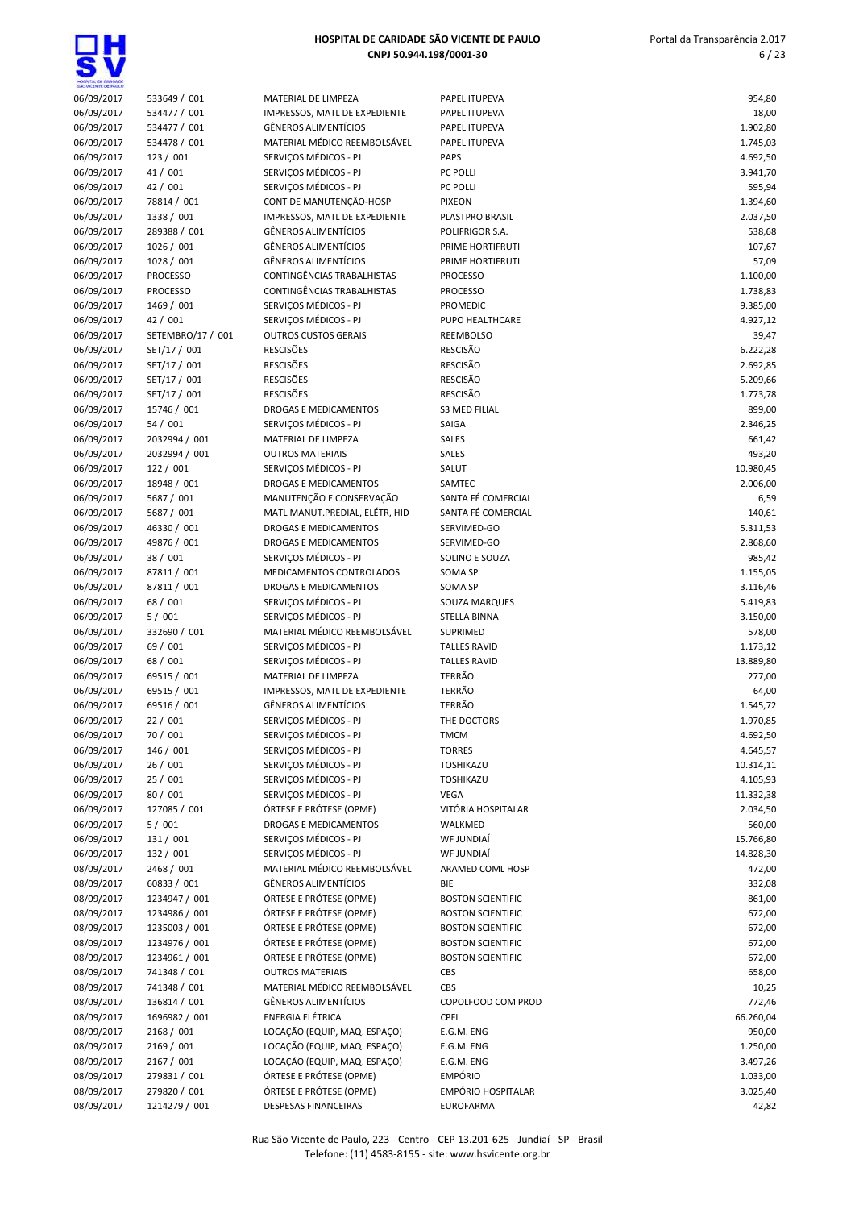|                          | HOSPITA, DE GARDADE |                               |
|--------------------------|---------------------|-------------------------------|
| 06/09/2017               |                     | 533649 / 001                  |
| 06/09/2017               |                     | 534477 / 001                  |
| 06/09/2017               |                     | 534477 / 001                  |
| 06/09/2017               |                     | 534478 / 001                  |
| 06/09/2017               |                     | 123 / 001                     |
| 06/09/2017               |                     | 41 / 001                      |
| 06/09/2017               |                     | 42 / 001                      |
| 06/09/2017               |                     | 78814 / 001                   |
| 06/09/2017               |                     | 1338 / 001                    |
| 06/09/2017<br>06/09/2017 |                     | 289388 / 001<br>1026 / 001    |
| 06/09/2017               |                     | 1028 / 001                    |
| 06/09/2017               |                     | <b>PROCESSO</b>               |
| 06/09/2017               |                     | <b>PROCESSO</b>               |
| 06/09/2017               |                     | 1469 / 001                    |
| 06/09/2017               |                     | 42 / 001                      |
| 06/09/2017               |                     | SETEMBRO/17 /                 |
| 06/09/2017               |                     | SET/17 / 001                  |
| 06/09/2017               |                     | SET/17 / 001                  |
| 06/09/2017               |                     | SET/17 / 001                  |
| 06/09/2017               |                     | SET/17 / 001                  |
| 06/09/2017               |                     | 15746 / 001<br>54 / 001       |
| 06/09/2017<br>06/09/2017 |                     | 2032994 / 001                 |
| 06/09/2017               |                     | 2032994 / 001                 |
| 06/09/2017               |                     | 122 / 001                     |
| 06/09/2017               |                     | 18948 / 001                   |
| 06/09/2017               |                     | 5687 / 001                    |
| 06/09/2017               |                     | 5687 / 001                    |
| 06/09/2017               |                     | 46330 / 001                   |
| 06/09/2017               |                     | 49876 / 001                   |
| 06/09/2017               |                     | 38 / 001                      |
| 06/09/2017               |                     | 87811 / 001                   |
| 06/09/2017               |                     | 87811 / 001                   |
| 06/09/2017<br>06/09/2017 |                     | 68 / 001<br>5/001             |
| 06/09/2017               |                     | 332690 / 001                  |
| 06/09/2017               |                     | 69 / 001                      |
| 06/09/2017               |                     | 68 / 001                      |
| 06/09/2017               |                     | 69515 / 001                   |
| 06/09/2017               |                     | 69515 / 001                   |
| 06/09/2017               |                     | 69516 / 001                   |
| 06/09/2017               |                     | 22 / 001                      |
| 06/09/2017               |                     | 70 / 001                      |
| 06/09/2017               |                     | 146 / 001                     |
| 06/09/2017<br>06/09/2017 |                     | 26 / 001<br>25 / 001          |
| 06/09/2017               |                     | 80/001                        |
| 06/09/2017               |                     | 127085 / 001                  |
| 06/09/2017               |                     | 5/001                         |
| 06/09/2017               |                     | 131 / 001                     |
| 06/09/2017               |                     | 132 / 001                     |
| 08/09/2017               |                     | 2468 / 001                    |
| 08/09/2017               |                     | 60833 / 001                   |
| 08/09/2017               |                     | 1234947 / 001                 |
| 08/09/2017               |                     | 1234986 / 001                 |
| 08/09/2017               |                     | 1235003 / 001                 |
| 08/09/2017               |                     | 1234976 / 001                 |
| 08/09/2017<br>08/09/2017 |                     | 1234961 / 001<br>741348 / 001 |
| 08/09/2017               |                     | 741348 / 001                  |
| 08/09/2017               |                     | 136814 / 001                  |
| 08/09/2017               |                     | 1696982 / 001                 |
| 08/09/2017               |                     | 2168 / 001                    |
| 08/09/2017               |                     | 2169 / 001                    |
| 08/09/2017               |                     | 2167 / 001                    |
| 08/09/2017               |                     | 279831/001                    |

| 06/09/2017               | 533649 / 001              | MATERIAL DE LIMPEZA                              | PA        |
|--------------------------|---------------------------|--------------------------------------------------|-----------|
| 06/09/2017               | 534477 / 001              | IMPRESSOS, MATL DE EXPEDIENTE                    | PA        |
| 06/09/2017               | 534477 / 001              | <b>GÊNEROS ALIMENTÍCIOS</b>                      | PA        |
| 06/09/2017               | 534478 / 001              | MATERIAL MÉDICO REEMBOLSÁVEL                     | PA        |
| 06/09/2017               | 123 / 001                 | SERVIÇOS MÉDICOS - PJ                            | PA        |
| 06/09/2017               | 41 / 001                  | SERVIÇOS MÉDICOS - PJ                            | PC        |
| 06/09/2017               | 42 / 001                  | SERVIÇOS MÉDICOS - PJ                            | PC        |
| 06/09/2017               | 78814 / 001               | CONT DE MANUTENÇÃO-HOSP                          | PI)       |
| 06/09/2017               | 1338 / 001                | IMPRESSOS, MATL DE EXPEDIENTE                    | PL.       |
| 06/09/2017               | 289388 / 001              | <b>GÊNEROS ALIMENTÍCIOS</b>                      | PC        |
| 06/09/2017               | 1026 / 001                | <b>GÊNEROS ALIMENTÍCIOS</b>                      | PR        |
| 06/09/2017               | 1028 / 001                | <b>GÊNEROS ALIMENTÍCIOS</b>                      | PR        |
| 06/09/2017               | <b>PROCESSO</b>           | CONTINGÊNCIAS TRABALHISTAS                       | PR        |
| 06/09/2017               | <b>PROCESSO</b>           | CONTINGÊNCIAS TRABALHISTAS                       | PR        |
| 06/09/2017               | 1469 / 001                | SERVIÇOS MÉDICOS - PJ                            | PR        |
| 06/09/2017               | 42 / 001                  | SERVIÇOS MÉDICOS - PJ                            | PU        |
| 06/09/2017               | SETEMBRO/17 / 001         | <b>OUTROS CUSTOS GERAIS</b>                      | RE        |
| 06/09/2017               | SET/17 / 001              | <b>RESCISÕES</b>                                 | RE        |
| 06/09/2017               | SET/17 / 001              | <b>RESCISÕES</b>                                 | RE        |
| 06/09/2017               | SET/17 / 001              | <b>RESCISÕES</b>                                 | RE        |
| 06/09/2017               | SET/17 / 001              | <b>RESCISÕES</b><br><b>DROGAS E MEDICAMENTOS</b> | RE        |
| 06/09/2017               | 15746 / 001               | SERVIÇOS MÉDICOS - PJ                            | S3<br>SA  |
| 06/09/2017<br>06/09/2017 | 54 / 001<br>2032994 / 001 | MATERIAL DE LIMPEZA                              | SA        |
| 06/09/2017               | 2032994 / 001             | <b>OUTROS MATERIAIS</b>                          | SA        |
| 06/09/2017               | 122 / 001                 | SERVICOS MÉDICOS - PJ                            | <b>SA</b> |
| 06/09/2017               | 18948 / 001               | <b>DROGAS E MEDICAMENTOS</b>                     | SA        |
| 06/09/2017               | 5687 / 001                | MANUTENÇÃO E CONSERVAÇÃO                         | SA        |
| 06/09/2017               | 5687 / 001                | MATL MANUT.PREDIAL, ELÉTR, HID                   | SA        |
| 06/09/2017               | 46330 / 001               | <b>DROGAS E MEDICAMENTOS</b>                     | <b>SE</b> |
| 06/09/2017               | 49876 / 001               | <b>DROGAS E MEDICAMENTOS</b>                     | SE        |
| 06/09/2017               | 38 / 001                  | SERVIÇOS MÉDICOS - PJ                            | SO        |
| 06/09/2017               | 87811 / 001               | MEDICAMENTOS CONTROLADOS                         | SO        |
| 06/09/2017               | 87811 / 001               | <b>DROGAS E MEDICAMENTOS</b>                     | SO        |
| 06/09/2017               | 68 / 001                  | SERVIÇOS MÉDICOS - PJ                            | SO        |
| 06/09/2017               | 5/001                     | SERVIÇOS MÉDICOS - PJ                            | ST        |
| 06/09/2017               | 332690 / 001              | MATERIAL MÉDICO REEMBOLSÁVEL                     | SU        |
| 06/09/2017               | 69 / 001                  | SERVIÇOS MÉDICOS - PJ                            | ТA        |
| 06/09/2017               | 68 / 001                  | SERVIÇOS MÉDICOS - PJ                            | ТA        |
| 06/09/2017               | 69515 / 001               | MATERIAL DE LIMPEZA                              | TE        |
| 06/09/2017               | 69515 / 001               | IMPRESSOS, MATL DE EXPEDIENTE                    | TE        |
| 06/09/2017               | 69516 / 001               | <b>GÊNEROS ALIMENTÍCIOS</b>                      | TE        |
| 06/09/2017               | 22 / 001                  | SERVICOS MÉDICOS - PJ                            | TН        |
| 06/09/2017               | 70/001                    | SERVIÇOS MÉDICOS - PJ                            | ΤŅ        |
| 06/09/2017               | 146 / 001                 | SERVIÇOS MÉDICOS - PJ                            | ТC        |
| 06/09/2017               | 26 / 001                  | SERVICOS MÉDICOS - PJ                            | ТC        |
| 06/09/2017               | 25 / 001                  | SERVIÇOS MÉDICOS - PJ<br>SERVICOS MÉDICOS - PJ   | ТC        |
| 06/09/2017               | 80 / 001<br>127085 / 001  | ÓRTESE E PRÓTESE (OPME)                          | VE        |
| 06/09/2017<br>06/09/2017 | 5/001                     | DROGAS E MEDICAMENTOS                            | Vľ<br>W,  |
| 06/09/2017               | 131 / 001                 | SERVIÇOS MÉDICOS - PJ                            | W         |
| 06/09/2017               | 132 / 001                 | SERVIÇOS MÉDICOS - PJ                            | W         |
| 08/09/2017               | 2468 / 001                | MATERIAL MÉDICO REEMBOLSÁVEL                     | AR        |
| 08/09/2017               | 60833 / 001               | <b>GÊNEROS ALIMENTÍCIOS</b>                      | BIE       |
| 08/09/2017               | 1234947 / 001             | ÓRTESE E PRÓTESE (OPME)                          | BC        |
| 08/09/2017               | 1234986 / 001             | ÓRTESE E PRÓTESE (OPME)                          | ВC        |
| 08/09/2017               | 1235003 / 001             | ÓRTESE E PRÓTESE (OPME)                          | ВC        |
| 08/09/2017               | 1234976 / 001             | ÓRTESE E PRÓTESE (OPME)                          | ВC        |
| 08/09/2017               | 1234961 / 001             | ÓRTESE E PRÓTESE (OPME)                          | ВC        |
| 08/09/2017               | 741348 / 001              | <b>OUTROS MATERIAIS</b>                          | CВ        |
| 08/09/2017               | 741348 / 001              | MATERIAL MÉDICO REEMBOLSÁVEL                     | СB        |
| 08/09/2017               | 136814 / 001              | <b>GÊNEROS ALIMENTÍCIOS</b>                      | CC        |
| 08/09/2017               | 1696982 / 001             | ENERGIA ELÉTRICA                                 | CP        |
| 08/09/2017               | 2168 / 001                | LOCAÇÃO (EQUIP, MAQ. ESPAÇO)                     | E.0       |
| 08/09/2017               | 2169 / 001                | LOCAÇÃO (EQUIP, MAQ. ESPAÇO)                     | E.0       |
| 08/09/2017               | 2167 / 001                | LOCAÇÃO (EQUIP, MAQ. ESPAÇO)                     | E.        |
| 08/09/2017               | 279831 / 001              | ÓRTESE E PRÓTESE (OPME)                          | EN        |
| 08/09/2017               | 279820 / 001              | ÓRTESE E PRÓTESE (OPME)                          | EN        |
| 08/09/2017               | 1214279 / 001             | DESPESAS FINANCEIRAS                             | EU        |

| SHOWCENTE DE BAILLO |                   |                                |                          |           |
|---------------------|-------------------|--------------------------------|--------------------------|-----------|
| 06/09/2017          | 533649 / 001      | MATERIAL DE LIMPEZA            | PAPEL ITUPEVA            | 954,80    |
| 06/09/2017          | 534477 / 001      | IMPRESSOS, MATL DE EXPEDIENTE  | PAPEL ITUPEVA            | 18,00     |
| 06/09/2017          | 534477 / 001      | <b>GÊNEROS ALIMENTÍCIOS</b>    | PAPEL ITUPEVA            | 1.902,80  |
| 06/09/2017          | 534478 / 001      | MATERIAL MÉDICO REEMBOLSÁVEL   | PAPEL ITUPEVA            | 1.745,03  |
| 06/09/2017          | 123/001           | SERVIÇOS MÉDICOS - PJ          | <b>PAPS</b>              | 4.692,50  |
| 06/09/2017          | 41 / 001          | SERVIÇOS MÉDICOS - PJ          | PC POLLI                 | 3.941,70  |
| 06/09/2017          | 42 / 001          | SERVICOS MÉDICOS - PJ          | PC POLLI                 | 595,94    |
| 06/09/2017          | 78814 / 001       | CONT DE MANUTENÇÃO-HOSP        | <b>PIXEON</b>            | 1.394,60  |
| 06/09/2017          | 1338 / 001        | IMPRESSOS, MATL DE EXPEDIENTE  | PLASTPRO BRASIL          | 2.037,50  |
| 06/09/2017          | 289388 / 001      | <b>GÊNEROS ALIMENTÍCIOS</b>    | POLIFRIGOR S.A.          | 538,68    |
| 06/09/2017          | 1026 / 001        | <b>GÊNEROS ALIMENTÍCIOS</b>    | PRIME HORTIFRUTI         | 107,67    |
| 06/09/2017          | 1028 / 001        | <b>GÊNEROS ALIMENTÍCIOS</b>    | PRIME HORTIFRUTI         | 57,09     |
| 06/09/2017          | <b>PROCESSO</b>   | CONTINGÊNCIAS TRABALHISTAS     | <b>PROCESSO</b>          | 1.100,00  |
| 06/09/2017          | PROCESSO          | CONTINGÊNCIAS TRABALHISTAS     | <b>PROCESSO</b>          | 1.738,83  |
| 06/09/2017          | 1469 / 001        | SERVIÇOS MÉDICOS - PJ          | PROMEDIC                 | 9.385,00  |
| 06/09/2017          | 42 / 001          | SERVIÇOS MÉDICOS - PJ          | PUPO HEALTHCARE          | 4.927,12  |
| 06/09/2017          | SETEMBRO/17 / 001 | <b>OUTROS CUSTOS GERAIS</b>    | REEMBOLSO                | 39,47     |
| 06/09/2017          | SET/17 / 001      | <b>RESCISÕES</b>               | <b>RESCISÃO</b>          | 6.222,28  |
| 06/09/2017          | SET/17 / 001      | <b>RESCISÕES</b>               | <b>RESCISÃO</b>          | 2.692,85  |
| 06/09/2017          | SET/17 / 001      | <b>RESCISÕES</b>               | <b>RESCISÃO</b>          | 5.209,66  |
| 06/09/2017          | SET/17 / 001      | <b>RESCISÕES</b>               | <b>RESCISÃO</b>          | 1.773,78  |
| 06/09/2017          | 15746 / 001       | <b>DROGAS E MEDICAMENTOS</b>   | <b>S3 MED FILIAL</b>     | 899,00    |
| 06/09/2017          | 54/001            | SERVICOS MÉDICOS - PJ          | SAIGA                    | 2.346,25  |
| 06/09/2017          | 2032994 / 001     | MATERIAL DE LIMPEZA            | SALES                    | 661,42    |
| 06/09/2017          | 2032994 / 001     | <b>OUTROS MATERIAIS</b>        | SALES                    | 493,20    |
| 06/09/2017          | 122 / 001         | SERVIÇOS MÉDICOS - PJ          | SALUT                    | 10.980,45 |
| 06/09/2017          | 18948 / 001       | DROGAS E MEDICAMENTOS          | SAMTEC                   | 2.006,00  |
| 06/09/2017          | 5687 / 001        | MANUTENÇÃO E CONSERVAÇÃO       | SANTA FÉ COMERCIAL       | 6,59      |
| 06/09/2017          | 5687 / 001        | MATL MANUT.PREDIAL, ELÉTR, HID | SANTA FÉ COMERCIAL       | 140,61    |
| 06/09/2017          | 46330 / 001       | DROGAS E MEDICAMENTOS          | SERVIMED-GO              | 5.311,53  |
| 06/09/2017          | 49876 / 001       | <b>DROGAS E MEDICAMENTOS</b>   | SERVIMED-GO              | 2.868,60  |
| 06/09/2017          | 38 / 001          | SERVIÇOS MÉDICOS - PJ          | SOLINO E SOUZA           | 985,42    |
| 06/09/2017          | 87811 / 001       | MEDICAMENTOS CONTROLADOS       | SOMA SP                  | 1.155,05  |
| 06/09/2017          | 87811 / 001       | DROGAS E MEDICAMENTOS          | SOMA SP                  | 3.116,46  |
| 06/09/2017          | 68 / 001          | SERVIÇOS MÉDICOS - PJ          | SOUZA MARQUES            | 5.419,83  |
| 06/09/2017          | 5/001             | SERVIÇOS MÉDICOS - PJ          | <b>STELLA BINNA</b>      | 3.150,00  |
| 06/09/2017          | 332690 / 001      | MATERIAL MÉDICO REEMBOLSÁVEL   | SUPRIMED                 | 578,00    |
| 06/09/2017          | 69 / 001          | SERVIÇOS MÉDICOS - PJ          | <b>TALLES RAVID</b>      | 1.173,12  |
| 06/09/2017          | 68 / 001          | SERVIÇOS MÉDICOS - PJ          | <b>TALLES RAVID</b>      | 13.889,80 |
| 06/09/2017          | 69515 / 001       | MATERIAL DE LIMPEZA            | <b>TERRÃO</b>            | 277,00    |
| 06/09/2017          | 69515 / 001       | IMPRESSOS, MATL DE EXPEDIENTE  | TERRÃO                   | 64,00     |
| 06/09/2017          | 69516 / 001       | <b>GÊNEROS ALIMENTÍCIOS</b>    | <b>TERRÃO</b>            | 1.545,72  |
| 06/09/2017          | 22 / 001          | SERVIÇOS MÉDICOS - PJ          | THE DOCTORS              | 1.970,85  |
| 06/09/2017          | 70 / 001          | SERVIÇOS MÉDICOS - PJ          | <b>TMCM</b>              | 4.692,50  |
| 06/09/2017          | 146 / 001         | SERVIÇOS MÉDICOS - PJ          | <b>TORRES</b>            | 4.645,57  |
| 06/09/2017          | 26/001            | SERVIÇOS MÉDICOS - PJ          | TOSHIKAZU                | 10.314,11 |
| 06/09/2017          | 25 / 001          | SERVICOS MÉDICOS - PJ          | TOSHIKAZU                | 4.105,93  |
| 06/09/2017          | 80/001            | SERVIÇOS MÉDICOS - PJ          | <b>VEGA</b>              | 11.332,38 |
| 06/09/2017          | 127085 / 001      | ÓRTESE E PRÓTESE (OPME)        | VITÓRIA HOSPITALAR       | 2.034,50  |
| 06/09/2017          | 5/001             | DROGAS E MEDICAMENTOS          | WALKMED                  | 560,00    |
| 06/09/2017          | 131 / 001         | SERVIÇOS MÉDICOS - PJ          | WF JUNDIAÍ               | 15.766,80 |
| 06/09/2017          | 132 / 001         | SERVICOS MÉDICOS - PJ          | WF JUNDIAÍ               | 14.828,30 |
| 08/09/2017          | 2468 / 001        | MATERIAL MÉDICO REEMBOLSÁVEL   | ARAMED COML HOSP         | 472,00    |
| 08/09/2017          | 60833 / 001       | <b>GÊNEROS ALIMENTÍCIOS</b>    | <b>BIE</b>               | 332,08    |
| 08/09/2017          | 1234947 / 001     | ÓRTESE E PRÓTESE (OPME)        | <b>BOSTON SCIENTIFIC</b> | 861,00    |
| 08/09/2017          | 1234986 / 001     | ÓRTESE E PRÓTESE (OPME)        | <b>BOSTON SCIENTIFIC</b> | 672,00    |
| 08/09/2017          | 1235003 / 001     | ÓRTESE E PRÓTESE (OPME)        | <b>BOSTON SCIENTIFIC</b> | 672,00    |
| 08/09/2017          | 1234976 / 001     | ÓRTESE E PRÓTESE (OPME)        | <b>BOSTON SCIENTIFIC</b> | 672,00    |
| 08/09/2017          | 1234961 / 001     | ÓRTESE E PRÓTESE (OPME)        | <b>BOSTON SCIENTIFIC</b> | 672,00    |
| 08/09/2017          | 741348 / 001      | <b>OUTROS MATERIAIS</b>        | CBS                      | 658,00    |
| 08/09/2017          | 741348 / 001      | MATERIAL MÉDICO REEMBOLSÁVEL   | CBS                      | 10,25     |
| 08/09/2017          | 136814 / 001      | <b>GÊNEROS ALIMENTÍCIOS</b>    | COPOLFOOD COM PROD       | 772,46    |
| 08/09/2017          | 1696982 / 001     | ENERGIA ELÉTRICA               | <b>CPFL</b>              | 66.260,04 |
| 08/09/2017          | 2168 / 001        | LOCAÇÃO (EQUIP, MAQ. ESPAÇO)   | E.G.M. ENG               | 950,00    |
| 08/09/2017          | 2169 / 001        | LOCAÇÃO (EQUIP, MAQ. ESPAÇO)   | E.G.M. ENG               | 1.250,00  |
| 08/09/2017          | 2167 / 001        | LOCAÇÃO (EQUIP, MAQ. ESPAÇO)   | E.G.M. ENG               | 3.497,26  |
| 08/09/2017          | 279831 / 001      | ÓRTESE E PRÓTESE (OPME)        | <b>EMPÓRIO</b>           | 1.033,00  |
| 08/09/2017          | 279820 / 001      | ÓRTESE E PRÓTESE (OPME)        | EMPÓRIO HOSPITALAR       | 3.025,40  |
| 08/09/2017          | 1214279 / 001     | <b>DESPESAS FINANCEIRAS</b>    | <b>EUROFARMA</b>         | 42,82     |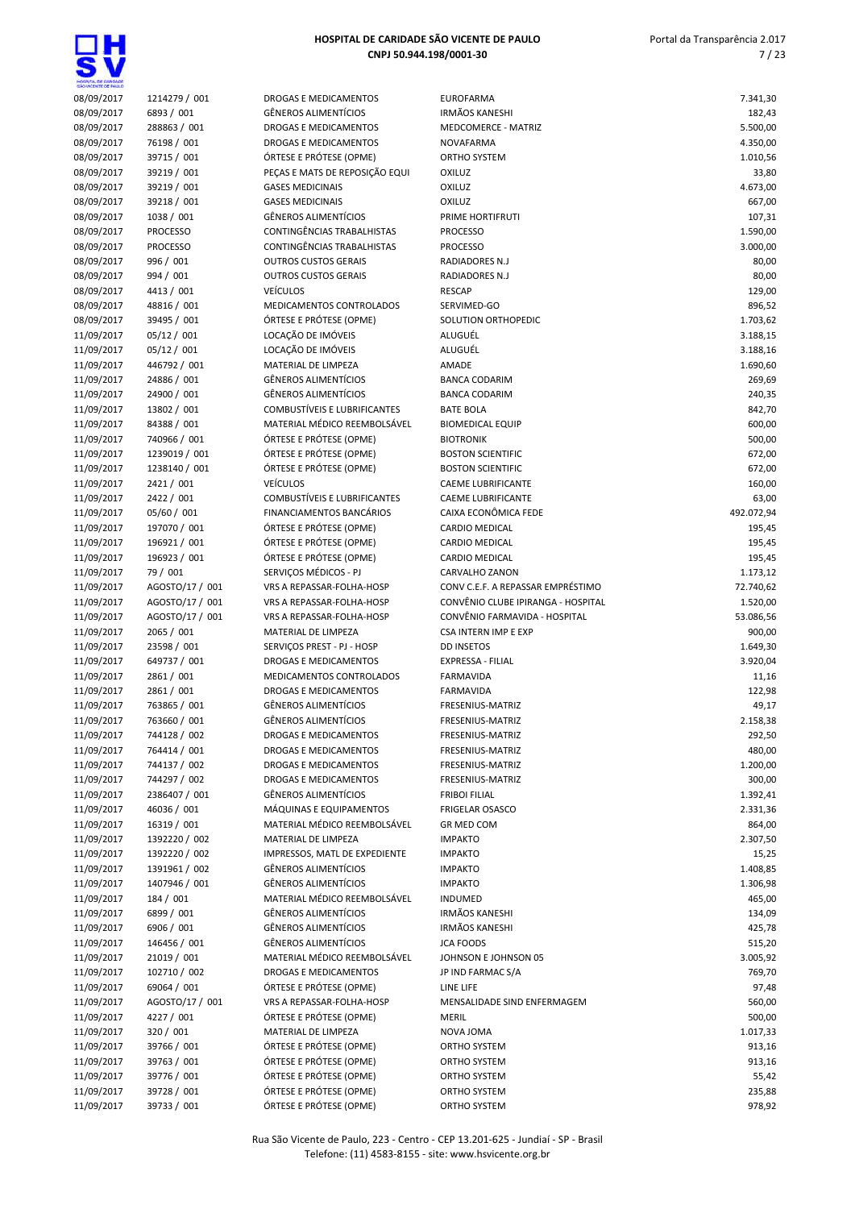**gH** 

| HOSPITAL DE CARDADE      |                               |                                                        |                                     |                      |
|--------------------------|-------------------------------|--------------------------------------------------------|-------------------------------------|----------------------|
| 08/09/2017               | 1214279 / 001                 | DROGAS E MEDICAMENTOS                                  | <b>EUROFARMA</b>                    | 7.341,30             |
| 08/09/2017               | 6893 / 001                    | <b>GËNEROS ALIMENTÍCIOS</b>                            | <b>IRMÃOS KANESHI</b>               | 182,43               |
| 08/09/2017               | 288863 / 001                  | <b>DROGAS E MEDICAMENTOS</b>                           | <b>MEDCOMERCE - MATRIZ</b>          | 5.500,00             |
| 08/09/2017               | 76198 / 001                   | DROGAS E MEDICAMENTOS                                  | <b>NOVAFARMA</b>                    | 4.350,00             |
| 08/09/2017               | 39715 / 001                   | ÓRTESE E PRÓTESE (OPME)                                | ORTHO SYSTEM                        | 1.010,56             |
| 08/09/2017               | 39219 / 001                   | PEÇAS E MATS DE REPOSIÇÃO EQUI                         | <b>OXILUZ</b>                       | 33,80                |
| 08/09/2017               | 39219 / 001                   | <b>GASES MEDICINAIS</b>                                | <b>OXILUZ</b>                       | 4.673,00             |
| 08/09/2017               | 39218 / 001                   | <b>GASES MEDICINAIS</b><br><b>GÊNEROS ALIMENTÍCIOS</b> | <b>OXILUZ</b>                       | 667,00               |
| 08/09/2017               | 1038 / 001<br><b>PROCESSO</b> | <b>CONTINGÊNCIAS TRABALHISTAS</b>                      | PRIME HORTIFRUTI<br><b>PROCESSO</b> | 107,31               |
| 08/09/2017<br>08/09/2017 | <b>PROCESSO</b>               | CONTINGÊNCIAS TRABALHISTAS                             | <b>PROCESSO</b>                     | 1.590,00<br>3.000,00 |
| 08/09/2017               | 996 / 001                     | <b>OUTROS CUSTOS GERAIS</b>                            | RADIADORES N.J                      | 80,00                |
| 08/09/2017               | 994 / 001                     | <b>OUTROS CUSTOS GERAIS</b>                            | RADIADORES N.J                      | 80,00                |
| 08/09/2017               | 4413 / 001                    | <b>VEÍCULOS</b>                                        | <b>RESCAP</b>                       | 129,00               |
| 08/09/2017               | 48816 / 001                   | MEDICAMENTOS CONTROLADOS                               | SERVIMED-GO                         | 896,52               |
| 08/09/2017               | 39495 / 001                   | ÓRTESE E PRÓTESE (OPME)                                | SOLUTION ORTHOPEDIC                 | 1.703,62             |
| 11/09/2017               | 05/12 / 001                   | LOCAÇÃO DE IMÓVEIS                                     | ALUGUÉL                             | 3.188,15             |
| 11/09/2017               | 05/12 / 001                   | LOCAÇÃO DE IMÓVEIS                                     | ALUGUÉL                             | 3.188,16             |
| 11/09/2017               | 446792 / 001                  | MATERIAL DE LIMPEZA                                    | AMADE                               | 1.690,60             |
| 11/09/2017               | 24886 / 001                   | <b>GÊNEROS ALIMENTÍCIOS</b>                            | <b>BANCA CODARIM</b>                | 269,69               |
| 11/09/2017               | 24900 / 001                   | <b>GÊNEROS ALIMENTÍCIOS</b>                            | <b>BANCA CODARIM</b>                | 240,35               |
| 11/09/2017               | 13802 / 001                   | <b>COMBUSTÍVEIS E LUBRIFICANTES</b>                    | <b>BATE BOLA</b>                    | 842,70               |
| 11/09/2017               | 84388 / 001                   | MATERIAL MÉDICO REEMBOLSÁVEL                           | <b>BIOMEDICAL EQUIP</b>             | 600,00               |
| 11/09/2017               | 740966 / 001                  | ÓRTESE E PRÓTESE (OPME)                                | <b>BIOTRONIK</b>                    | 500,00               |
| 11/09/2017               | 1239019 / 001                 | ÓRTESE E PRÓTESE (OPME)                                | <b>BOSTON SCIENTIFIC</b>            | 672,00               |
| 11/09/2017               | 1238140 / 001                 | ÓRTESE E PRÓTESE (OPME)                                | <b>BOSTON SCIENTIFIC</b>            | 672,00               |
| 11/09/2017               | 2421 / 001                    | <b>VEÍCULOS</b>                                        | <b>CAEME LUBRIFICANTE</b>           | 160,00               |
| 11/09/2017               | 2422 / 001                    | <b>COMBUSTÍVEIS E LUBRIFICANTES</b>                    | <b>CAEME LUBRIFICANTE</b>           | 63,00                |
| 11/09/2017               | 05/60 / 001                   | FINANCIAMENTOS BANCÁRIOS                               | CAIXA ECONÔMICA FEDE                | 492.072,94           |
| 11/09/2017               | 197070 / 001                  | ÓRTESE E PRÓTESE (OPME)                                | <b>CARDIO MEDICAL</b>               | 195,45               |
| 11/09/2017               | 196921 / 001                  | ÓRTESE E PRÓTESE (OPME)                                | CARDIO MEDICAL                      | 195,45               |
| 11/09/2017               | 196923 / 001                  | ÓRTESE E PRÓTESE (OPME)                                | <b>CARDIO MEDICAL</b>               | 195,45               |
| 11/09/2017               | 79 / 001                      | SERVIÇOS MÉDICOS - PJ                                  | CARVALHO ZANON                      | 1.173,12             |
| 11/09/2017               | AGOSTO/17 / 001               | VRS A REPASSAR-FOLHA-HOSP                              | CONV C.E.F. A REPASSAR EMPRÉSTIMO   | 72.740,62            |
| 11/09/2017               | AGOSTO/17 / 001               | VRS A REPASSAR-FOLHA-HOSP                              | CONVÊNIO CLUBE IPIRANGA - HOSPITAL  | 1.520,00             |
| 11/09/2017               | AGOSTO/17 / 001               | VRS A REPASSAR-FOLHA-HOSP                              | CONVÊNIO FARMAVIDA - HOSPITAL       | 53.086,56            |
| 11/09/2017               | 2065 / 001                    | MATERIAL DE LIMPEZA                                    | <b>CSA INTERN IMP E EXP</b>         | 900,00               |
| 11/09/2017               | 23598 / 001                   | SERVICOS PREST - PJ - HOSP                             | <b>DD INSETOS</b>                   | 1.649,30             |
| 11/09/2017               | 649737 / 001                  | <b>DROGAS E MEDICAMENTOS</b>                           | EXPRESSA - FILIAL                   | 3.920,04             |
| 11/09/2017               | 2861 / 001                    | MEDICAMENTOS CONTROLADOS                               | FARMAVIDA                           | 11,16                |
| 11/09/2017               | 2861 / 001                    | <b>DROGAS E MEDICAMENTOS</b>                           | <b>FARMAVIDA</b>                    | 122,98               |
| 11/09/2017               | 763865 / 001                  | <b>GÊNEROS ALIMENTÍCIOS</b>                            | FRESENIUS-MATRIZ                    | 49,17                |
| 11/09/2017               | 763660 / 001                  | GÊNEROS ALIMENTÍCIOS                                   | FRESENIUS-MATRIZ                    | 2.158,38             |
| 11/09/2017               | 744128 / 002                  | DROGAS E MEDICAMENTOS                                  | FRESENIUS-MATRIZ                    | 292,50               |
| 11/09/2017               | 764414 / 001                  | <b>DROGAS E MEDICAMENTOS</b>                           | FRESENIUS-MATRIZ                    | 480,00               |
| 11/09/2017               | 744137 / 002                  | DROGAS E MEDICAMENTOS                                  | FRESENIUS-MATRIZ                    | 1.200,00             |
| 11/09/2017               | 744297 / 002                  | DROGAS E MEDICAMENTOS                                  | FRESENIUS-MATRIZ                    | 300,00               |
| 11/09/2017               | 2386407 / 001                 | <b>GÊNEROS ALIMENTÍCIOS</b>                            | <b>FRIBOI FILIAL</b>                | 1.392,41             |
| 11/09/2017               | 46036 / 001                   | MÁQUINAS E EQUIPAMENTOS                                | <b>FRIGELAR OSASCO</b>              | 2.331,36             |
| 11/09/2017               | 16319 / 001                   | MATERIAL MÉDICO REEMBOLSÁVEL                           | <b>GR MED COM</b>                   | 864,00               |
| 11/09/2017               | 1392220 / 002                 | MATERIAL DE LIMPEZA                                    | <b>IMPAKTO</b>                      | 2.307,50             |
| 11/09/2017               | 1392220 / 002                 | IMPRESSOS, MATL DE EXPEDIENTE                          | <b>IMPAKTO</b>                      | 15,25                |
| 11/09/2017               | 1391961 / 002                 | <b>GÊNEROS ALIMENTÍCIOS</b>                            | <b>IMPAKTO</b>                      | 1.408,85             |
| 11/09/2017               | 1407946 / 001                 | <b>GÊNEROS ALIMENTÍCIOS</b>                            | <b>IMPAKTO</b>                      | 1.306,98             |
| 11/09/2017               | 184 / 001                     | MATERIAL MÉDICO REEMBOLSÁVEL                           | <b>INDUMED</b>                      | 465,00               |
| 11/09/2017               | 6899 / 001                    | <b>GÊNEROS ALIMENTÍCIOS</b>                            | <b>IRMÃOS KANESHI</b>               | 134,09               |
| 11/09/2017               | 6906 / 001                    | <b>GÊNEROS ALIMENTÍCIOS</b>                            | <b>IRMÃOS KANESHI</b>               | 425,78               |
| 11/09/2017               | 146456 / 001                  | <b>GÊNEROS ALIMENTÍCIOS</b>                            | <b>JCA FOODS</b>                    | 515,20               |
| 11/09/2017               | 21019 / 001                   | MATERIAL MÉDICO REEMBOLSÁVEL                           | JOHNSON E JOHNSON 05                | 3.005,92             |
| 11/09/2017               | 102710 / 002                  | DROGAS E MEDICAMENTOS                                  | JP IND FARMAC S/A                   | 769,70               |
| 11/09/2017               | 69064 / 001                   | ÓRTESE E PRÓTESE (OPME)                                | LINE LIFE                           | 97,48                |
| 11/09/2017               | AGOSTO/17 / 001               | VRS A REPASSAR-FOLHA-HOSP                              | MENSALIDADE SIND ENFERMAGEM         | 560,00               |
| 11/09/2017               | 4227 / 001                    | ÓRTESE E PRÓTESE (OPME)                                | <b>MERIL</b>                        | 500,00               |
| 11/09/2017               | 320 / 001                     | MATERIAL DE LIMPEZA                                    | NOVA JOMA                           | 1.017,33             |
| 11/09/2017               | 39766 / 001                   | ÓRTESE E PRÓTESE (OPME)                                | ORTHO SYSTEM                        | 913,16               |
| 11/09/2017               | 39763 / 001                   | ÓRTESE E PRÓTESE (OPME)                                | ORTHO SYSTEM                        | 913,16               |
| 11/09/2017               | 39776 / 001                   | ÓRTESE E PRÓTESE (OPME)                                | ORTHO SYSTEM                        | 55,42                |
| 11/09/2017               | 39728 / 001                   | ÓRTESE E PRÓTESE (OPME)                                | ORTHO SYSTEM                        | 235,88               |
| 11/09/2017               | 39733 / 001                   | ÓRTESE E PRÓTESE (OPME)                                | ORTHO SYSTEM                        | 978,92               |
|                          |                               |                                                        |                                     |                      |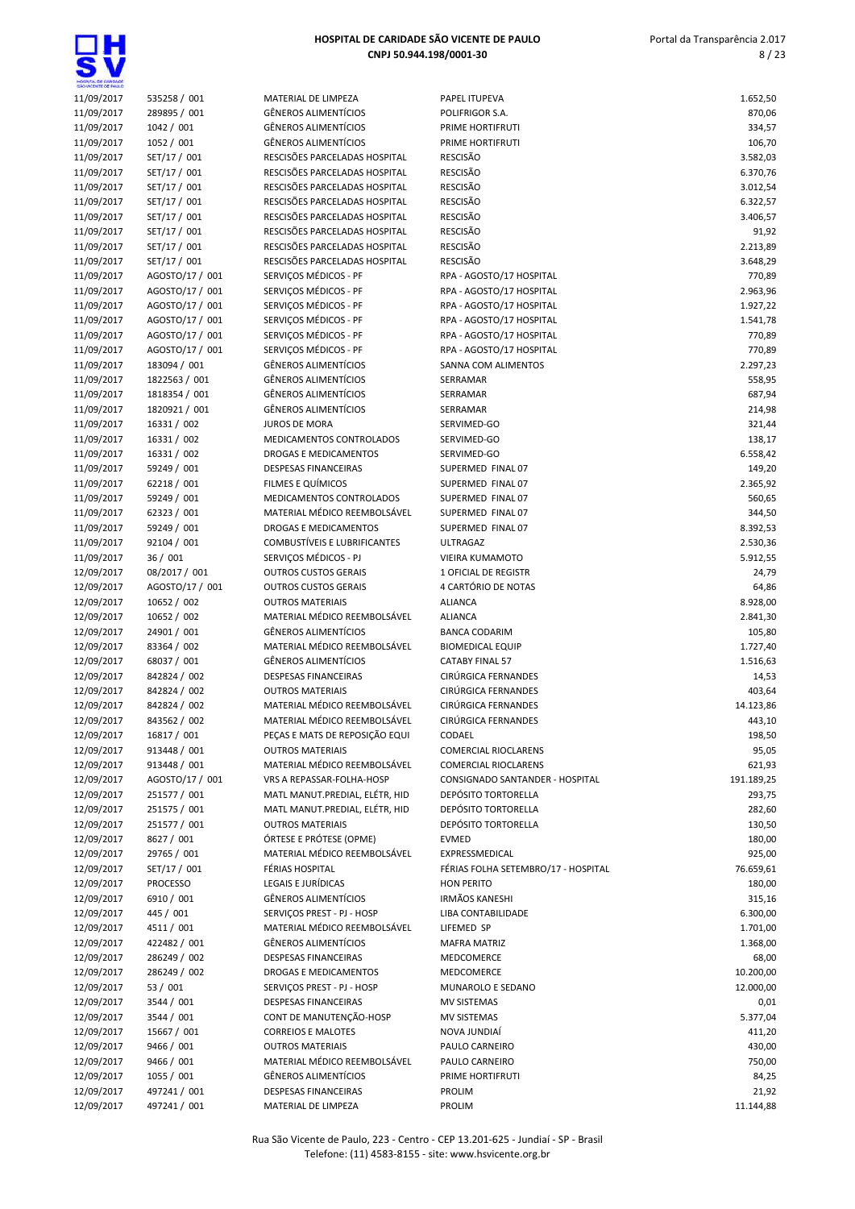| HOSPITAL DE CARDADE      |                                |                                                             |                                                       |                      |
|--------------------------|--------------------------------|-------------------------------------------------------------|-------------------------------------------------------|----------------------|
| 11/09/2017               | 535258 / 001                   | <b>MATERIAL DE LIMPEZA</b>                                  | PAPEL ITUPEVA                                         | 1.652,50             |
| 11/09/2017               | 289895 / 001                   | <b>GÊNEROS ALIMENTÍCIOS</b>                                 | POLIFRIGOR S.A.                                       | 870,06               |
| 11/09/2017               | 1042 / 001                     | <b>GÊNEROS ALIMENTÍCIOS</b>                                 | PRIME HORTIFRUTI                                      | 334,57               |
| 11/09/2017               | 1052 / 001                     | GÊNEROS ALIMENTÍCIOS<br>RESCISÕES PARCELADAS HOSPITAL       | PRIME HORTIFRUTI<br><b>RESCISÃO</b>                   | 106,70               |
| 11/09/2017<br>11/09/2017 | SET/17 / 001<br>SET/17 / 001   | RESCISÕES PARCELADAS HOSPITAL                               | <b>RESCISÃO</b>                                       | 3.582,03<br>6.370,76 |
| 11/09/2017               | SET/17 / 001                   | RESCISÕES PARCELADAS HOSPITAL                               | <b>RESCISÃO</b>                                       | 3.012,54             |
| 11/09/2017               | SET/17 / 001                   | RESCISÕES PARCELADAS HOSPITAL                               | <b>RESCISÃO</b>                                       | 6.322,57             |
| 11/09/2017               | SET/17 / 001                   | RESCISÕES PARCELADAS HOSPITAL                               | <b>RESCISÃO</b>                                       | 3.406,57             |
| 11/09/2017               | SET/17 / 001                   | RESCISÕES PARCELADAS HOSPITAL                               | <b>RESCISÃO</b>                                       | 91,92                |
| 11/09/2017               | SET/17 / 001                   | RESCISÕES PARCELADAS HOSPITAL                               | <b>RESCISÃO</b>                                       | 2.213,89             |
| 11/09/2017               | SET/17 / 001                   | RESCISÕES PARCELADAS HOSPITAL                               | <b>RESCISÃO</b>                                       | 3.648,29             |
| 11/09/2017               | AGOSTO/17 / 001                | SERVICOS MÉDICOS - PF                                       | RPA - AGOSTO/17 HOSPITAL                              | 770,89               |
| 11/09/2017               | AGOSTO/17 / 001                | SERVIÇOS MÉDICOS - PF                                       | RPA - AGOSTO/17 HOSPITAL                              | 2.963,96             |
| 11/09/2017               | AGOSTO/17 / 001                | SERVIÇOS MÉDICOS - PF                                       | RPA - AGOSTO/17 HOSPITAL                              | 1.927,22             |
| 11/09/2017               | AGOSTO/17 / 001                | SERVIÇOS MÉDICOS - PF                                       | RPA - AGOSTO/17 HOSPITAL                              | 1.541,78             |
| 11/09/2017               | AGOSTO/17 / 001                | SERVIÇOS MÉDICOS - PF                                       | RPA - AGOSTO/17 HOSPITAL                              | 770,89               |
| 11/09/2017               | AGOSTO/17 / 001                | SERVIÇOS MÉDICOS - PF                                       | RPA - AGOSTO/17 HOSPITAL                              | 770,89               |
| 11/09/2017               | 183094 / 001                   | <b>GÊNEROS ALIMENTÍCIOS</b>                                 | SANNA COM ALIMENTOS                                   | 2.297,23             |
| 11/09/2017               | 1822563 / 001                  | <b>GÊNEROS ALIMENTÍCIOS</b><br>GÊNEROS ALIMENTÍCIOS         | SERRAMAR                                              | 558,95<br>687,94     |
| 11/09/2017<br>11/09/2017 | 1818354 / 001<br>1820921 / 001 | <b>GÊNEROS ALIMENTÍCIOS</b>                                 | SERRAMAR<br>SERRAMAR                                  | 214,98               |
| 11/09/2017               | 16331 / 002                    | <b>JUROS DE MORA</b>                                        | SERVIMED-GO                                           | 321,44               |
| 11/09/2017               | 16331 / 002                    | MEDICAMENTOS CONTROLADOS                                    | SERVIMED-GO                                           | 138,17               |
| 11/09/2017               | 16331 / 002                    | <b>DROGAS E MEDICAMENTOS</b>                                | SERVIMED-GO                                           | 6.558,42             |
| 11/09/2017               | 59249 / 001                    | <b>DESPESAS FINANCEIRAS</b>                                 | SUPERMED FINAL 07                                     | 149,20               |
| 11/09/2017               | 62218 / 001                    | FILMES E QUÍMICOS                                           | SUPERMED FINAL 07                                     | 2.365,92             |
| 11/09/2017               | 59249 / 001                    | MEDICAMENTOS CONTROLADOS                                    | SUPERMED FINAL 07                                     | 560,65               |
| 11/09/2017               | 62323 / 001                    | MATERIAL MÉDICO REEMBOLSÁVEL                                | SUPERMED FINAL 07                                     | 344,50               |
| 11/09/2017               | 59249 / 001                    | DROGAS E MEDICAMENTOS                                       | SUPERMED FINAL 07                                     | 8.392,53             |
| 11/09/2017               | 92104 / 001                    | <b>COMBUSTIVEIS E LUBRIFICANTES</b>                         | <b>ULTRAGAZ</b>                                       | 2.530,36             |
| 11/09/2017               | 36/001                         | SERVIÇOS MÉDICOS - PJ                                       | <b>VIEIRA KUMAMOTO</b>                                | 5.912,55             |
| 12/09/2017               | 08/2017 / 001                  | <b>OUTROS CUSTOS GERAIS</b>                                 | 1 OFICIAL DE REGISTR                                  | 24,79                |
| 12/09/2017               | AGOSTO/17 / 001                | <b>OUTROS CUSTOS GERAIS</b>                                 | 4 CARTÓRIO DE NOTAS                                   | 64,86                |
| 12/09/2017               | 10652 / 002                    | <b>OUTROS MATERIAIS</b>                                     | <b>ALIANCA</b>                                        | 8.928,00             |
| 12/09/2017               | 10652 / 002<br>24901 / 001     | MATERIAL MÉDICO REEMBOLSÁVEL<br><b>GÊNEROS ALIMENTÍCIOS</b> | <b>ALIANCA</b><br><b>BANCA CODARIM</b>                | 2.841,30             |
| 12/09/2017<br>12/09/2017 | 83364 / 002                    | MATERIAL MÉDICO REEMBOLSÁVEL                                | <b>BIOMEDICAL EQUIP</b>                               | 105,80<br>1.727,40   |
| 12/09/2017               | 68037 / 001                    | <b>GÊNEROS ALIMENTÍCIOS</b>                                 | <b>CATABY FINAL 57</b>                                | 1.516,63             |
| 12/09/2017               | 842824 / 002                   | DESPESAS FINANCEIRAS                                        | CIRÚRGICA FERNANDES                                   | 14,53                |
| 12/09/2017               | 842824 / 002                   | <b>OUTROS MATERIAIS</b>                                     | CIRÚRGICA FERNANDES                                   | 403,64               |
| 12/09/2017               | 842824 / 002                   | MATERIAL MÉDICO REEMBOLSÁVEL                                | CIRÚRGICA FERNANDES                                   | 14.123,86            |
| 12/09/2017               | 843562 / 002                   | MATERIAL MÉDICO REEMBOLSÁVEL                                | CIRÚRGICA FERNANDES                                   | 443,10               |
| 12/09/2017               | 16817 / 001                    | PEÇAS E MATS DE REPOSIÇÃO EQUI                              | CODAEL                                                | 198,50               |
| 12/09/2017               | 913448 / 001                   | <b>OUTROS MATERIAIS</b>                                     | <b>COMERCIAL RIOCLARENS</b>                           | 95,05                |
| 12/09/2017               | 913448 / 001                   | MATERIAL MÉDICO REEMBOLSÁVEL                                | <b>COMERCIAL RIOCLARENS</b>                           | 621,93               |
| 12/09/2017               | AGOSTO/17 / 001                | VRS A REPASSAR-FOLHA-HOSP                                   | CONSIGNADO SANTANDER - HOSPITAL                       | 191.189,25           |
| 12/09/2017               | 251577 / 001                   | MATL MANUT.PREDIAL, ELÉTR, HID                              | <b>DEPÓSITO TORTORELLA</b>                            | 293,75               |
| 12/09/2017               | 251575 / 001                   | MATL MANUT.PREDIAL, ELÉTR, HID                              | <b>DEPÓSITO TORTORELLA</b>                            | 282,60               |
| 12/09/2017               | 251577 / 001                   | <b>OUTROS MATERIAIS</b>                                     | <b>DEPÓSITO TORTORELLA</b>                            | 130,50               |
| 12/09/2017               | 8627 / 001                     | ÓRTESE E PRÓTESE (OPME)                                     | <b>EVMED</b>                                          | 180,00               |
| 12/09/2017<br>12/09/2017 | 29765 / 001<br>SET/17 / 001    | MATERIAL MÉDICO REEMBOLSÁVEL<br>FÉRIAS HOSPITAL             | EXPRESSMEDICAL<br>FÉRIAS FOLHA SETEMBRO/17 - HOSPITAL | 925,00<br>76.659,61  |
| 12/09/2017               | <b>PROCESSO</b>                | LEGAIS E JURÍDICAS                                          | <b>HON PERITO</b>                                     | 180,00               |
| 12/09/2017               | 6910 / 001                     | <b>GÊNEROS ALIMENTÍCIOS</b>                                 | <b>IRMÃOS KANESHI</b>                                 | 315,16               |
| 12/09/2017               | 445 / 001                      | SERVIÇOS PREST - PJ - HOSP                                  | LIBA CONTABILIDADE                                    | 6.300,00             |
| 12/09/2017               | 4511 / 001                     | MATERIAL MÉDICO REEMBOLSÁVEL                                | LIFEMED SP                                            | 1.701,00             |
| 12/09/2017               | 422482 / 001                   | GÊNEROS ALIMENTÍCIOS                                        | <b>MAFRA MATRIZ</b>                                   | 1.368,00             |
| 12/09/2017               | 286249 / 002                   | DESPESAS FINANCEIRAS                                        | MEDCOMERCE                                            | 68,00                |
| 12/09/2017               | 286249 / 002                   | DROGAS E MEDICAMENTOS                                       | MEDCOMERCE                                            | 10.200,00            |
| 12/09/2017               | 53 / 001                       | SERVIÇOS PREST - PJ - HOSP                                  | MUNAROLO E SEDANO                                     | 12.000,00            |
| 12/09/2017               | 3544 / 001                     | <b>DESPESAS FINANCEIRAS</b>                                 | MV SISTEMAS                                           | 0,01                 |
| 12/09/2017               | 3544 / 001                     | CONT DE MANUTENÇÃO-HOSP                                     | MV SISTEMAS                                           | 5.377,04             |
| 12/09/2017               | 15667 / 001                    | <b>CORREIOS E MALOTES</b>                                   | NOVA JUNDIAÍ                                          | 411,20               |
| 12/09/2017               | 9466 / 001                     | <b>OUTROS MATERIAIS</b>                                     | PAULO CARNEIRO                                        | 430,00               |
| 12/09/2017               | 9466 / 001                     | MATERIAL MÉDICO REEMBOLSÁVEL                                | PAULO CARNEIRO                                        | 750,00               |
| 12/09/2017               | 1055 / 001                     | <b>GÊNEROS ALIMENTÍCIOS</b>                                 | PRIME HORTIFRUTI                                      | 84,25                |
| 12/09/2017               | 497241 / 001                   | <b>DESPESAS FINANCEIRAS</b>                                 | PROLIM                                                | 21,92                |
| 12/09/2017               | 497241 / 001                   | MATERIAL DE LIMPEZA                                         | PROLIM                                                | 11.144,88            |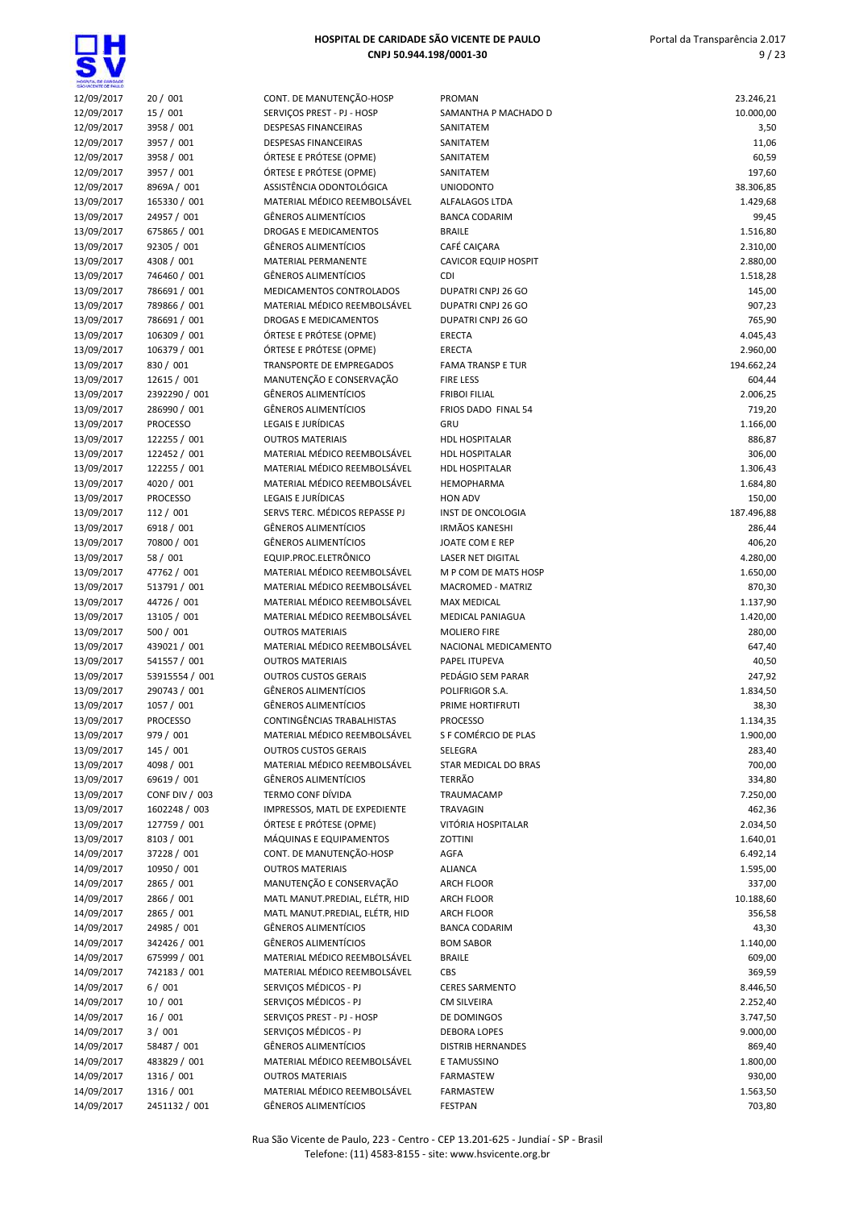

| SÃO VICENTE DE PAIX.O |                 |                                |                               |            |
|-----------------------|-----------------|--------------------------------|-------------------------------|------------|
| 12/09/2017            | 20/001          | CONT. DE MANUTENÇÃO-HOSP       | <b>PROMAN</b>                 | 23.246,21  |
| 12/09/2017            | 15 / 001        | SERVIÇOS PREST - PJ - HOSP     | SAMANTHA P MACHADO D          | 10.000,00  |
| 12/09/2017            | 3958 / 001      | <b>DESPESAS FINANCEIRAS</b>    | SANITATEM                     | 3,50       |
| 12/09/2017            | 3957 / 001      | <b>DESPESAS FINANCEIRAS</b>    | SANITATEM                     | 11,06      |
| 12/09/2017            | 3958 / 001      | ÓRTESE E PRÓTESE (OPME)        | SANITATEM                     | 60,59      |
| 12/09/2017            | 3957 / 001      | ÓRTESE E PRÓTESE (OPME)        | SANITATEM                     | 197,60     |
| 12/09/2017            | 8969A / 001     | ASSISTÊNCIA ODONTOLÓGICA       | <b>UNIODONTO</b>              | 38.306,85  |
| 13/09/2017            | 165330 / 001    | MATERIAL MÉDICO REEMBOLSÁVEL   | ALFALAGOS LTDA                | 1.429,68   |
| 13/09/2017            | 24957 / 001     | <b>GÊNEROS ALIMENTÍCIOS</b>    | <b>BANCA CODARIM</b>          | 99,45      |
| 13/09/2017            | 675865 / 001    | DROGAS E MEDICAMENTOS          | <b>BRAILE</b>                 | 1.516,80   |
| 13/09/2017            | 92305 / 001     | <b>GÊNEROS ALIMENTÍCIOS</b>    | CAFÉ CAIÇARA                  | 2.310,00   |
| 13/09/2017            | 4308 / 001      | <b>MATERIAL PERMANENTE</b>     | <b>CAVICOR EQUIP HOSPIT</b>   | 2.880,00   |
| 13/09/2017            | 746460 / 001    | <b>GÊNEROS ALIMENTÍCIOS</b>    | <b>CDI</b>                    | 1.518,28   |
| 13/09/2017            | 786691 / 001    | MEDICAMENTOS CONTROLADOS       | <b>DUPATRI CNPJ 26 GO</b>     | 145,00     |
| 13/09/2017            | 789866 / 001    | MATERIAL MÉDICO REEMBOLSÁVEL   | DUPATRI CNPJ 26 GO            | 907,23     |
| 13/09/2017            | 786691 / 001    | <b>DROGAS E MEDICAMENTOS</b>   | DUPATRI CNPJ 26 GO            | 765,90     |
| 13/09/2017            | 106309 / 001    | ÓRTESE E PRÓTESE (OPME)        | ERECTA                        | 4.045,43   |
| 13/09/2017            | 106379 / 001    | ÓRTESE E PRÓTESE (OPME)        | ERECTA                        | 2.960,00   |
| 13/09/2017            | 830 / 001       | TRANSPORTE DE EMPREGADOS       | <b>FAMA TRANSP E TUR</b>      | 194.662,24 |
| 13/09/2017            | 12615 / 001     | MANUTENÇÃO E CONSERVAÇÃO       | <b>FIRE LESS</b>              | 604,44     |
| 13/09/2017            | 2392290 / 001   | <b>GÊNEROS ALIMENTÍCIOS</b>    | <b>FRIBOI FILIAL</b>          | 2.006,25   |
| 13/09/2017            | 286990 / 001    | <b>GÊNEROS ALIMENTÍCIOS</b>    | FRIOS DADO FINAL 54           | 719,20     |
| 13/09/2017            | <b>PROCESSO</b> | LEGAIS E JURÍDICAS             | GRU                           | 1.166,00   |
| 13/09/2017            | 122255 / 001    | <b>OUTROS MATERIAIS</b>        | <b>HDL HOSPITALAR</b>         | 886,87     |
| 13/09/2017            | 122452 / 001    | MATERIAL MÉDICO REEMBOLSÁVEL   | <b>HDL HOSPITALAR</b>         | 306,00     |
| 13/09/2017            | 122255 / 001    | MATERIAL MÉDICO REEMBOLSÁVEL   | <b>HDL HOSPITALAR</b>         | 1.306,43   |
| 13/09/2017            | 4020 / 001      | MATERIAL MÉDICO REEMBOLSÁVEL   | HEMOPHARMA                    | 1.684,80   |
|                       | <b>PROCESSO</b> | <b>LEGAIS E JURÍDICAS</b>      | HON ADV                       | 150,00     |
| 13/09/2017            |                 |                                |                               |            |
| 13/09/2017            | 112 / 001       | SERVS TERC. MÉDICOS REPASSE PJ | INST DE ONCOLOGIA             | 187.496,88 |
| 13/09/2017            | 6918 / 001      | <b>GÊNEROS ALIMENTÍCIOS</b>    | <b>IRMÃOS KANESHI</b>         | 286,44     |
| 13/09/2017            | 70800 / 001     | <b>GÊNEROS ALIMENTÍCIOS</b>    | JOATE COM E REP               | 406,20     |
| 13/09/2017            | 58 / 001        | EQUIP.PROC.ELETRÔNICO          | <b>LASER NET DIGITAL</b>      | 4.280,00   |
| 13/09/2017            | 47762 / 001     | MATERIAL MÉDICO REEMBOLSÁVEL   | M P COM DE MATS HOSP          | 1.650,00   |
| 13/09/2017            | 513791 / 001    | MATERIAL MÉDICO REEMBOLSÁVEL   | MACROMED - MATRIZ             | 870,30     |
| 13/09/2017            | 44726 / 001     | MATERIAL MÉDICO REEMBOLSÁVEL   | MAX MEDICAL                   | 1.137,90   |
| 13/09/2017            | 13105 / 001     | MATERIAL MÉDICO REEMBOLSÁVEL   | MEDICAL PANIAGUA              | 1.420,00   |
| 13/09/2017            | 500 / 001       | <b>OUTROS MATERIAIS</b>        | <b>MOLIERO FIRE</b>           | 280,00     |
| 13/09/2017            | 439021 / 001    | MATERIAL MÉDICO REEMBOLSÁVEL   | NACIONAL MEDICAMENTO          | 647,40     |
| 13/09/2017            | 541557 / 001    | <b>OUTROS MATERIAIS</b>        | PAPEL ITUPEVA                 | 40,50      |
| 13/09/2017            | 53915554 / 001  | <b>OUTROS CUSTOS GERAIS</b>    | PEDÁGIO SEM PARAR             | 247,92     |
| 13/09/2017            | 290743 / 001    | <b>GÊNEROS ALIMENTÍCIOS</b>    | POLIFRIGOR S.A.               | 1.834,50   |
| 13/09/2017            | 1057 / 001      | <b>GÊNEROS ALIMENTÍCIOS</b>    | PRIME HORTIFRUTI              | 38,30      |
| 13/09/2017            | <b>PROCESSO</b> | CONTINGÊNCIAS TRABALHISTAS     | <b>PROCESSO</b>               | 1.134,35   |
| 13/09/2017            | 979 / 001       | MATERIAL MÉDICO REEMBOLSÁVEL   | S F COMÉRCIO DE PLAS          | 1.900,00   |
| 13/09/2017            | 145 / 001       | <b>OUTROS CUSTOS GERAIS</b>    | SELEGRA                       | 283,40     |
| 13/09/2017            | 4098 / 001      | MATERIAL MÉDICO REEMBOLSÁVEL   | STAR MEDICAL DO BRAS          | 700,00     |
| 13/09/2017            | 69619 / 001     | <b>GÊNEROS ALIMENTÍCIOS</b>    | TERRÃO                        | 334,80     |
| 13/09/2017            | CONF DIV / 003  | TERMO CONF DÍVIDA              | TRAUMACAMP                    | 7.250,00   |
| 13/09/2017            | 1602248 / 003   | IMPRESSOS, MATL DE EXPEDIENTE  | TRAVAGIN                      | 462,36     |
| 13/09/2017            | 127759 / 001    | ÓRTESE E PRÓTESE (OPME)        | VITÓRIA HOSPITALAR            | 2.034,50   |
| 13/09/2017            | 8103 / 001      | MÁQUINAS E EQUIPAMENTOS        | ZOTTINI                       | 1.640,01   |
| 14/09/2017            | 37228 / 001     | CONT. DE MANUTENÇÃO-HOSP       | AGFA                          | 6.492,14   |
| 14/09/2017            | 10950 / 001     | <b>OUTROS MATERIAIS</b>        | <b>ALIANCA</b>                | 1.595,00   |
| 14/09/2017            | 2865 / 001      | MANUTENÇÃO E CONSERVAÇÃO       | <b>ARCH FLOOR</b>             | 337,00     |
| 14/09/2017            | 2866 / 001      | MATL MANUT.PREDIAL, ELÉTR, HID | <b>ARCH FLOOR</b>             | 10.188,60  |
| 14/09/2017            | 2865 / 001      | MATL MANUT.PREDIAL, ELÉTR, HID | <b>ARCH FLOOR</b>             | 356,58     |
| 14/09/2017            | 24985 / 001     | <b>GÊNEROS ALIMENTÍCIOS</b>    | <b>BANCA CODARIM</b>          | 43,30      |
| 14/09/2017            | 342426 / 001    | <b>GÊNEROS ALIMENTÍCIOS</b>    | <b>BOM SABOR</b>              | 1.140,00   |
| 14/09/2017            | 675999 / 001    | MATERIAL MÉDICO REEMBOLSÁVEL   | <b>BRAILE</b>                 | 609,00     |
| 14/09/2017            | 742183 / 001    | MATERIAL MÉDICO REEMBOLSÁVEL   | CBS                           | 369,59     |
| 14/09/2017            | 6/001           | SERVIÇOS MÉDICOS - PJ          | <b>CERES SARMENTO</b>         | 8.446,50   |
| 14/09/2017            | 10/001          | SERVIÇOS MÉDICOS - PJ          | CM SILVEIRA                   | 2.252,40   |
| 14/09/2017            | 16/001          | SERVIÇOS PREST - PJ - HOSP     | DE DOMINGOS                   | 3.747,50   |
| 14/09/2017            | 3/001           | SERVIÇOS MÉDICOS - PJ          | <b>DEBORA LOPES</b>           | 9.000,00   |
| 14/09/2017            | 58487 / 001     | <b>GÊNEROS ALIMENTÍCIOS</b>    | <b>DISTRIB HERNANDES</b>      | 869,40     |
| 14/09/2017            | 483829 / 001    | MATERIAL MÉDICO REEMBOLSÁVEL   | E TAMUSSINO                   | 1.800,00   |
| 14/09/2017            | 1316 / 001      | <b>OUTROS MATERIAIS</b>        |                               | 930,00     |
| 14/09/2017            | 1316 / 001      | MATERIAL MÉDICO REEMBOLSÁVEL   | <b>FARMASTEW</b><br>FARMASTEW | 1.563,50   |
| 14/09/2017            | 2451132 / 001   | GÊNEROS ALIMENTÍCIOS           | <b>FFSTPAN</b>                | 703.80     |
|                       |                 |                                |                               |            |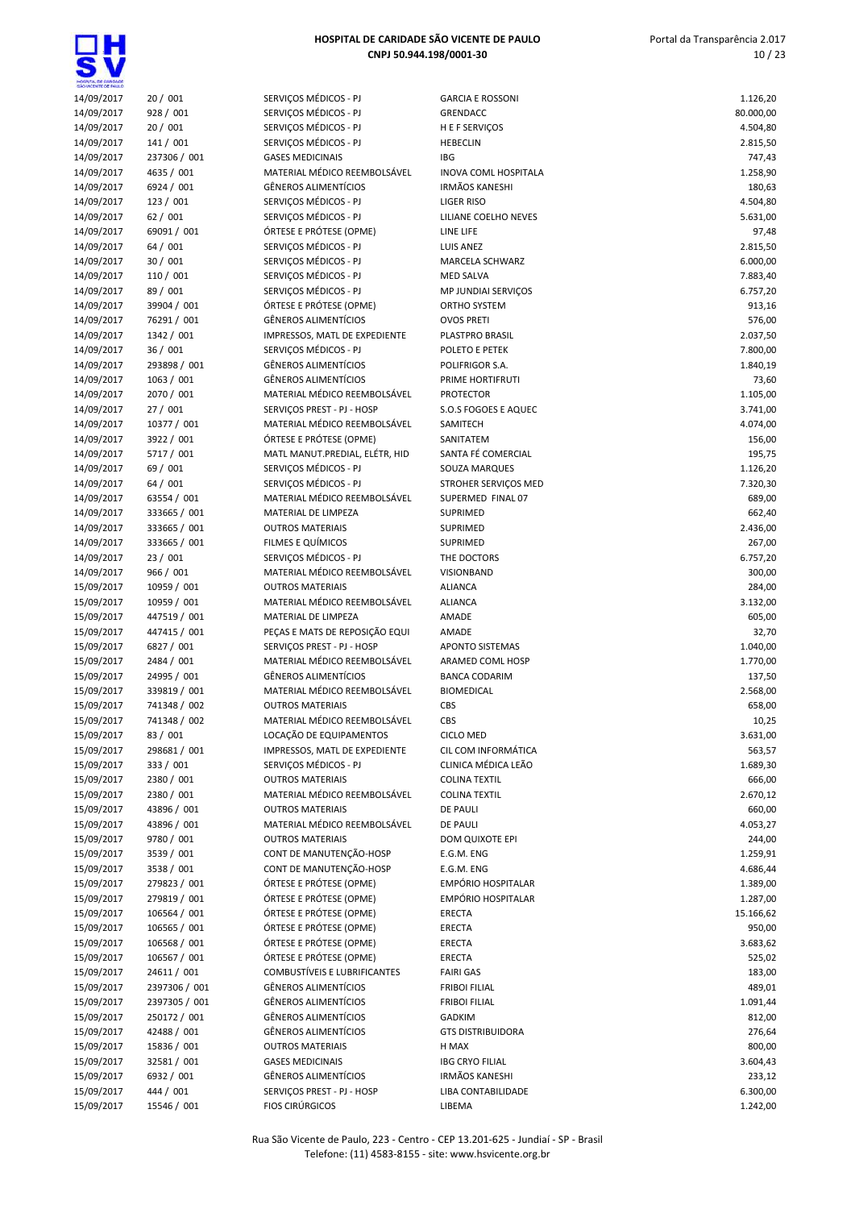| HOSPITA, DE CARDADE      |                              |                                                         |                                     |                    |
|--------------------------|------------------------------|---------------------------------------------------------|-------------------------------------|--------------------|
| 14/09/2017               | 20/001                       | SERVIÇOS MÉDICOS - PJ                                   | <b>GARCIA E ROSSONI</b>             | 1.126,20           |
| 14/09/2017               | 928 / 001                    | SERVIÇOS MÉDICOS - PJ                                   | <b>GRENDACC</b>                     | 80.000,00          |
| 14/09/2017               | 20/001                       | SERVIÇOS MÉDICOS - PJ                                   | H E F SERVIÇOS                      | 4.504,80           |
| 14/09/2017<br>14/09/2017 | 141 / 001<br>237306 / 001    | SERVIÇOS MÉDICOS - PJ<br><b>GASES MEDICINAIS</b>        | <b>HEBECLIN</b><br><b>IBG</b>       | 2.815,50<br>747,43 |
| 14/09/2017               | 4635 / 001                   | MATERIAL MÉDICO REEMBOLSÁVEL                            | INOVA COML HOSPITALA                | 1.258,90           |
| 14/09/2017               | 6924 / 001                   | <b>GÊNEROS ALIMENTÍCIOS</b>                             | <b>IRMÃOS KANESHI</b>               | 180,63             |
| 14/09/2017               | 123/001                      | SERVIÇOS MÉDICOS - PJ                                   | <b>LIGER RISO</b>                   | 4.504,80           |
| 14/09/2017               | 62/001                       | SERVIÇOS MÉDICOS - PJ                                   | LILIANE COELHO NEVES                | 5.631,00           |
| 14/09/2017               | 69091 / 001                  | ÓRTESE E PRÓTESE (OPME)                                 | LINE LIFE                           | 97,48              |
| 14/09/2017               | 64 / 001                     | SERVIÇOS MÉDICOS - PJ                                   | <b>LUIS ANEZ</b>                    | 2.815,50           |
| 14/09/2017               | 30 / 001                     | SERVIÇOS MÉDICOS - PJ                                   | MARCELA SCHWARZ                     | 6.000,00           |
| 14/09/2017               | 110 / 001<br>89 / 001        | SERVIÇOS MÉDICOS - PJ<br>SERVIÇOS MÉDICOS - PJ          | <b>MED SALVA</b>                    | 7.883,40           |
| 14/09/2017<br>14/09/2017 | 39904 / 001                  | ÓRTESE E PRÓTESE (OPME)                                 | MP JUNDIAI SERVIÇOS<br>ORTHO SYSTEM | 6.757,20<br>913,16 |
| 14/09/2017               | 76291 / 001                  | <b>GÊNEROS ALIMENTÍCIOS</b>                             | <b>OVOS PRETI</b>                   | 576,00             |
| 14/09/2017               | 1342 / 001                   | IMPRESSOS, MATL DE EXPEDIENTE                           | PLASTPRO BRASIL                     | 2.037,50           |
| 14/09/2017               | 36/001                       | SERVIÇOS MÉDICOS - PJ                                   | POLETO E PETEK                      | 7.800,00           |
| 14/09/2017               | 293898 / 001                 | <b>GÊNEROS ALIMENTÍCIOS</b>                             | POLIFRIGOR S.A.                     | 1.840,19           |
| 14/09/2017               | 1063 / 001                   | <b>GÊNEROS ALIMENTÍCIOS</b>                             | PRIME HORTIFRUTI                    | 73,60              |
| 14/09/2017               | 2070 / 001                   | MATERIAL MÉDICO REEMBOLSÁVEL                            | <b>PROTECTOR</b>                    | 1.105,00           |
| 14/09/2017               | 27/001                       | SERVIÇOS PREST - PJ - HOSP                              | S.O.S FOGOES E AQUEC                | 3.741,00           |
| 14/09/2017               | 10377 / 001                  | MATERIAL MÉDICO REEMBOLSÁVEL                            | SAMITECH                            | 4.074,00           |
| 14/09/2017               | 3922 / 001                   | ÓRTESE E PRÓTESE (OPME)                                 | SANITATEM                           | 156,00             |
| 14/09/2017<br>14/09/2017 | 5717 / 001<br>69 / 001       | MATL MANUT.PREDIAL, ELÉTR, HID<br>SERVIÇOS MÉDICOS - PJ | SANTA FÉ COMERCIAL<br>SOUZA MARQUES | 195,75<br>1.126,20 |
| 14/09/2017               | 64/001                       | SERVIÇOS MÉDICOS - PJ                                   | STROHER SERVICOS MED                | 7.320,30           |
| 14/09/2017               | 63554 / 001                  | MATERIAL MÉDICO REEMBOLSÁVEL                            | SUPERMED FINAL 07                   | 689,00             |
| 14/09/2017               | 333665 / 001                 | MATERIAL DE LIMPEZA                                     | SUPRIMED                            | 662,40             |
| 14/09/2017               | 333665 / 001                 | <b>OUTROS MATERIAIS</b>                                 | SUPRIMED                            | 2.436,00           |
| 14/09/2017               | 333665 / 001                 | FILMES E QUÍMICOS                                       | <b>SUPRIMED</b>                     | 267,00             |
| 14/09/2017               | 23 / 001                     | SERVIÇOS MÉDICOS - PJ                                   | THE DOCTORS                         | 6.757,20           |
| 14/09/2017               | 966 / 001                    | MATERIAL MÉDICO REEMBOLSÁVEL                            | <b>VISIONBAND</b>                   | 300,00             |
| 15/09/2017               | 10959 / 001                  | <b>OUTROS MATERIAIS</b>                                 | <b>ALIANCA</b>                      | 284,00             |
| 15/09/2017               | 10959 / 001                  | MATERIAL MÉDICO REEMBOLSÁVEL                            | <b>ALIANCA</b>                      | 3.132,00           |
| 15/09/2017<br>15/09/2017 | 447519 / 001<br>447415 / 001 | MATERIAL DE LIMPEZA<br>PEÇAS E MATS DE REPOSIÇÃO EQUI   | AMADE<br>AMADE                      | 605,00<br>32,70    |
| 15/09/2017               | 6827 / 001                   | SERVIÇOS PREST - PJ - HOSP                              | <b>APONTO SISTEMAS</b>              | 1.040,00           |
| 15/09/2017               | 2484 / 001                   | MATERIAL MÉDICO REEMBOLSÁVEL                            | ARAMED COML HOSP                    | 1.770,00           |
| 15/09/2017               | 24995 / 001                  | <b>GÊNEROS ALIMENTÍCIOS</b>                             | <b>BANCA CODARIM</b>                | 137,50             |
| 15/09/2017               | 339819 / 001                 | MATERIAL MÉDICO REEMBOLSÁVEL                            | <b>BIOMEDICAL</b>                   | 2.568,00           |
| 15/09/2017               | 741348 / 002                 | <b>OUTROS MATERIAIS</b>                                 | CBS                                 | 658,00             |
| 15/09/2017               | 741348 / 002                 | MATERIAL MÉDICO REEMBOLSÁVEL                            | CBS                                 | 10,25              |
| 15/09/2017               | 83 / 001                     | LOCAÇÃO DE EQUIPAMENTOS                                 | <b>CICLO MED</b>                    | 3.631,00           |
| 15/09/2017               | 298681 / 001                 | IMPRESSOS, MATL DE EXPEDIENTE                           | CIL COM INFORMÁTICA                 | 563,57             |
| 15/09/2017               | 333 / 001                    | SERVIÇOS MÉDICOS - PJ                                   | CLINICA MÉDICA LEÃO                 | 1.689,30           |
| 15/09/2017               | 2380 / 001                   | <b>OUTROS MATERIAIS</b>                                 | <b>COLINA TEXTIL</b>                | 666,00             |
| 15/09/2017<br>15/09/2017 | 2380 / 001<br>43896 / 001    | MATERIAL MÉDICO REEMBOLSÁVEL<br><b>OUTROS MATERIAIS</b> | <b>COLINA TEXTIL</b><br>DE PAULI    | 2.670,12<br>660,00 |
| 15/09/2017               | 43896 / 001                  | MATERIAL MÉDICO REEMBOLSÁVEL                            | DE PAULI                            | 4.053,27           |
| 15/09/2017               | 9780 / 001                   | <b>OUTROS MATERIAIS</b>                                 | DOM QUIXOTE EPI                     | 244,00             |
| 15/09/2017               | 3539 / 001                   | CONT DE MANUTENÇÃO-HOSP                                 | E.G.M. ENG                          | 1.259,91           |
| 15/09/2017               | 3538 / 001                   | CONT DE MANUTENÇÃO-HOSP                                 | E.G.M. ENG                          | 4.686,44           |
| 15/09/2017               | 279823 / 001                 | ÓRTESE E PRÓTESE (OPME)                                 | <b>EMPÓRIO HOSPITALAR</b>           | 1.389,00           |
| 15/09/2017               | 279819 / 001                 | ÓRTESE E PRÓTESE (OPME)                                 | EMPÓRIO HOSPITALAR                  | 1.287,00           |
| 15/09/2017               | 106564 / 001                 | ÓRTESE E PRÓTESE (OPME)                                 | <b>ERECTA</b>                       | 15.166,62          |
| 15/09/2017               | 106565 / 001                 | ÓRTESE E PRÓTESE (OPME)                                 | ERECTA                              | 950,00             |
| 15/09/2017               | 106568 / 001                 | ÓRTESE E PRÓTESE (OPME)                                 | ERECTA                              | 3.683,62           |
| 15/09/2017<br>15/09/2017 | 106567 / 001<br>24611 / 001  | ÓRTESE E PRÓTESE (OPME)<br>COMBUSTÍVEIS E LUBRIFICANTES | ERECTA<br><b>FAIRI GAS</b>          | 525,02<br>183,00   |
| 15/09/2017               | 2397306 / 001                | <b>GÊNEROS ALIMENTÍCIOS</b>                             | <b>FRIBOI FILIAL</b>                | 489,01             |
| 15/09/2017               | 2397305 / 001                | <b>GÊNEROS ALIMENTÍCIOS</b>                             | <b>FRIBOI FILIAL</b>                | 1.091,44           |
| 15/09/2017               | 250172 / 001                 | <b>GÊNEROS ALIMENTÍCIOS</b>                             | <b>GADKIM</b>                       | 812,00             |
| 15/09/2017               | 42488 / 001                  | <b>GÊNEROS ALIMENTÍCIOS</b>                             | <b>GTS DISTRIBUIDORA</b>            | 276,64             |
| 15/09/2017               | 15836 / 001                  | <b>OUTROS MATERIAIS</b>                                 | H MAX                               | 800,00             |
| 15/09/2017               | 32581 / 001                  | <b>GASES MEDICINAIS</b>                                 | <b>IBG CRYO FILIAL</b>              | 3.604,43           |
| 15/09/2017               | 6932 / 001                   | <b>GÊNEROS ALIMENTÍCIOS</b>                             | <b>IRMÃOS KANESHI</b>               | 233,12             |
| 15/09/2017               | 444 / 001                    | SERVIÇOS PREST - PJ - HOSP                              | LIBA CONTABILIDADE                  | 6.300,00           |
| 15/09/2017               | 15546 / 001                  | <b>FIOS CIRÚRGICOS</b>                                  | LIBEMA                              | 1.242,00           |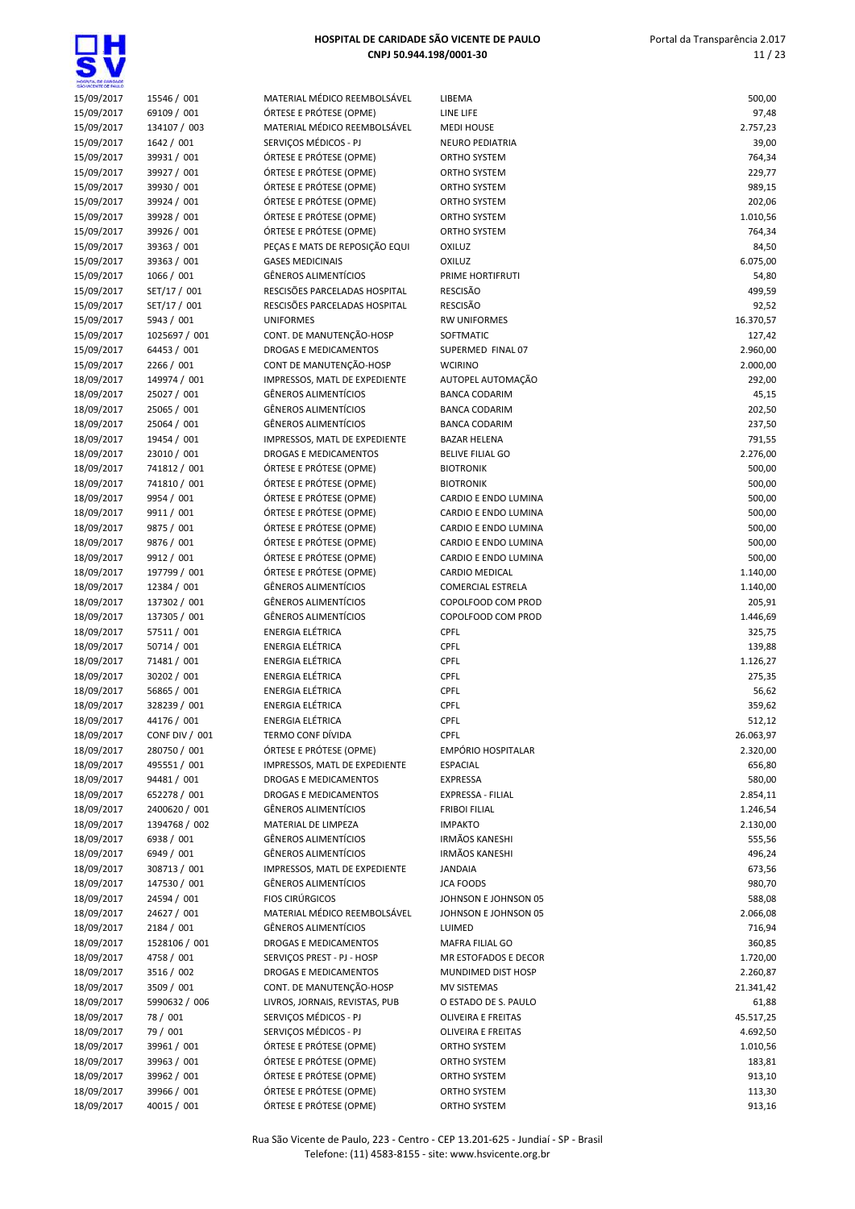

| 15/09/2017 | 15546 / 001                |
|------------|----------------------------|
| 15/09/2017 | 69109 / 001                |
| 15/09/2017 | 134107 / 003               |
| 15/09/2017 | 1642 / 001                 |
|            |                            |
| 15/09/2017 | 39931 / 001                |
| 15/09/2017 | 39927 / 001                |
| 15/09/2017 | 39930 / 001                |
| 15/09/2017 | 39924 / 001                |
| 15/09/2017 | 39928 / 001                |
| 15/09/2017 | 39926 / 001                |
|            |                            |
| 15/09/2017 | 39363 / 001                |
| 15/09/2017 | 39363 / 001                |
| 15/09/2017 | 1066 / 001                 |
| 15/09/2017 | SET/17 / 001               |
| 15/09/2017 | SET/17 / 001               |
| 15/09/2017 | 5943 / 001                 |
|            |                            |
| 15/09/2017 | 1025697 / 001              |
| 15/09/2017 | 64453 / 001                |
| 15/09/2017 | 2266 / 001                 |
| 18/09/2017 | 149974 / 001               |
| 18/09/2017 | 25027 / 001                |
| 18/09/2017 | 25065 / 001                |
| 18/09/2017 | 25064 / 001                |
|            |                            |
| 18/09/2017 | 19454 / 001                |
| 18/09/2017 | 23010 / 001                |
| 18/09/2017 | 741812 / 001               |
| 18/09/2017 | 741810 / 001               |
| 18/09/2017 | 9954 / 001                 |
| 18/09/2017 | 9911 / 001                 |
|            | 9875 / 001                 |
| 18/09/2017 |                            |
| 18/09/2017 | 9876 / 001                 |
| 18/09/2017 | 9912 / 001                 |
| 18/09/2017 | 197799 / 001               |
| 18/09/2017 | 12384 / 001                |
| 18/09/2017 | 137302 / 001               |
|            | 137305 / 001               |
|            |                            |
| 18/09/2017 |                            |
| 18/09/2017 | 57511 / 001                |
| 18/09/2017 | 50714 / 001                |
| 18/09/2017 | 71481 / 001                |
| 18/09/2017 | 30202 / 001                |
| 18/09/2017 | 56865 / 001                |
| 18/09/2017 | 328239 / 001               |
|            |                            |
| 18/09/2017 | 44176 / 001                |
| 18/09/2017 | CONF DIV / 001             |
| 18/09/2017 | 280750 / 001               |
| 18/09/2017 | 495551 / 001               |
| 18/09/2017 | 94481 / 001                |
| 18/09/2017 | 652278 / 001               |
| 18/09/2017 | 2400620/001                |
|            |                            |
| 18/09/2017 | 1394768 / 002              |
| 18/09/2017 | 6938 / 001                 |
| 18/09/2017 | 6949 / 001                 |
| 18/09/2017 | 308713 / 001               |
| 18/09/2017 | 147530 / 001               |
| 18/09/2017 | 24594 / 001                |
| 18/09/2017 | 24627 / 001                |
|            |                            |
| 18/09/2017 | 2184 / 001                 |
| 18/09/2017 | 1528106 / 001              |
| 18/09/2017 | 4758 / 001                 |
| 18/09/2017 | 3516 / 002                 |
| 18/09/2017 | 3509 / 001                 |
| 18/09/2017 | 5990632 / 006              |
| 18/09/2017 | 78/001                     |
|            |                            |
| 18/09/2017 | 79 / 001                   |
| 18/09/2017 | 39961 / 001                |
| 18/09/2017 | 39963 / 001                |
| 18/09/2017 | 39962 / 001                |
| 18/09/2017 | 39966 / 001<br>40015 / 001 |

| <b>ONTESE ET INOTESE (OF IVIE</b> | J   |
|-----------------------------------|-----|
| ÓRTESE E PRÓTESE (OPME)           | O   |
| ÓRTESE E PRÓTESE (OPME)           | O   |
| PEÇAS E MATS DE REPOSIÇÃO EQUI    | O   |
| <b>GASES MEDICINAIS</b>           | O   |
| <b>GÊNEROS ALIMENTÍCIOS</b>       | P   |
| RESCISÕES PARCELADAS HOSPITAL     | R   |
| RESCISÕES PARCELADAS HOSPITAL     | R   |
| <b>UNIFORMES</b>                  | R   |
| CONT. DE MANUTENÇÃO-HOSP          | S   |
| DROGAS E MEDICAMENTOS             | S   |
| CONT DE MANUTENÇÃO-HOSP           | V   |
| IMPRESSOS, MATL DE EXPEDIENTE     |     |
|                                   | A   |
| <b>GÊNEROS ALIMENTÍCIOS</b>       | B   |
| <b>GÊNEROS ALIMENTÍCIOS</b>       | B   |
| <b>GÊNEROS ALIMENTÍCIOS</b>       | B   |
| IMPRESSOS, MATL DE EXPEDIENTE     | B   |
| DROGAS E MEDICAMENTOS             | B   |
| ÓRTESE E PRÓTESE (OPME)           | B   |
| ÓRTESE E PRÓTESE (OPME)           | B   |
| ÓRTESE E PRÓTESE (OPME)           | C   |
| ÓRTESE E PRÓTESE (OPME)           | C   |
| ÓRTESE E PRÓTESE (OPME)           | С   |
| ÓRTESE E PRÓTESE (OPME)           | C   |
| ÓRTESE E PRÓTESE (OPME)           | C   |
| ÓRTESE E PRÓTESE (OPME)           | C   |
| <b>GÊNEROS ALIMENTÍCIOS</b>       | C   |
| <b>GÊNEROS ALIMENTÍCIOS</b>       | C   |
| <b>GÊNEROS ALIMENTÍCIOS</b>       | C   |
| <b>ENERGIA ELÉTRICA</b>           | C   |
| <b>ENERGIA ELÉTRICA</b>           | C   |
| ENERGIA ELÉTRICA                  | C   |
| ENERGIA ELÉTRICA                  | C   |
| ENERGIA ELÉTRICA                  | C   |
| <b>ENERGIA ELÉTRICA</b>           | C   |
| ENERGIA ELÉTRICA                  | C   |
| TERMO CONF DÍVIDA                 | C   |
| ÓRTESE E PRÓTESE (OPME)           | E   |
| IMPRESSOS, MATL DE EXPEDIENTE     | E   |
| DROGAS E MEDICAMENTOS             | E   |
| <b>DROGAS E MEDICAMENTOS</b>      | E   |
| <b>GÊNEROS ALIMENTÍCIOS</b>       | F   |
| MATERIAL DE LIMPEZA               | II) |
| <b>GÊNEROS ALIMENTÍCIOS</b>       | IF  |
| GÊNEROS ALIMENTÍCIOS              | IF  |
| IMPRESSOS, MATL DE EXPEDIENTE     | J   |
| GÊNEROS ALIMENTÍCIOS              | J(  |
| <b>FIOS CIRÚRGICOS</b>            | J(  |
| MATERIAL MÉDICO REEMBOLSÁVEL      |     |
| <b>GÊNEROS ALIMENTÍCIOS</b>       | J(  |
| <b>DROGAS E MEDICAMENTOS</b>      | U   |
|                                   | N   |
| SERVIÇOS PREST - PJ - HOSP        | N   |
| <b>DROGAS E MEDICAMENTOS</b>      | N   |
| CONT. DE MANUTENÇÃO-HOSP          | Ν   |
| LIVROS, JORNAIS, REVISTAS, PUB    | O   |
| SERVIÇOS MÉDICOS - PJ             | O   |
| SERVIÇOS MÉDICOS - PJ             | O   |
| ÓRTESE E PRÓTESE (OPME)           | O   |
| ÓRTESE E PRÓTESE (OPME)           | O   |
| ÓRTESE E PRÓTESE (OPME)           | O   |
| ÓRTESE E PRÓTESE (OPME)           | O   |
|                                   |     |

| SAD VICENTE DE PAULO |                |                                |                          |           |
|----------------------|----------------|--------------------------------|--------------------------|-----------|
| 15/09/2017           | 15546 / 001    | MATERIAL MÉDICO REEMBOLSÁVEL   | LIBEMA                   | 500,00    |
| 15/09/2017           | 69109 / 001    | ÓRTESE E PRÓTESE (OPME)        | LINE LIFE                | 97,48     |
| 15/09/2017           | 134107 / 003   | MATERIAL MÉDICO REEMBOLSÁVEL   | <b>MEDI HOUSE</b>        | 2.757,23  |
| 15/09/2017           | 1642 / 001     | SERVIÇOS MÉDICOS - PJ          | NEURO PEDIATRIA          | 39,00     |
| 15/09/2017           | 39931 / 001    | ÓRTESE E PRÓTESE (OPME)        | ORTHO SYSTEM             | 764,34    |
| 15/09/2017           | 39927 / 001    | ÓRTESE E PRÓTESE (OPME)        | ORTHO SYSTEM             | 229,77    |
| 15/09/2017           | 39930 / 001    | ÓRTESE E PRÓTESE (OPME)        | ORTHO SYSTEM             | 989,15    |
| 15/09/2017           | 39924 / 001    | ÓRTESE E PRÓTESE (OPME)        | ORTHO SYSTEM             | 202,06    |
| 15/09/2017           | 39928 / 001    | ÓRTESE E PRÓTESE (OPME)        | ORTHO SYSTEM             | 1.010,56  |
| 15/09/2017           | 39926 / 001    | ÓRTESE E PRÓTESE (OPME)        | ORTHO SYSTEM             | 764,34    |
| 15/09/2017           | 39363 / 001    | PEÇAS E MATS DE REPOSIÇÃO EQUI | OXILUZ                   | 84,50     |
| 15/09/2017           | 39363 / 001    | <b>GASES MEDICINAIS</b>        | <b>OXILUZ</b>            | 6.075,00  |
| 15/09/2017           | 1066 / 001     | GÊNEROS ALIMENTÍCIOS           | PRIME HORTIFRUTI         | 54,80     |
| 15/09/2017           | SET/17 / 001   | RESCISÕES PARCELADAS HOSPITAL  | <b>RESCISÃO</b>          | 499,59    |
| 15/09/2017           | SET/17 / 001   | RESCISÕES PARCELADAS HOSPITAL  | <b>RESCISÃO</b>          | 92,52     |
| 15/09/2017           | 5943 / 001     | <b>UNIFORMES</b>               | <b>RW UNIFORMES</b>      | 16.370,57 |
| 15/09/2017           | 1025697 / 001  | CONT. DE MANUTENÇÃO-HOSP       | SOFTMATIC                | 127,42    |
| 15/09/2017           | 64453 / 001    | DROGAS E MEDICAMENTOS          | SUPERMED FINAL 07        | 2.960,00  |
| 15/09/2017           | 2266 / 001     | CONT DE MANUTENÇÃO-HOSP        | <b>WCIRINO</b>           | 2.000,00  |
| 18/09/2017           | 149974 / 001   | IMPRESSOS, MATL DE EXPEDIENTE  | AUTOPEL AUTOMAÇÃO        | 292,00    |
|                      | 25027 / 001    | <b>GÊNEROS ALIMENTÍCIOS</b>    | <b>BANCA CODARIM</b>     |           |
| 18/09/2017           |                |                                |                          | 45,15     |
| 18/09/2017           | 25065 / 001    | GÊNEROS ALIMENTÍCIOS           | <b>BANCA CODARIM</b>     | 202,50    |
| 18/09/2017           | 25064 / 001    | <b>GÊNEROS ALIMENTÍCIOS</b>    | <b>BANCA CODARIM</b>     | 237,50    |
| 18/09/2017           | 19454 / 001    | IMPRESSOS, MATL DE EXPEDIENTE  | <b>BAZAR HELENA</b>      | 791,55    |
| 18/09/2017           | 23010 / 001    | DROGAS E MEDICAMENTOS          | <b>BELIVE FILIAL GO</b>  | 2.276,00  |
| 18/09/2017           | 741812 / 001   | ÓRTESE E PRÓTESE (OPME)        | <b>BIOTRONIK</b>         | 500,00    |
| 18/09/2017           | 741810 / 001   | ÓRTESE E PRÓTESE (OPME)        | <b>BIOTRONIK</b>         | 500,00    |
| 18/09/2017           | 9954 / 001     | ÓRTESE E PRÓTESE (OPME)        | CARDIO E ENDO LUMINA     | 500,00    |
| 18/09/2017           | 9911 / 001     | ÓRTESE E PRÓTESE (OPME)        | CARDIO E ENDO LUMINA     | 500,00    |
| 18/09/2017           | 9875 / 001     | ÓRTESE E PRÓTESE (OPME)        | CARDIO E ENDO LUMINA     | 500,00    |
| 18/09/2017           | 9876 / 001     | ÓRTESE E PRÓTESE (OPME)        | CARDIO E ENDO LUMINA     | 500,00    |
| 18/09/2017           | 9912 / 001     | ÓRTESE E PRÓTESE (OPME)        | CARDIO E ENDO LUMINA     | 500,00    |
| 18/09/2017           | 197799 / 001   | ÓRTESE E PRÓTESE (OPME)        | CARDIO MEDICAL           | 1.140,00  |
| 18/09/2017           | 12384 / 001    | GÊNEROS ALIMENTÍCIOS           | <b>COMERCIAL ESTRELA</b> | 1.140,00  |
| 18/09/2017           | 137302 / 001   | GÊNEROS ALIMENTÍCIOS           | COPOLFOOD COM PROD       | 205,91    |
| 18/09/2017           | 137305 / 001   | <b>GÊNEROS ALIMENTÍCIOS</b>    | COPOLFOOD COM PROD       | 1.446,69  |
| 18/09/2017           | 57511 / 001    | ENERGIA ELÉTRICA               | CPFL                     | 325,75    |
| 18/09/2017           | 50714 / 001    | ENERGIA ELÉTRICA               | CPFL                     | 139,88    |
| 18/09/2017           | 71481 / 001    | ENERGIA ELÉTRICA               | CPFL                     | 1.126,27  |
| 18/09/2017           | 30202 / 001    | ENERGIA ELÉTRICA               | CPFL                     | 275,35    |
| 18/09/2017           | 56865 / 001    | <b>ENERGIA ELÉTRICA</b>        | <b>CPFL</b>              | 56,62     |
| 18/09/2017           | 328239 / 001   | ENERGIA ELÉTRICA               | <b>CPFL</b>              | 359,62    |
| 18/09/2017           | 44176 / 001    | <b>ENERGIA ELÉTRICA</b>        | CPFL                     | 512,12    |
| 18/09/2017           | CONF DIV / 001 | <b>TERMO CONF DÍVIDA</b>       | <b>CPFL</b>              | 26.063,97 |
| 18/09/2017           | 280750 / 001   | ÓRTESE E PRÓTESE (OPME)        | EMPÓRIO HOSPITALAR       | 2.320,00  |
| 18/09/2017           | 495551 / 001   | IMPRESSOS, MATL DE EXPEDIENTE  | <b>ESPACIAL</b>          | 656,80    |
| 18/09/2017           | 94481 / 001    | <b>DROGAS E MEDICAMENTOS</b>   | <b>EXPRESSA</b>          | 580,00    |
| 18/09/2017           | 652278 / 001   | DROGAS E MEDICAMENTOS          | EXPRESSA - FILIAL        | 2.854,11  |
|                      |                | GÊNEROS ALIMENTÍCIOS           | <b>FRIBOI FILIAL</b>     |           |
| 18/09/2017           | 2400620 / 001  |                                | <b>IMPAKTO</b>           | 1.246,54  |
| 18/09/2017           | 1394768 / 002  | MATERIAL DE LIMPEZA            |                          | 2.130,00  |
| 18/09/2017           | 6938 / 001     | GËNEROS ALIMENTÍCIOS           | <b>IRMÃOS KANESHI</b>    | 555,56    |
| 18/09/2017           | 6949 / 001     | GÊNEROS ALIMENTÍCIOS           | <b>IRMÃOS KANESHI</b>    | 496,24    |
| 18/09/2017           | 308713 / 001   | IMPRESSOS, MATL DE EXPEDIENTE  | <b>JANDAIA</b>           | 673,56    |
| 18/09/2017           | 147530 / 001   | GÊNEROS ALIMENTÍCIOS           | <b>JCA FOODS</b>         | 980,70    |
| 18/09/2017           | 24594 / 001    | <b>FIOS CIRÚRGICOS</b>         | JOHNSON E JOHNSON 05     | 588,08    |
| 18/09/2017           | 24627 / 001    | MATERIAL MÉDICO REEMBOLSÁVEL   | JOHNSON E JOHNSON 05     | 2.066,08  |
| 18/09/2017           | 2184 / 001     | GÊNEROS ALIMENTÍCIOS           | LUIMED                   | 716,94    |
| 18/09/2017           | 1528106 / 001  | DROGAS E MEDICAMENTOS          | MAFRA FILIAL GO          | 360,85    |
| 18/09/2017           | 4758 / 001     | SERVIÇOS PREST - PJ - HOSP     | MR ESTOFADOS E DECOR     | 1.720,00  |
| 18/09/2017           | 3516 / 002     | DROGAS E MEDICAMENTOS          | MUNDIMED DIST HOSP       | 2.260,87  |
| 18/09/2017           | 3509 / 001     | CONT. DE MANUTENÇÃO-HOSP       | MV SISTEMAS              | 21.341,42 |
| 18/09/2017           | 5990632 / 006  | LIVROS, JORNAIS, REVISTAS, PUB | O ESTADO DE S. PAULO     | 61,88     |
| 18/09/2017           | 78 / 001       | SERVIÇOS MÉDICOS - PJ          | OLIVEIRA E FREITAS       | 45.517,25 |
| 18/09/2017           | 79 / 001       | SERVIÇOS MÉDICOS - PJ          | OLIVEIRA E FREITAS       | 4.692,50  |
| 18/09/2017           | 39961 / 001    | ÓRTESE E PRÓTESE (OPME)        | ORTHO SYSTEM             | 1.010,56  |
| 18/09/2017           | 39963 / 001    | ÓRTESE E PRÓTESE (OPME)        | ORTHO SYSTEM             | 183,81    |
| 18/09/2017           | 39962 / 001    | ÓRTESE E PRÓTESE (OPME)        | ORTHO SYSTEM             | 913,10    |
| 18/09/2017           | 39966 / 001    | ÓRTESE E PRÓTESE (OPME)        | ORTHO SYSTEM             | 113,30    |
| 18/09/2017           | 40015 / 001    | ÓRTESE E PRÓTESE (OPME)        | ORTHO SYSTEM             | 913,16    |
|                      |                |                                |                          |           |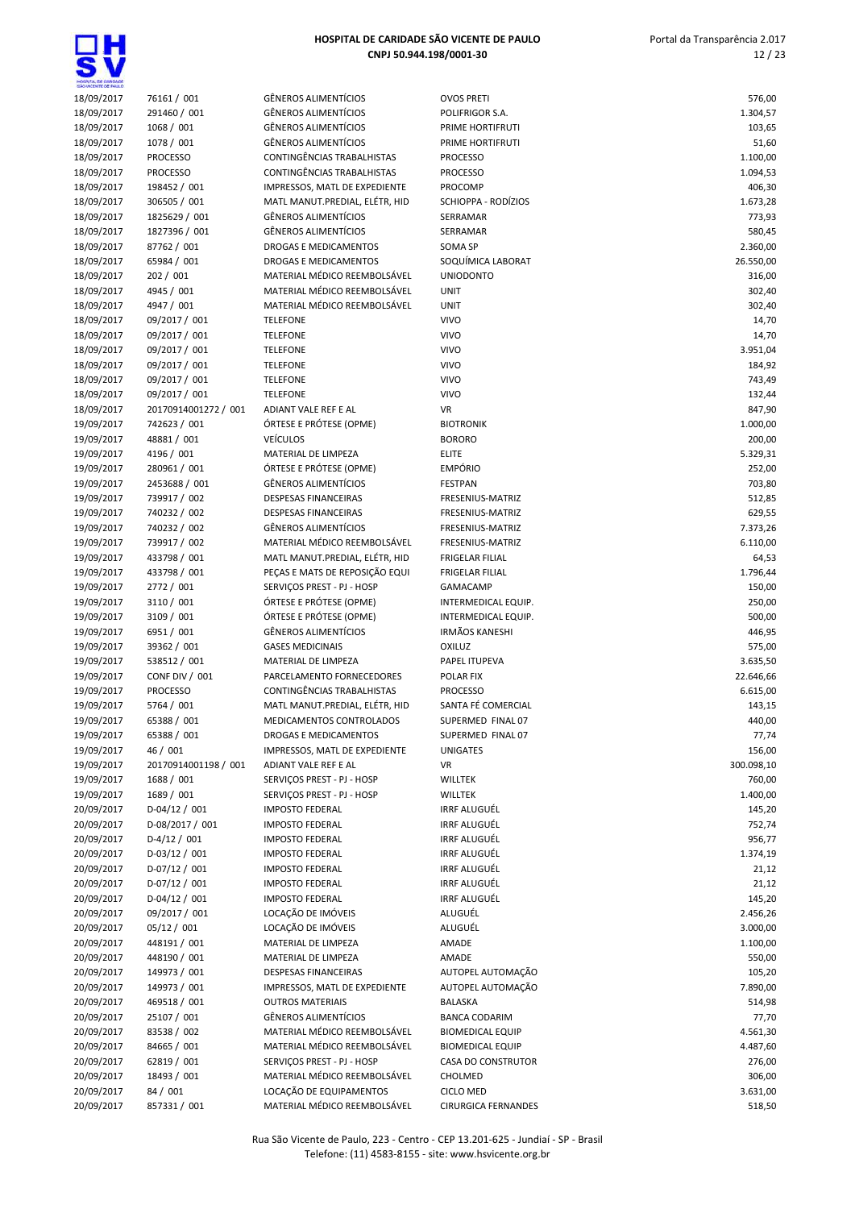| HOSPITAL DE CARDADE<br>SÃO VICENTE DE FAIX O |                                 |                                                             |                                            |                    |
|----------------------------------------------|---------------------------------|-------------------------------------------------------------|--------------------------------------------|--------------------|
| 18/09/2017                                   | 76161 / 001                     | <b>GÊNEROS ALIMENTÍCIOS</b>                                 | <b>OVOS PRETI</b>                          | 576,00             |
| 18/09/2017                                   | 291460 / 001                    | <b>GÊNEROS ALIMENTÍCIOS</b>                                 | POLIFRIGOR S.A.                            | 1.304,57           |
| 18/09/2017                                   | 1068 / 001                      | <b>GÊNEROS ALIMENTÍCIOS</b>                                 | PRIME HORTIFRUTI                           | 103,65             |
| 18/09/2017                                   | 1078 / 001                      | <b>GÊNEROS ALIMENTÍCIOS</b>                                 | PRIME HORTIFRUTI                           | 51,60              |
| 18/09/2017                                   | <b>PROCESSO</b>                 | <b>CONTINGÊNCIAS TRABALHISTAS</b>                           | <b>PROCESSO</b>                            | 1.100,00           |
| 18/09/2017<br>18/09/2017                     | <b>PROCESSO</b><br>198452 / 001 | CONTINGÊNCIAS TRABALHISTAS<br>IMPRESSOS, MATL DE EXPEDIENTE | <b>PROCESSO</b><br>PROCOMP                 | 1.094,53<br>406,30 |
| 18/09/2017                                   | 306505 / 001                    | MATL MANUT.PREDIAL, ELÉTR, HID                              | SCHIOPPA - RODÍZIOS                        | 1.673,28           |
| 18/09/2017                                   | 1825629 / 001                   | <b>GÊNEROS ALIMENTÍCIOS</b>                                 | SERRAMAR                                   | 773,93             |
| 18/09/2017                                   | 1827396 / 001                   | <b>GÊNEROS ALIMENTÍCIOS</b>                                 | SERRAMAR                                   | 580,45             |
| 18/09/2017                                   | 87762 / 001                     | <b>DROGAS E MEDICAMENTOS</b>                                | SOMA SP                                    | 2.360,00           |
| 18/09/2017                                   | 65984 / 001                     | <b>DROGAS E MEDICAMENTOS</b>                                | SOQUÍMICA LABORAT                          | 26.550,00          |
| 18/09/2017                                   | 202 / 001                       | MATERIAL MÉDICO REEMBOLSÁVEL                                | <b>UNIODONTO</b>                           | 316,00             |
| 18/09/2017                                   | 4945 / 001                      | MATERIAL MÉDICO REEMBOLSÁVEL                                | <b>UNIT</b>                                | 302,40             |
| 18/09/2017                                   | 4947 / 001                      | MATERIAL MÉDICO REEMBOLSÁVEL                                | <b>UNIT</b>                                | 302,40             |
| 18/09/2017<br>18/09/2017                     | 09/2017 / 001<br>09/2017 / 001  | <b>TELEFONE</b><br><b>TELEFONE</b>                          | <b>VIVO</b><br><b>VIVO</b>                 | 14,70<br>14,70     |
| 18/09/2017                                   | 09/2017 / 001                   | <b>TELEFONE</b>                                             | <b>VIVO</b>                                | 3.951,04           |
| 18/09/2017                                   | 09/2017 / 001                   | <b>TELEFONE</b>                                             | <b>VIVO</b>                                | 184,92             |
| 18/09/2017                                   | 09/2017 / 001                   | <b>TELEFONE</b>                                             | <b>VIVO</b>                                | 743,49             |
| 18/09/2017                                   | 09/2017 / 001                   | <b>TELEFONE</b>                                             | <b>VIVO</b>                                | 132,44             |
| 18/09/2017                                   | 20170914001272 / 001            | ADIANT VALE REF E AL                                        | <b>VR</b>                                  | 847,90             |
| 19/09/2017                                   | 742623 / 001                    | ÓRTESE E PRÓTESE (OPME)                                     | <b>BIOTRONIK</b>                           | 1.000,00           |
| 19/09/2017                                   | 48881 / 001                     | <b>VEÍCULOS</b>                                             | <b>BORORO</b>                              | 200,00             |
| 19/09/2017                                   | 4196 / 001                      | MATERIAL DE LIMPEZA                                         | <b>ELITE</b>                               | 5.329,31           |
| 19/09/2017                                   | 280961 / 001                    | ÓRTESE E PRÓTESE (OPME)                                     | <b>EMPÓRIO</b>                             | 252,00             |
| 19/09/2017<br>19/09/2017                     | 2453688 / 001<br>739917 / 002   | <b>GÊNEROS ALIMENTÍCIOS</b><br><b>DESPESAS FINANCEIRAS</b>  | <b>FESTPAN</b><br>FRESENIUS-MATRIZ         | 703,80<br>512,85   |
| 19/09/2017                                   | 740232 / 002                    | <b>DESPESAS FINANCEIRAS</b>                                 | FRESENIUS-MATRIZ                           | 629,55             |
| 19/09/2017                                   | 740232 / 002                    | <b>GÊNEROS ALIMENTÍCIOS</b>                                 | FRESENIUS-MATRIZ                           | 7.373,26           |
| 19/09/2017                                   | 739917 / 002                    | MATERIAL MÉDICO REEMBOLSÁVEL                                | FRESENIUS-MATRIZ                           | 6.110,00           |
| 19/09/2017                                   | 433798 / 001                    | MATL MANUT.PREDIAL, ELÉTR, HID                              | <b>FRIGELAR FILIAL</b>                     | 64,53              |
| 19/09/2017                                   | 433798 / 001                    | PEÇAS E MATS DE REPOSIÇÃO EQUI                              | <b>FRIGELAR FILIAL</b>                     | 1.796,44           |
| 19/09/2017                                   | 2772 / 001                      | SERVIÇOS PREST - PJ - HOSP                                  | GAMACAMP                                   | 150,00             |
| 19/09/2017                                   | 3110 / 001                      | ÓRTESE E PRÓTESE (OPME)                                     | INTERMEDICAL EQUIP.                        | 250,00             |
| 19/09/2017                                   | 3109 / 001                      | ÓRTESE E PRÓTESE (OPME)                                     | INTERMEDICAL EQUIP.                        | 500,00             |
| 19/09/2017                                   | 6951 / 001                      | <b>GÊNEROS ALIMENTÍCIOS</b>                                 | <b>IRMÃOS KANESHI</b>                      | 446,95             |
| 19/09/2017<br>19/09/2017                     | 39362 / 001<br>538512 / 001     | <b>GASES MEDICINAIS</b><br>MATERIAL DE LIMPEZA              | OXILUZ<br>PAPEL ITUPEVA                    | 575,00<br>3.635,50 |
| 19/09/2017                                   | CONF DIV / 001                  | PARCELAMENTO FORNECEDORES                                   | POLAR FIX                                  | 22.646,66          |
| 19/09/2017                                   | <b>PROCESSO</b>                 | CONTINGÊNCIAS TRABALHISTAS                                  | <b>PROCESSO</b>                            | 6.615,00           |
| 19/09/2017                                   | 5764 / 001                      | MATL MANUT.PREDIAL, ELÉTR, HID                              | SANTA FÉ COMERCIAL                         | 143,15             |
| 19/09/2017                                   | 65388 / 001                     | MEDICAMENTOS CONTROLADOS                                    | SUPERMED FINAL 07                          | 440,00             |
| 19/09/2017                                   | 65388 / 001                     | DROGAS E MEDICAMENTOS                                       | SUPERMED FINAL 07                          | 77,74              |
| 19/09/2017                                   | 46 / 001                        | IMPRESSOS, MATL DE EXPEDIENTE                               | <b>UNIGATES</b>                            | 156,00             |
| 19/09/2017                                   | 20170914001198 / 001            | ADIANT VALE REF E AL                                        | VR                                         | 300.098,10         |
| 19/09/2017                                   | 1688 / 001                      | SERVIÇOS PREST - PJ - HOSP                                  | WILLTEK                                    | 760,00             |
| 19/09/2017                                   | 1689 / 001                      | SERVIÇOS PREST - PJ - HOSP                                  | <b>WILLTEK</b>                             | 1.400,00           |
| 20/09/2017<br>20/09/2017                     | $D-04/12/001$                   | <b>IMPOSTO FEDERAL</b>                                      | <b>IRRF ALUGUÉL</b><br><b>IRRF ALUGUÉL</b> | 145,20             |
| 20/09/2017                                   | D-08/2017 / 001<br>$D-4/12/001$ | <b>IMPOSTO FEDERAL</b><br><b>IMPOSTO FEDERAL</b>            | <b>IRRF ALUGUÉL</b>                        | 752,74<br>956,77   |
| 20/09/2017                                   | $D-03/12/001$                   | <b>IMPOSTO FEDERAL</b>                                      | <b>IRRF ALUGUÉL</b>                        | 1.374,19           |
| 20/09/2017                                   | $D-07/12/001$                   | <b>IMPOSTO FEDERAL</b>                                      | IRRF ALUGUÉL                               | 21,12              |
| 20/09/2017                                   | $D-07/12/001$                   | <b>IMPOSTO FEDERAL</b>                                      | <b>IRRF ALUGUÉL</b>                        | 21,12              |
| 20/09/2017                                   | $D-04/12/001$                   | <b>IMPOSTO FEDERAL</b>                                      | <b>IRRF ALUGUÉL</b>                        | 145,20             |
| 20/09/2017                                   | 09/2017 / 001                   | LOCAÇÃO DE IMÓVEIS                                          | ALUGUÉL                                    | 2.456,26           |
| 20/09/2017                                   | 05/12 / 001                     | LOCAÇÃO DE IMÓVEIS                                          | ALUGUÉL                                    | 3.000,00           |
| 20/09/2017                                   | 448191 / 001                    | MATERIAL DE LIMPEZA                                         | AMADE                                      | 1.100,00           |
| 20/09/2017                                   | 448190 / 001                    | MATERIAL DE LIMPEZA                                         | AMADE                                      | 550,00             |
| 20/09/2017                                   | 149973 / 001                    | DESPESAS FINANCEIRAS                                        | AUTOPEL AUTOMAÇÃO                          | 105,20             |
| 20/09/2017<br>20/09/2017                     | 149973 / 001<br>469518 / 001    | IMPRESSOS, MATL DE EXPEDIENTE<br><b>OUTROS MATERIAIS</b>    | AUTOPEL AUTOMAÇÃO<br><b>BALASKA</b>        | 7.890,00<br>514,98 |
| 20/09/2017                                   | 25107 / 001                     | <b>GÊNEROS ALIMENTÍCIOS</b>                                 | <b>BANCA CODARIM</b>                       | 77,70              |
| 20/09/2017                                   | 83538 / 002                     | MATERIAL MÉDICO REEMBOLSÁVEL                                | <b>BIOMEDICAL EQUIP</b>                    | 4.561,30           |
| 20/09/2017                                   | 84665 / 001                     | MATERIAL MÉDICO REEMBOLSÁVEL                                | <b>BIOMEDICAL EQUIP</b>                    | 4.487,60           |
| 20/09/2017                                   | 62819 / 001                     | SERVIÇOS PREST - PJ - HOSP                                  | CASA DO CONSTRUTOR                         | 276,00             |
| 20/09/2017                                   | 18493 / 001                     | MATERIAL MÉDICO REEMBOLSÁVEL                                | CHOLMED                                    | 306,00             |
| 20/09/2017                                   | 84 / 001                        | LOCAÇÃO DE EQUIPAMENTOS                                     | <b>CICLO MED</b>                           | 3.631,00           |
| 20/09/2017                                   | 857331 / 001                    | MATERIAL MÉDICO REEMBOLSÁVEL                                | <b>CIRURGICA FERNANDES</b>                 | 518,50             |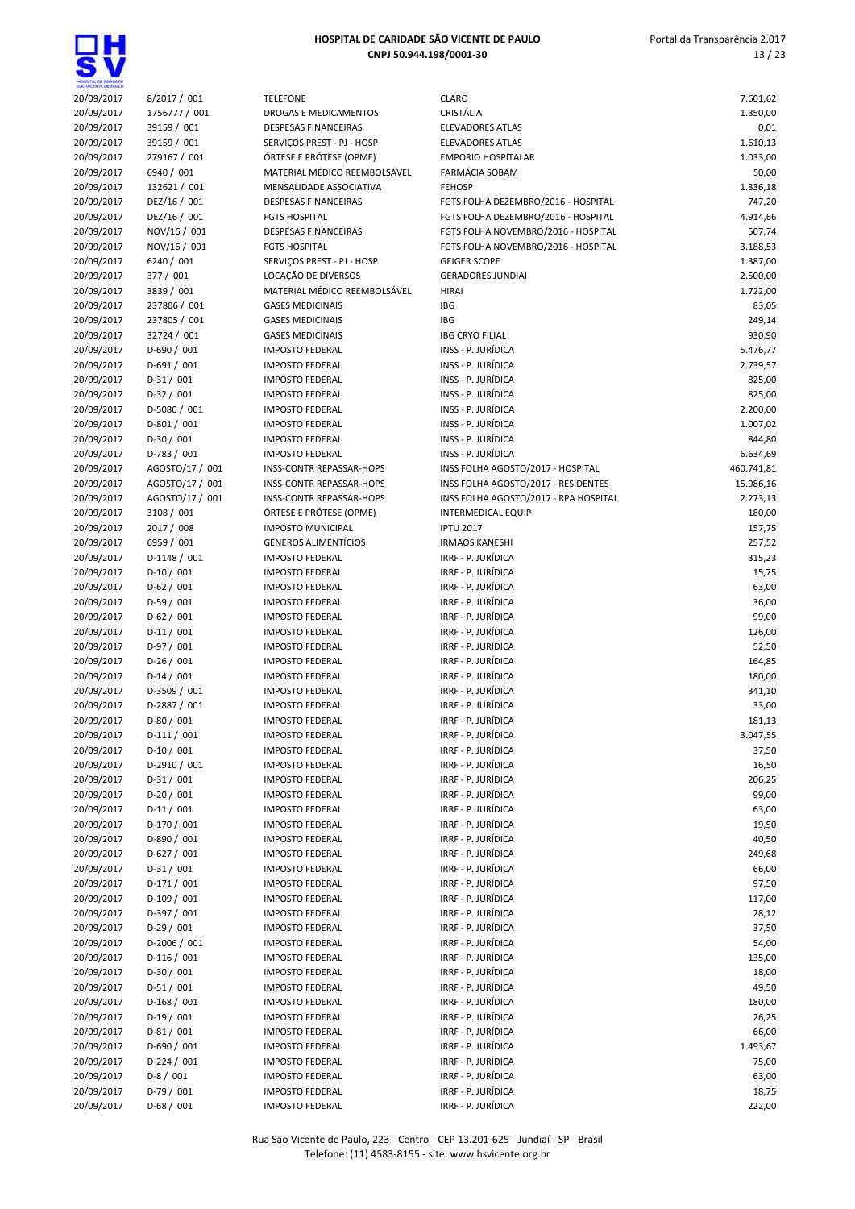| MODIFIEL DE DIFFONDE |                           |                                 |                                          |            |
|----------------------|---------------------------|---------------------------------|------------------------------------------|------------|
| 20/09/2017           | 8/2017 / 001              | <b>TELEFONE</b>                 | <b>CLARO</b>                             | 7.601,62   |
| 20/09/2017           | 1756777 / 001             | DROGAS E MEDICAMENTOS           | CRISTÁLIA                                | 1.350,00   |
| 20/09/2017           | 39159 / 001               | <b>DESPESAS FINANCEIRAS</b>     | <b>ELEVADORES ATLAS</b>                  | 0,01       |
| 20/09/2017           | 39159 / 001               | SERVIÇOS PREST - PJ - HOSP      | <b>ELEVADORES ATLAS</b>                  | 1.610,13   |
| 20/09/2017           | 279167 / 001              | ÓRTESE E PRÓTESE (OPME)         | <b>EMPORIO HOSPITALAR</b>                | 1.033,00   |
| 20/09/2017           | 6940 / 001                | MATERIAL MÉDICO REEMBOLSÁVEL    | <b>FARMÁCIA SOBAM</b>                    | 50,00      |
| 20/09/2017           | 132621 / 001              | MENSALIDADE ASSOCIATIVA         | <b>FEHOSP</b>                            | 1.336,18   |
| 20/09/2017           | DEZ/16 / 001              | <b>DESPESAS FINANCEIRAS</b>     | FGTS FOLHA DEZEMBRO/2016 - HOSPITAL      | 747,20     |
| 20/09/2017           | DEZ/16 / 001              | <b>FGTS HOSPITAL</b>            | FGTS FOLHA DEZEMBRO/2016 - HOSPITAL      | 4.914,66   |
| 20/09/2017           | NOV/16 / 001              | <b>DESPESAS FINANCEIRAS</b>     | FGTS FOLHA NOVEMBRO/2016 - HOSPITAL      | 507,74     |
| 20/09/2017           | NOV/16 / 001              | <b>FGTS HOSPITAL</b>            | FGTS FOLHA NOVEMBRO/2016 - HOSPITAL      | 3.188,53   |
| 20/09/2017           | 6240 / 001                | SERVICOS PREST - PJ - HOSP      | <b>GEIGER SCOPE</b>                      | 1.387,00   |
| 20/09/2017           | 377 / 001                 | LOCAÇÃO DE DIVERSOS             | <b>GERADORES JUNDIAI</b>                 | 2.500,00   |
| 20/09/2017           | 3839 / 001                | MATERIAL MÉDICO REEMBOLSÁVEL    | <b>HIRAI</b>                             | 1.722,00   |
| 20/09/2017           | 237806 / 001              | <b>GASES MEDICINAIS</b>         | IBG                                      | 83,05      |
| 20/09/2017           | 237805 / 001              | <b>GASES MEDICINAIS</b>         | IBG                                      | 249,14     |
| 20/09/2017           | 32724 / 001               | <b>GASES MEDICINAIS</b>         | <b>IBG CRYO FILIAL</b>                   | 930,90     |
| 20/09/2017           | D-690 / 001               | <b>IMPOSTO FEDERAL</b>          | INSS - P. JURÍDICA                       | 5.476,77   |
| 20/09/2017           | $D-691/001$               | <b>IMPOSTO FEDERAL</b>          | INSS - P. JURÍDICA                       | 2.739,57   |
| 20/09/2017           | $D-31/001$                | <b>IMPOSTO FEDERAL</b>          | INSS - P. JURÍDICA                       | 825,00     |
| 20/09/2017           | $D-32/001$                | <b>IMPOSTO FEDERAL</b>          | INSS - P. JURÍDICA                       | 825,00     |
| 20/09/2017           | D-5080 / 001              | <b>IMPOSTO FEDERAL</b>          | INSS - P. JURÍDICA                       | 2.200,00   |
| 20/09/2017           | $D-801/001$               | <b>IMPOSTO FEDERAL</b>          | INSS - P. JURÍDICA                       | 1.007,02   |
| 20/09/2017           | $D-30/001$                | <b>IMPOSTO FEDERAL</b>          | INSS - P. JURÍDICA                       | 844,80     |
| 20/09/2017           | $D-783 / 001$             | <b>IMPOSTO FEDERAL</b>          | INSS - P. JURÍDICA                       | 6.634,69   |
| 20/09/2017           | AGOSTO/17 / 001           | <b>INSS-CONTR REPASSAR-HOPS</b> | INSS FOLHA AGOSTO/2017 - HOSPITAL        | 460.741,81 |
| 20/09/2017           | AGOSTO/17 / 001           | INSS-CONTR REPASSAR-HOPS        | INSS FOLHA AGOSTO/2017 - RESIDENTES      | 15.986,16  |
| 20/09/2017           | AGOSTO/17 / 001           | INSS-CONTR REPASSAR-HOPS        | INSS FOLHA AGOSTO/2017 - RPA HOSPITAL    | 2.273,13   |
| 20/09/2017           | 3108 / 001                | ÓRTESE E PRÓTESE (OPME)         | <b>INTERMEDICAL EQUIP</b>                | 180,00     |
| 20/09/2017           | 2017 / 008                | <b>IMPOSTO MUNICIPAL</b>        | <b>IPTU 2017</b>                         | 157,75     |
| 20/09/2017           | 6959 / 001                | <b>GÊNEROS ALIMENTÍCIOS</b>     | <b>IRMÃOS KANESHI</b>                    | 257,52     |
| 20/09/2017           | $D-1148/001$              | <b>IMPOSTO FEDERAL</b>          | IRRF - P. JURÍDICA                       | 315,23     |
| 20/09/2017           | $D-10/001$                | <b>IMPOSTO FEDERAL</b>          | IRRF - P. JURÍDICA                       | 15,75      |
| 20/09/2017           | $D-62/001$                | <b>IMPOSTO FEDERAL</b>          | IRRF - P. JURÍDICA                       | 63,00      |
| 20/09/2017           | $D-59/001$                | <b>IMPOSTO FEDERAL</b>          | IRRF - P. JURÍDICA                       | 36,00      |
| 20/09/2017           | $D-62/001$                | <b>IMPOSTO FEDERAL</b>          | IRRF - P. JURÍDICA                       | 99,00      |
| 20/09/2017           | $D-11/001$                | <b>IMPOSTO FEDERAL</b>          | IRRF - P. JURÍDICA                       | 126,00     |
| 20/09/2017           | $D-97/001$                | <b>IMPOSTO FEDERAL</b>          | IRRF - P. JURÍDICA                       | 52,50      |
| 20/09/2017           | $D-26/001$                | <b>IMPOSTO FEDERAL</b>          | IRRF - P. JURÍDICA                       | 164,85     |
| 20/09/2017           | $D-14/001$                | <b>IMPOSTO FEDERAL</b>          | IRRF - P. JURÍDICA                       | 180,00     |
| 20/09/2017           | D-3509 / 001              | <b>IMPOSTO FEDERAL</b>          | IRRF - P. JURÍDICA                       | 341,10     |
| 20/09/2017           | D-2887 / 001              | <b>IMPOSTO FEDERAL</b>          | IRRF - P. JURÍDICA                       | 33,00      |
| 20/09/2017           | $D-80/001$                | <b>IMPOSTO FEDERAL</b>          | IRRF - P. JURÍDICA                       | 181,13     |
| 20/09/2017           | $D-111/001$               | <b>IMPOSTO FEDERAL</b>          | IRRF - P. JURÍDICA                       | 3.047,55   |
| 20/09/2017           | $D-10/001$                | <b>IMPOSTO FEDERAL</b>          | IRRF - P. JURÍDICA                       | 37,50      |
| 20/09/2017           | $D-2910/001$              | <b>IMPOSTO FEDERAL</b>          | IRRF - P. JURÍDICA                       | 16,50      |
| 20/09/2017           | $D-31/001$                | <b>IMPOSTO FEDERAL</b>          | IRRF - P. JURÍDICA                       | 206,25     |
| 20/09/2017           | $D-20/001$                | <b>IMPOSTO FEDERAL</b>          | IRRF - P. JURÍDICA                       | 99,00      |
| 20/09/2017           | $D-11/001$                | <b>IMPOSTO FEDERAL</b>          | IRRF - P. JURÍDICA                       | 63,00      |
| 20/09/2017           | D-170 / 001               | <b>IMPOSTO FEDERAL</b>          | IRRF - P. JURÍDICA                       | 19,50      |
| 20/09/2017           | $D-890/001$               | <b>IMPOSTO FEDERAL</b>          | IRRF - P. JURÍDICA                       | 40,50      |
| 20/09/2017           | $D-627/001$               | <b>IMPOSTO FEDERAL</b>          | IRRF - P. JURÍDICA                       | 249,68     |
| 20/09/2017           | $D-31/001$                | <b>IMPOSTO FEDERAL</b>          | IRRF - P. JURÍDICA                       | 66,00      |
| 20/09/2017           | $D-171/001$               | <b>IMPOSTO FEDERAL</b>          | IRRF - P. JURÍDICA                       | 97,50      |
| 20/09/2017           | $D-109/001$               | <b>IMPOSTO FEDERAL</b>          | IRRF - P. JURÍDICA                       | 117,00     |
| 20/09/2017           | $D-397/001$               | <b>IMPOSTO FEDERAL</b>          | IRRF - P. JURÍDICA                       | 28,12      |
|                      | $D-29/001$                | <b>IMPOSTO FEDERAL</b>          | IRRF - P. JURÍDICA                       | 37,50      |
| 20/09/2017           | $D-2006 / 001$            | <b>IMPOSTO FEDERAL</b>          | IRRF - P. JURÍDICA                       | 54,00      |
| 20/09/2017           |                           |                                 |                                          |            |
| 20/09/2017           | $D-116/001$<br>$D-30/001$ | <b>IMPOSTO FEDERAL</b>          | IRRF - P. JURÍDICA<br>IRRF - P. JURÍDICA | 135,00     |
| 20/09/2017           |                           | <b>IMPOSTO FEDERAL</b>          |                                          | 18,00      |
| 20/09/2017           | $D-51/001$                | <b>IMPOSTO FEDERAL</b>          | IRRF - P. JURÍDICA                       | 49,50      |
| 20/09/2017           | $D-168/001$               | <b>IMPOSTO FEDERAL</b>          | IRRF - P. JURÍDICA                       | 180,00     |
| 20/09/2017           | $D-19/001$                | <b>IMPOSTO FEDERAL</b>          | IRRF - P. JURÍDICA                       | 26,25      |
| 20/09/2017           | $D-81/001$                | <b>IMPOSTO FEDERAL</b>          | IRRF - P. JURÍDICA                       | 66,00      |
| 20/09/2017           | $D-690/001$               | <b>IMPOSTO FEDERAL</b>          | IRRF - P. JURÍDICA                       | 1.493,67   |
| 20/09/2017           | $D-224/001$               | <b>IMPOSTO FEDERAL</b>          | IRRF - P. JURÍDICA                       | 75,00      |
| 20/09/2017           | $D-8/001$                 | <b>IMPOSTO FEDERAL</b>          | IRRF - P. JURÍDICA                       | 63,00      |
| 20/09/2017           | $D-79/001$                | <b>IMPOSTO FEDERAL</b>          | IRRF - P. JURÍDICA                       | 18,75      |
| 20/09/2017           | $D-68/001$                | <b>IMPOSTO FEDERAL</b>          | IRRF - P. JURÍDICA                       | 222,00     |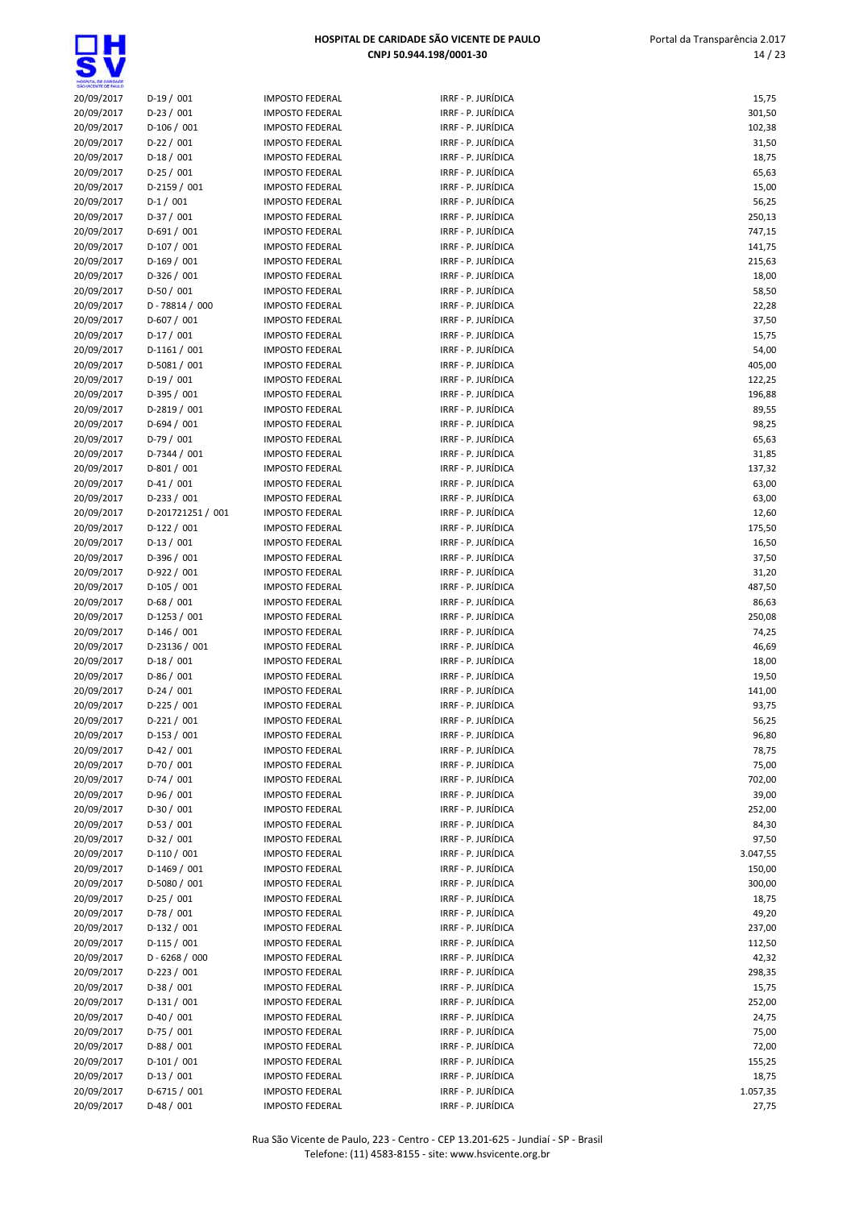|                    | HOSPITAL DE CARIDADE SÃO VICENTE DE PAULO |                        |                         | Portal da Transparência 2.0: |  |
|--------------------|-------------------------------------------|------------------------|-------------------------|------------------------------|--|
|                    |                                           |                        | CNPJ 50.944.198/0001-30 | 14/3                         |  |
|                    |                                           |                        |                         |                              |  |
| O VICENTE CE PAULO |                                           |                        |                         |                              |  |
| 20/09/2017         | $D-19/001$                                | <b>IMPOSTO FEDERAL</b> | IRRF - P. JURÍDICA      | 15,75                        |  |
| 20/09/2017         | $D-23/001$                                | <b>IMPOSTO FEDERAL</b> | IRRF - P. JURÍDICA      | 301,50                       |  |
| 20/09/2017         | $D-106/001$                               | <b>IMPOSTO FEDERAL</b> | IRRF - P. JURÍDICA      | 102,38                       |  |
| 20/09/2017         | $D-22 / 001$                              | <b>IMPOSTO FEDERAL</b> | IRRF - P. JURÍDICA      | 31,50                        |  |
| 20/09/2017         | $D-18/001$                                | <b>IMPOSTO FEDERAL</b> | IRRF - P. JURÍDICA      | 18,75                        |  |
| 20/09/2017         | $D-25/001$                                | <b>IMPOSTO FEDERAL</b> | IRRF - P. JURÍDICA      | 65,63                        |  |
| 20/09/2017         | D-2159 / 001                              | <b>IMPOSTO FEDERAL</b> | IRRF - P. JURÍDICA      | 15,00                        |  |
| 20/09/2017         | $D-1/001$                                 | <b>IMPOSTO FEDERAL</b> | IRRF - P. JURÍDICA      | 56,25                        |  |
| 20/09/2017         | $D-37/001$                                | <b>IMPOSTO FEDERAL</b> | IRRF - P. JURÍDICA      | 250,13                       |  |
| 20/09/2017         | $D-691/001$                               | <b>IMPOSTO FEDERAL</b> | IRRF - P. JURÍDICA      | 747,15                       |  |
| 20/09/2017         | $D-107/001$                               | <b>IMPOSTO FEDERAL</b> | IRRF - P. JURÍDICA      | 141,75                       |  |
| 20/09/2017         | $D-169/001$                               | <b>IMPOSTO FEDERAL</b> | IRRF - P. JURÍDICA      | 215,63                       |  |
| 20/09/2017         | $D-326/001$                               | <b>IMPOSTO FEDERAL</b> | IRRF - P. JURÍDICA      | 18,00                        |  |
| 20/09/2017         | $D-50/001$                                | <b>IMPOSTO FEDERAL</b> | IRRF - P. JURÍDICA      | 58,50                        |  |
| 20/09/2017         | $D - 78814 / 000$                         | <b>IMPOSTO FEDERAL</b> | IRRF - P. JURÍDICA      | 22,28                        |  |
| 20/09/2017         | $D-607/001$                               | <b>IMPOSTO FEDERAL</b> | IRRF - P. JURÍDICA      | 37,50                        |  |
| 20/09/2017         | $D-17/001$                                | <b>IMPOSTO FEDERAL</b> | IRRF - P. JURÍDICA      | 15,75                        |  |
| 20/09/2017         | $D-1161/001$                              | <b>IMPOSTO FEDERAL</b> | IRRF - P. JURÍDICA      | 54,00                        |  |
| 20/09/2017         | $D-5081/001$                              | <b>IMPOSTO FEDERAL</b> | IRRF - P. JURÍDICA      | 405,00                       |  |
| 20/09/2017         | $D-19/001$                                | <b>IMPOSTO FEDERAL</b> | IRRF - P. JURÍDICA      | 122,25                       |  |
| 20/09/2017         | $D-395/001$                               | <b>IMPOSTO FEDERAL</b> | IRRF - P. JURÍDICA      | 196,88                       |  |
| 20/09/2017         | D-2819 / 001                              | <b>IMPOSTO FEDERAL</b> | IRRF - P. JURÍDICA      | 89,55                        |  |
| 20/09/2017         | $D-694 / 001$                             | <b>IMPOSTO FEDERAL</b> | IRRF - P. JURÍDICA      | 98,25                        |  |
| 20/09/2017         | $D-79/001$                                | <b>IMPOSTO FEDERAL</b> | IRRF - P. JURÍDICA      | 65,63                        |  |
| 20/09/2017         | D-7344 / 001                              | <b>IMPOSTO FEDERAL</b> | IRRF - P. JURÍDICA      | 31,85                        |  |
| 20/09/2017         | $D-801/001$                               | <b>IMPOSTO FEDERAL</b> | IRRF - P. JURÍDICA      | 137,32                       |  |
| 20/09/2017         | $D-41/001$                                | <b>IMPOSTO FEDERAL</b> | IRRF - P. JURÍDICA      | 63,00                        |  |
| 20/09/2017         | $D-233 / 001$                             | <b>IMPOSTO FEDERAL</b> | IRRF - P. JURÍDICA      | 63,00                        |  |
| 20/09/2017         | D-201721251 / 001                         | <b>IMPOSTO FEDERAL</b> | IRRF - P. JURÍDICA      | 12,60                        |  |
| 20/09/2017         | $D-122 / 001$                             | <b>IMPOSTO FEDERAL</b> | IRRF - P. JURÍDICA      | 175,50                       |  |
| 20/09/2017         | $D-13/001$                                | <b>IMPOSTO FEDERAL</b> | IRRF - P. JURÍDICA      | 16,50                        |  |
| 20/09/2017         | $D-396/001$                               | <b>IMPOSTO FEDERAL</b> | IRRF - P. JURÍDICA      | 37,50                        |  |
| 20/09/2017         | D-922 / 001                               | <b>IMPOSTO FEDERAL</b> | IRRF - P. JURÍDICA      | 31,20                        |  |
| 20/09/2017         | $D-105/001$                               | <b>IMPOSTO FEDERAL</b> | IRRF - P. JURÍDICA      | 487,50                       |  |
| 20/09/2017         | $D-68/001$                                | <b>IMPOSTO FEDERAL</b> | IRRF - P. JURÍDICA      | 86,63                        |  |
| 20/09/2017         | $D-1253 / 001$                            | <b>IMPOSTO FEDERAL</b> | IRRF - P. JURÍDICA      | 250,08                       |  |
| 20/09/2017         | $D-146/001$                               | <b>IMPOSTO FEDERAL</b> | IRRF - P. JURÍDICA      | 74,25                        |  |
| 20/09/2017         | D-23136 / 001                             | <b>IMPOSTO FEDERAL</b> | IRRF - P. JURÍDICA      | 46,69                        |  |
| 20/09/2017         | $D-18/001$                                | <b>IMPOSTO FEDERAL</b> | IRRF - P. JURÍDICA      | 18,00                        |  |
| 20/09/2017         | $D-86/001$                                | <b>IMPOSTO FEDERAL</b> | IRRF - P. JURÍDICA      | 19,50                        |  |
| 20/09/2017         | $D-24/001$                                | <b>IMPOSTO FEDERAL</b> | IRRF - P. JURÍDICA      | 141,00                       |  |
| 20/09/2017         | $D-225/001$                               | <b>IMPOSTO FEDERAL</b> | IRRF - P. JURÍDICA      | 93,75                        |  |
| 20/09/2017         | $D-221/001$                               | <b>IMPOSTO FEDERAL</b> | IRRF - P. JURÍDICA      | 56,25                        |  |
| 20/09/2017         | $D-153 / 001$                             | <b>IMPOSTO FEDERAL</b> | IRRF - P. JURÍDICA      | 96,80                        |  |
| 20/09/2017         | $D-42 / 001$                              | <b>IMPOSTO FEDERAL</b> | IRRF - P. JURÍDICA      | 78,75                        |  |
| 20/09/2017         | $D-70/001$                                | <b>IMPOSTO FEDERAL</b> | IRRF - P. JURÍDICA      | 75,00                        |  |
| 20/09/2017         | $D-74/001$                                | <b>IMPOSTO FEDERAL</b> | IRRF - P. JURÍDICA      | 702,00                       |  |
| 20/09/2017         | $D-96/001$                                | <b>IMPOSTO FEDERAL</b> | IRRF - P. JURÍDICA      | 39,00                        |  |
| 20/09/2017         | $D-30/001$                                | <b>IMPOSTO FEDERAL</b> | IRRF - P. JURÍDICA      | 252,00                       |  |
| 20/09/2017         | $D-53 / 001$                              | <b>IMPOSTO FEDERAL</b> | IRRF - P. JURÍDICA      | 84,30                        |  |
| 20/09/2017         | $D-32 / 001$                              | <b>IMPOSTO FEDERAL</b> | IRRF - P. JURÍDICA      | 97,50                        |  |
| 20/09/2017         | $D-110/001$                               | <b>IMPOSTO FEDERAL</b> | IRRF - P. JURÍDICA      | 3.047,55                     |  |
| 20/09/2017         | D-1469 / 001                              | <b>IMPOSTO FEDERAL</b> | IRRF - P. JURÍDICA      | 150,00                       |  |
| 20/09/2017         | D-5080 / 001                              | <b>IMPOSTO FEDERAL</b> | IRRF - P. JURÍDICA      | 300,00                       |  |
| 20/09/2017         | $D-25/001$                                | <b>IMPOSTO FEDERAL</b> | IRRF - P. JURÍDICA      | 18,75                        |  |
| 20/09/2017         | $D-78/001$                                | <b>IMPOSTO FEDERAL</b> | IRRF - P. JURÍDICA      | 49,20                        |  |
| 20/09/2017         | $D-132 / 001$                             | <b>IMPOSTO FEDERAL</b> | IRRF - P. JURÍDICA      | 237,00                       |  |
| 20/09/2017         | $D-115/001$                               | <b>IMPOSTO FEDERAL</b> | IRRF - P. JURÍDICA      | 112,50                       |  |
| 20/09/2017         | $D - 6268 / 000$                          | <b>IMPOSTO FEDERAL</b> | IRRF - P. JURÍDICA      | 42,32                        |  |
| 20/09/2017         | $D-223/001$                               | <b>IMPOSTO FEDERAL</b> | IRRF - P. JURÍDICA      | 298,35                       |  |
| 20/09/2017         | $D-38/001$                                | <b>IMPOSTO FEDERAL</b> | IRRF - P. JURÍDICA      | 15,75                        |  |
| 20/09/2017         | $D-131/001$                               | <b>IMPOSTO FEDERAL</b> | IRRF - P. JURÍDICA      | 252,00                       |  |
| 20/09/2017         | $D-40/001$                                | <b>IMPOSTO FEDERAL</b> | IRRF - P. JURÍDICA      | 24,75                        |  |
| 20/09/2017         | $D-75/001$                                | <b>IMPOSTO FEDERAL</b> | IRRF - P. JURÍDICA      | 75,00                        |  |
| 20/09/2017         | $D-88/001$                                | <b>IMPOSTO FEDERAL</b> | IRRF - P. JURÍDICA      | 72,00                        |  |
| 20/09/2017         | $D-101/001$                               | <b>IMPOSTO FEDERAL</b> | IRRF - P. JURÍDICA      | 155,25                       |  |
| 20/09/2017         | $D-13/001$                                | <b>IMPOSTO FEDERAL</b> | IRRF - P. JURÍDICA      | 18,75                        |  |
| 20/09/2017         | D-6715 / 001                              | <b>IMPOSTO FEDERAL</b> | IRRF - P. JURÍDICA      | 1.057,35                     |  |
| 20/09/2017         | $D-48/001$                                | <b>IMPOSTO FEDERAL</b> | IRRF - P. JURÍDICA      | 27,75                        |  |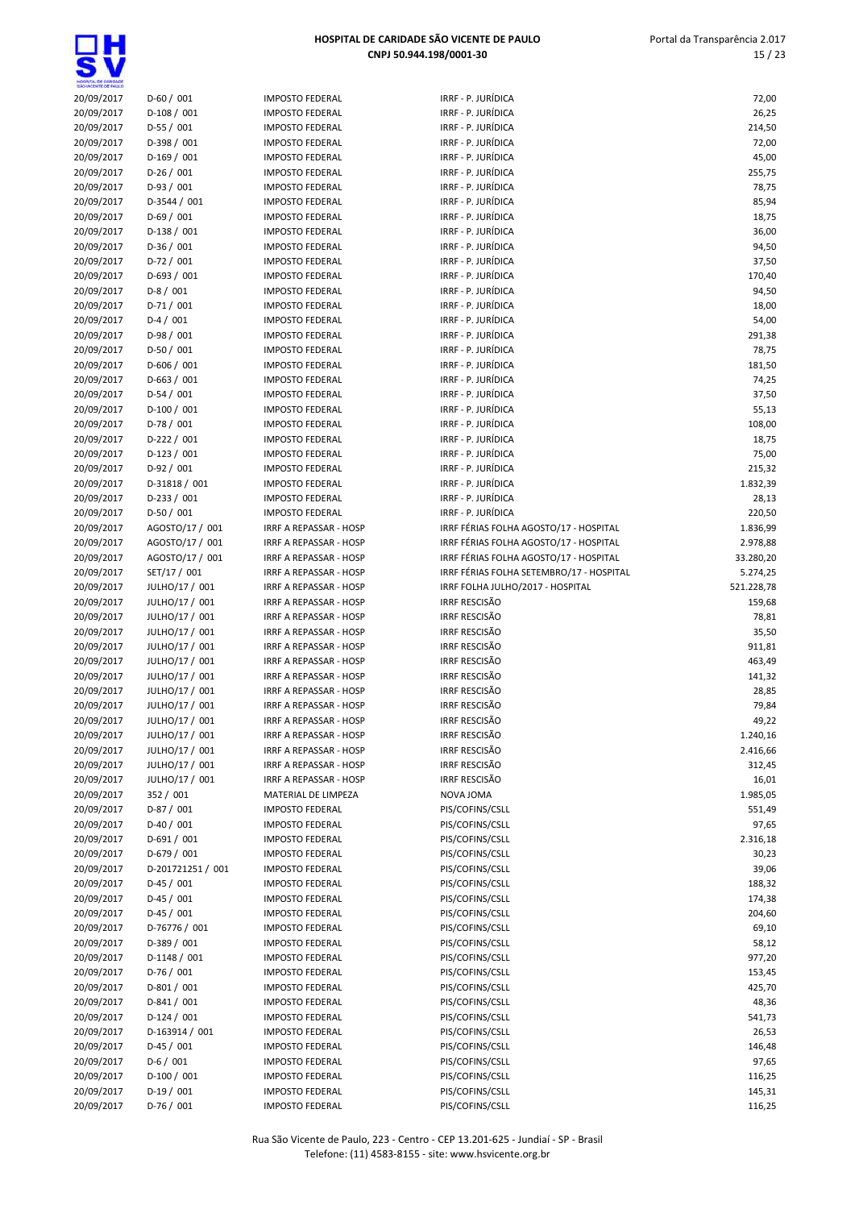| SHO WOENTE DE PAULO      |                                  |                                                         |                                              |                      |
|--------------------------|----------------------------------|---------------------------------------------------------|----------------------------------------------|----------------------|
| 20/09/2017               | $D-60/001$                       | <b>IMPOSTO FEDERAL</b>                                  | IRRF - P. JURÍDICA                           | 72,00                |
| 20/09/2017               | $D-108/001$                      | <b>IMPOSTO FEDERAL</b>                                  | IRRF - P. JURÍDICA                           | 26,25                |
| 20/09/2017               | $D-55/001$                       | <b>IMPOSTO FEDERAL</b>                                  | IRRF - P. JURÍDICA                           | 214,50               |
| 20/09/2017               | $D-398/001$                      | <b>IMPOSTO FEDERAL</b>                                  | IRRF - P. JURÍDICA                           | 72,00                |
| 20/09/2017               | $D-169/001$                      | <b>IMPOSTO FEDERAL</b>                                  | IRRF - P. JURÍDICA                           | 45,00                |
| 20/09/2017               | $D-26/001$                       | <b>IMPOSTO FEDERAL</b>                                  | IRRF - P. JURÍDICA                           | 255,75               |
| 20/09/2017               | $D-93/001$                       | <b>IMPOSTO FEDERAL</b>                                  | IRRF - P. JURÍDICA                           | 78,75                |
| 20/09/2017               | D-3544 / 001                     | <b>IMPOSTO FEDERAL</b>                                  | IRRF - P. JURÍDICA                           | 85,94                |
| 20/09/2017               | $D-69/001$                       | <b>IMPOSTO FEDERAL</b>                                  | IRRF - P. JURÍDICA                           | 18,75                |
| 20/09/2017               | $D-138/001$                      | <b>IMPOSTO FEDERAL</b>                                  | IRRF - P. JURÍDICA                           | 36,00                |
| 20/09/2017               | $D-36/001$                       | <b>IMPOSTO FEDERAL</b>                                  | IRRF - P. JURÍDICA                           | 94,50                |
| 20/09/2017               | $D-72/001$                       | <b>IMPOSTO FEDERAL</b>                                  | IRRF - P. JURÍDICA                           | 37,50                |
| 20/09/2017               | $D-693 / 001$                    | <b>IMPOSTO FEDERAL</b>                                  | IRRF - P. JURÍDICA                           | 170,40               |
| 20/09/2017               | $D-8/001$                        | <b>IMPOSTO FEDERAL</b>                                  | IRRF - P. JURÍDICA                           | 94,50                |
| 20/09/2017               | $D-71/001$                       | <b>IMPOSTO FEDERAL</b>                                  | IRRF - P. JURÍDICA                           | 18,00                |
| 20/09/2017               | $D-4/001$                        | <b>IMPOSTO FEDERAL</b>                                  | IRRF - P. JURÍDICA                           | 54,00                |
| 20/09/2017               | $D-98/001$                       | <b>IMPOSTO FEDERAL</b>                                  | IRRF - P. JURÍDICA                           | 291,38               |
| 20/09/2017               | $D-50/001$                       | <b>IMPOSTO FEDERAL</b>                                  | IRRF - P. JURÍDICA                           | 78,75                |
| 20/09/2017               | $D-606 / 001$                    | <b>IMPOSTO FEDERAL</b>                                  | IRRF - P. JURÍDICA                           | 181,50               |
| 20/09/2017               | $D-663 / 001$                    | <b>IMPOSTO FEDERAL</b>                                  | IRRF - P. JURÍDICA                           | 74,25                |
| 20/09/2017               | $D-54/001$                       | <b>IMPOSTO FEDERAL</b>                                  | IRRF - P. JURÍDICA                           | 37,50                |
| 20/09/2017               | $D-100/001$                      | <b>IMPOSTO FEDERAL</b>                                  | IRRF - P. JURÍDICA                           | 55,13                |
| 20/09/2017               | $D-78/001$                       | <b>IMPOSTO FEDERAL</b>                                  | IRRF - P. JURÍDICA                           | 108,00               |
| 20/09/2017               | $D-222 / 001$                    | <b>IMPOSTO FEDERAL</b>                                  | IRRF - P. JURÍDICA                           | 18,75                |
| 20/09/2017               | $D-123/001$                      | <b>IMPOSTO FEDERAL</b>                                  | IRRF - P. JURÍDICA                           | 75,00                |
| 20/09/2017               | $D-92/001$                       | <b>IMPOSTO FEDERAL</b>                                  | IRRF - P. JURÍDICA                           | 215,32               |
| 20/09/2017               | D-31818 / 001                    | <b>IMPOSTO FEDERAL</b>                                  | IRRF - P. JURÍDICA                           | 1.832,39             |
| 20/09/2017               | $D-233 / 001$                    | <b>IMPOSTO FEDERAL</b>                                  | IRRF - P. JURÍDICA                           | 28,13                |
| 20/09/2017               | $D-50/001$                       | <b>IMPOSTO FEDERAL</b>                                  | IRRF - P. JURÍDICA                           | 220,50               |
| 20/09/2017               | AGOSTO/17 / 001                  | IRRF A REPASSAR - HOSP                                  | IRRF FÉRIAS FOLHA AGOSTO/17 - HOSPITAL       | 1.836,99             |
| 20/09/2017               | AGOSTO/17 / 001                  | <b>IRRF A REPASSAR - HOSP</b>                           | IRRF FÉRIAS FOLHA AGOSTO/17 - HOSPITAL       | 2.978,88             |
| 20/09/2017               | AGOSTO/17 / 001                  | IRRF A REPASSAR - HOSP                                  | IRRF FÉRIAS FOLHA AGOSTO/17 - HOSPITAL       | 33.280,20            |
| 20/09/2017               | SET/17 / 001                     | IRRF A REPASSAR - HOSP                                  | IRRF FÉRIAS FOLHA SETEMBRO/17 - HOSPITAL     | 5.274,25             |
| 20/09/2017               | JULHO/17 / 001                   | IRRF A REPASSAR - HOSP                                  | IRRF FOLHA JULHO/2017 - HOSPITAL             | 521.228,78           |
| 20/09/2017               | JULHO/17 / 001                   | IRRF A REPASSAR - HOSP                                  | <b>IRRF RESCISÃO</b><br><b>IRRF RESCISÃO</b> | 159,68               |
| 20/09/2017               | JULHO/17 / 001                   | IRRF A REPASSAR - HOSP                                  |                                              | 78,81                |
| 20/09/2017               | JULHO/17 / 001                   | IRRF A REPASSAR - HOSP<br><b>IRRF A REPASSAR - HOSP</b> | <b>IRRF RESCISÃO</b>                         | 35,50                |
| 20/09/2017               | JULHO/17 / 001                   |                                                         | <b>IRRF RESCISÃO</b><br>IRRF RESCISÃO        | 911,81               |
| 20/09/2017               | JULHO/17 / 001                   | IRRF A REPASSAR - HOSP                                  | <b>IRRF RESCISÃO</b>                         | 463,49               |
| 20/09/2017<br>20/09/2017 | JULHO/17 / 001<br>JULHO/17 / 001 | <b>IRRF A REPASSAR - HOSP</b>                           | <b>IRRF RESCISÃO</b>                         | 141,32               |
| 20/09/2017               | JULHO/17 / 001                   | IRRF A REPASSAR - HOSP<br><b>IRRF A REPASSAR - HOSP</b> | IRRF RESCISÃO                                | 28,85                |
| 20/09/2017               | JULHO/17 / 001                   | IRRF A REPASSAR - HOSP                                  | <b>IRRF RESCISÃO</b>                         | 79,84<br>49,22       |
| 20/09/2017               | JULHO/17 / 001                   | IRRF A REPASSAR - HOSP                                  | <b>IRRF RESCISÃO</b>                         |                      |
| 20/09/2017               | JULHO/17 / 001                   | IRRF A REPASSAR - HOSP                                  | IRRF RESCISÃO                                | 1.240,16<br>2.416,66 |
| 20/09/2017               | JULHO/17 / 001                   | IRRF A REPASSAR - HOSP                                  | IRRF RESCISÃO                                | 312,45               |
| 20/09/2017               | JULHO/17 / 001                   | IRRF A REPASSAR - HOSP                                  | IRRF RESCISÃO                                | 16,01                |
| 20/09/2017               | 352 / 001                        | MATERIAL DE LIMPEZA                                     | NOVA JOMA                                    | 1.985,05             |
| 20/09/2017               | $D-87/001$                       | <b>IMPOSTO FEDERAL</b>                                  | PIS/COFINS/CSLL                              | 551,49               |
| 20/09/2017               | $D-40/001$                       | <b>IMPOSTO FEDERAL</b>                                  | PIS/COFINS/CSLL                              | 97,65                |
| 20/09/2017               | $D-691/001$                      | <b>IMPOSTO FEDERAL</b>                                  | PIS/COFINS/CSLL                              | 2.316,18             |
| 20/09/2017               | $D-679/001$                      | <b>IMPOSTO FEDERAL</b>                                  | PIS/COFINS/CSLL                              | 30,23                |
| 20/09/2017               | D-201721251 / 001                | <b>IMPOSTO FEDERAL</b>                                  | PIS/COFINS/CSLL                              | 39,06                |
| 20/09/2017               | $D-45/001$                       | <b>IMPOSTO FEDERAL</b>                                  | PIS/COFINS/CSLL                              | 188,32               |
| 20/09/2017               | $D-45/001$                       | <b>IMPOSTO FEDERAL</b>                                  | PIS/COFINS/CSLL                              | 174,38               |
| 20/09/2017               | $D-45/001$                       | <b>IMPOSTO FEDERAL</b>                                  | PIS/COFINS/CSLL                              | 204,60               |
| 20/09/2017               | D-76776 / 001                    | <b>IMPOSTO FEDERAL</b>                                  | PIS/COFINS/CSLL                              | 69,10                |
| 20/09/2017               | D-389 / 001                      | <b>IMPOSTO FEDERAL</b>                                  | PIS/COFINS/CSLL                              | 58,12                |
| 20/09/2017               | $D-1148/001$                     | <b>IMPOSTO FEDERAL</b>                                  | PIS/COFINS/CSLL                              | 977,20               |
| 20/09/2017               | D-76 / 001                       | <b>IMPOSTO FEDERAL</b>                                  | PIS/COFINS/CSLL                              | 153,45               |
| 20/09/2017               | $D-801/001$                      | <b>IMPOSTO FEDERAL</b>                                  | PIS/COFINS/CSLL                              | 425,70               |
| 20/09/2017               | $D-841/001$                      | <b>IMPOSTO FEDERAL</b>                                  | PIS/COFINS/CSLL                              | 48,36                |
| 20/09/2017               | $D-124/001$                      | <b>IMPOSTO FEDERAL</b>                                  | PIS/COFINS/CSLL                              | 541,73               |
| 20/09/2017               | D-163914 / 001                   | <b>IMPOSTO FEDERAL</b>                                  | PIS/COFINS/CSLL                              | 26,53                |
| 20/09/2017               | $D-45/001$                       | <b>IMPOSTO FEDERAL</b>                                  | PIS/COFINS/CSLL                              | 146,48               |
| 20/09/2017               | $D-6/001$                        | <b>IMPOSTO FEDERAL</b>                                  | PIS/COFINS/CSLL                              | 97,65                |
| 20/09/2017               | $D-100/001$                      | <b>IMPOSTO FEDERAL</b>                                  | PIS/COFINS/CSLL                              | 116,25               |
| 20/09/2017               | $D-19/001$                       | <b>IMPOSTO FEDERAL</b>                                  | PIS/COFINS/CSLL                              | 145,31               |
| 20/09/2017               | $D-76/001$                       | <b>IMPOSTO FEDERAL</b>                                  | PIS/COFINS/CSLL                              | 116,25               |
|                          |                                  |                                                         |                                              |                      |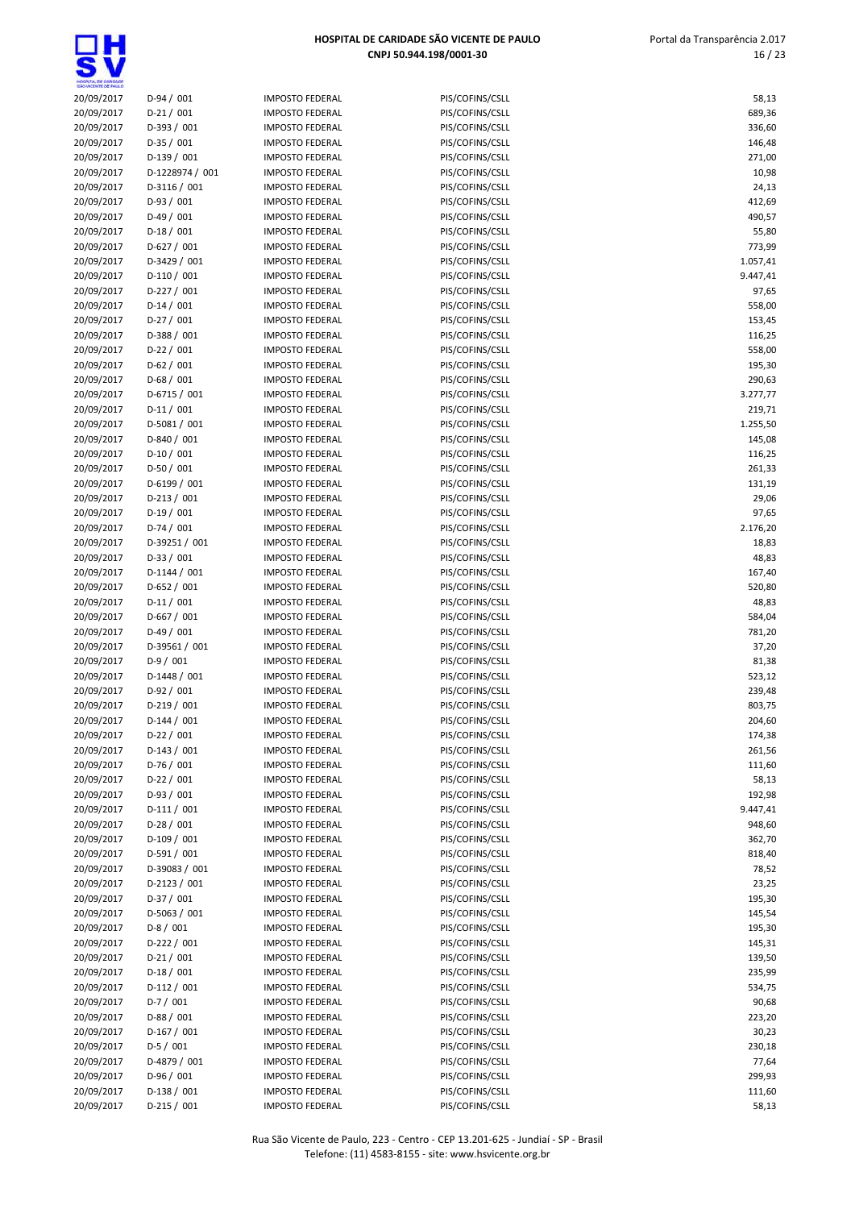**딯벇** 

| HOGIYTA, DE GANDADE<br>SÃO VICENTE DE FAIX O |                             |                                                  |                                    |                  |
|----------------------------------------------|-----------------------------|--------------------------------------------------|------------------------------------|------------------|
| 20/09/2017                                   | $D-94/001$                  | <b>IMPOSTO FEDERAL</b>                           | PIS/COFINS/CSLL                    | 58,13            |
| 20/09/2017                                   | $D-21/001$                  | <b>IMPOSTO FEDERAL</b>                           | PIS/COFINS/CSLL                    | 689,36           |
| 20/09/2017                                   | $D-393/001$                 | <b>IMPOSTO FEDERAL</b>                           | PIS/COFINS/CSLL                    | 336,60           |
| 20/09/2017                                   | $D-35/001$                  | <b>IMPOSTO FEDERAL</b>                           | PIS/COFINS/CSLL                    | 146,48           |
| 20/09/2017                                   | $D-139/001$                 | <b>IMPOSTO FEDERAL</b>                           | PIS/COFINS/CSLL                    | 271,00           |
| 20/09/2017                                   | D-1228974 / 001             | <b>IMPOSTO FEDERAL</b>                           | PIS/COFINS/CSLL                    | 10,98            |
| 20/09/2017                                   | $D-3116/001$                | <b>IMPOSTO FEDERAL</b>                           | PIS/COFINS/CSLL                    | 24,13            |
| 20/09/2017                                   | $D-93/001$                  | <b>IMPOSTO FEDERAL</b>                           | PIS/COFINS/CSLL                    | 412,69           |
| 20/09/2017                                   | $D-49/001$                  | <b>IMPOSTO FEDERAL</b>                           | PIS/COFINS/CSLL                    | 490,57           |
| 20/09/2017                                   | $D-18/001$                  | <b>IMPOSTO FEDERAL</b>                           | PIS/COFINS/CSLL                    | 55,80            |
| 20/09/2017                                   | $D-627/001$                 | <b>IMPOSTO FEDERAL</b>                           | PIS/COFINS/CSLL                    | 773,99           |
| 20/09/2017                                   | D-3429 / 001                | <b>IMPOSTO FEDERAL</b>                           | PIS/COFINS/CSLL                    | 1.057,41         |
| 20/09/2017                                   | $D-110/001$                 | <b>IMPOSTO FEDERAL</b>                           | PIS/COFINS/CSLL                    | 9.447,41         |
| 20/09/2017                                   | $D-227/001$                 | <b>IMPOSTO FEDERAL</b>                           | PIS/COFINS/CSLL                    | 97,65            |
| 20/09/2017<br>20/09/2017                     | $D-14/001$<br>$D-27/001$    | <b>IMPOSTO FEDERAL</b><br><b>IMPOSTO FEDERAL</b> | PIS/COFINS/CSLL<br>PIS/COFINS/CSLL | 558,00<br>153,45 |
| 20/09/2017                                   | $D-388/001$                 | <b>IMPOSTO FEDERAL</b>                           | PIS/COFINS/CSLL                    | 116,25           |
| 20/09/2017                                   | $D-22/001$                  | <b>IMPOSTO FEDERAL</b>                           | PIS/COFINS/CSLL                    | 558,00           |
| 20/09/2017                                   | $D-62/001$                  | <b>IMPOSTO FEDERAL</b>                           | PIS/COFINS/CSLL                    | 195,30           |
| 20/09/2017                                   | $D-68/001$                  | <b>IMPOSTO FEDERAL</b>                           | PIS/COFINS/CSLL                    | 290,63           |
| 20/09/2017                                   | D-6715 / 001                | <b>IMPOSTO FEDERAL</b>                           | PIS/COFINS/CSLL                    | 3.277,77         |
| 20/09/2017                                   | $D-11/001$                  | <b>IMPOSTO FEDERAL</b>                           | PIS/COFINS/CSLL                    | 219,71           |
| 20/09/2017                                   | D-5081 / 001                | <b>IMPOSTO FEDERAL</b>                           | PIS/COFINS/CSLL                    | 1.255,50         |
| 20/09/2017                                   | D-840 / 001                 | <b>IMPOSTO FEDERAL</b>                           | PIS/COFINS/CSLL                    | 145,08           |
| 20/09/2017                                   | $D-10/001$                  | <b>IMPOSTO FEDERAL</b>                           | PIS/COFINS/CSLL                    | 116,25           |
| 20/09/2017                                   | $D-50/001$                  | <b>IMPOSTO FEDERAL</b>                           | PIS/COFINS/CSLL                    | 261,33           |
| 20/09/2017                                   | $D-6199/001$                | <b>IMPOSTO FEDERAL</b>                           | PIS/COFINS/CSLL                    | 131,19           |
| 20/09/2017                                   | $D-213/001$                 | <b>IMPOSTO FEDERAL</b>                           | PIS/COFINS/CSLL                    | 29,06            |
| 20/09/2017                                   | $D-19/001$                  | <b>IMPOSTO FEDERAL</b>                           | PIS/COFINS/CSLL                    | 97,65            |
| 20/09/2017                                   | $D-74/001$                  | <b>IMPOSTO FEDERAL</b>                           | PIS/COFINS/CSLL                    | 2.176,20         |
| 20/09/2017                                   | D-39251 / 001               | <b>IMPOSTO FEDERAL</b>                           | PIS/COFINS/CSLL                    | 18,83            |
| 20/09/2017                                   | $D-33 / 001$                | <b>IMPOSTO FEDERAL</b>                           | PIS/COFINS/CSLL                    | 48,83            |
| 20/09/2017                                   | $D-1144 / 001$              | <b>IMPOSTO FEDERAL</b>                           | PIS/COFINS/CSLL                    | 167,40           |
| 20/09/2017                                   | $D-652 / 001$               | <b>IMPOSTO FEDERAL</b>                           | PIS/COFINS/CSLL                    | 520,80           |
| 20/09/2017                                   | $D-11/001$                  | <b>IMPOSTO FEDERAL</b>                           | PIS/COFINS/CSLL                    | 48,83            |
| 20/09/2017                                   | $D-667/001$                 | <b>IMPOSTO FEDERAL</b>                           | PIS/COFINS/CSLL                    | 584,04           |
| 20/09/2017                                   | $D-49/001$                  | <b>IMPOSTO FEDERAL</b>                           | PIS/COFINS/CSLL                    | 781,20           |
| 20/09/2017                                   | D-39561 / 001               | <b>IMPOSTO FEDERAL</b>                           | PIS/COFINS/CSLL                    | 37,20            |
| 20/09/2017                                   | $D-9/001$                   | <b>IMPOSTO FEDERAL</b>                           | PIS/COFINS/CSLL                    | 81,38            |
| 20/09/2017                                   | $D-1448/001$                | <b>IMPOSTO FEDERAL</b>                           | PIS/COFINS/CSLL                    | 523,12           |
| 20/09/2017                                   | $D-92/001$                  | <b>IMPOSTO FEDERAL</b>                           | PIS/COFINS/CSLL                    | 239,48           |
| 20/09/2017                                   | $D-219/001$                 | <b>IMPOSTO FEDERAL</b>                           | PIS/COFINS/CSLL                    | 803,75           |
| 20/09/2017                                   | $D-144/001$                 | <b>IMPOSTO FEDERAL</b>                           | PIS/COFINS/CSLL                    | 204,60           |
| 20/09/2017                                   | $D-22 / 001$                | <b>IMPOSTO FEDERAL</b>                           | PIS/COFINS/CSLL                    | 174,38           |
| 20/09/2017                                   | $D-143 / 001$               | <b>IMPOSTO FEDERAL</b>                           | PIS/COFINS/CSLL                    | 261,56           |
| 20/09/2017                                   | $D-76/001$                  | <b>IMPOSTO FEDERAL</b>                           | PIS/COFINS/CSLL                    | 111,60           |
| 20/09/2017                                   | $D-22 / 001$                | <b>IMPOSTO FEDERAL</b>                           | PIS/COFINS/CSLL                    | 58,13            |
| 20/09/2017                                   | $D-93/001$                  | <b>IMPOSTO FEDERAL</b>                           | PIS/COFINS/CSLL                    | 192,98           |
| 20/09/2017                                   | $D-111/001$                 | <b>IMPOSTO FEDERAL</b>                           | PIS/COFINS/CSLL                    | 9.447,41         |
| 20/09/2017                                   | $D-28/001$                  | <b>IMPOSTO FEDERAL</b>                           | PIS/COFINS/CSLL                    | 948,60           |
| 20/09/2017                                   | $D-109/001$                 | <b>IMPOSTO FEDERAL</b>                           | PIS/COFINS/CSLL                    | 362,70           |
| 20/09/2017                                   | $D-591/001$                 | <b>IMPOSTO FEDERAL</b>                           | PIS/COFINS/CSLL                    | 818,40           |
| 20/09/2017                                   | D-39083 / 001               | <b>IMPOSTO FEDERAL</b>                           | PIS/COFINS/CSLL                    | 78,52            |
| 20/09/2017                                   | $D-2123 / 001$              | <b>IMPOSTO FEDERAL</b>                           | PIS/COFINS/CSLL                    | 23,25            |
| 20/09/2017                                   | $D-37/001$                  | <b>IMPOSTO FEDERAL</b>                           | PIS/COFINS/CSLL                    | 195,30           |
| 20/09/2017                                   | D-5063 / 001                | <b>IMPOSTO FEDERAL</b>                           | PIS/COFINS/CSLL                    | 145,54           |
| 20/09/2017                                   | $D-8/001$                   | <b>IMPOSTO FEDERAL</b>                           | PIS/COFINS/CSLL                    | 195,30           |
| 20/09/2017<br>20/09/2017                     | $D-222 / 001$<br>$D-21/001$ | <b>IMPOSTO FEDERAL</b><br><b>IMPOSTO FEDERAL</b> | PIS/COFINS/CSLL<br>PIS/COFINS/CSLL | 145,31<br>139,50 |
| 20/09/2017                                   | $D-18/001$                  | <b>IMPOSTO FEDERAL</b>                           | PIS/COFINS/CSLL                    | 235,99           |
| 20/09/2017                                   | $D-112/001$                 | <b>IMPOSTO FEDERAL</b>                           | PIS/COFINS/CSLL                    | 534,75           |
| 20/09/2017                                   | $D-7/001$                   | <b>IMPOSTO FEDERAL</b>                           | PIS/COFINS/CSLL                    | 90,68            |
| 20/09/2017                                   | $D-88/001$                  | <b>IMPOSTO FEDERAL</b>                           | PIS/COFINS/CSLL                    | 223,20           |
| 20/09/2017                                   | $D-167/001$                 | <b>IMPOSTO FEDERAL</b>                           | PIS/COFINS/CSLL                    | 30,23            |
| 20/09/2017                                   | $D-5/001$                   | <b>IMPOSTO FEDERAL</b>                           | PIS/COFINS/CSLL                    | 230,18           |
| 20/09/2017                                   | D-4879 / 001                | <b>IMPOSTO FEDERAL</b>                           | PIS/COFINS/CSLL                    | 77,64            |
| 20/09/2017                                   | $D-96/001$                  | <b>IMPOSTO FEDERAL</b>                           | PIS/COFINS/CSLL                    | 299,93           |
| 20/09/2017                                   | $D-138/001$                 | <b>IMPOSTO FEDERAL</b>                           | PIS/COFINS/CSLL                    | 111,60           |
| 20/09/2017                                   | $D-215/001$                 | <b>IMPOSTO FEDERAL</b>                           | PIS/COFINS/CSLL                    | 58,13            |
|                                              |                             |                                                  |                                    |                  |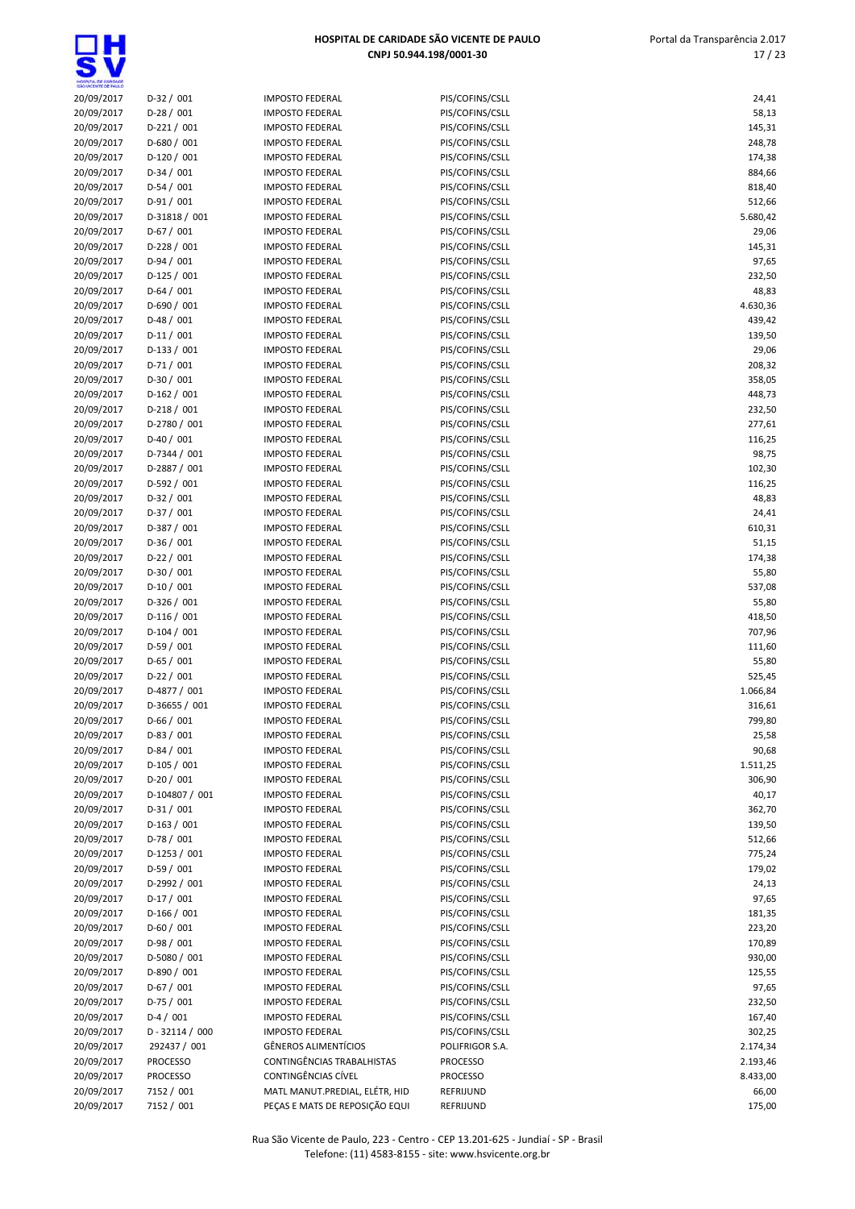$\overline{\mathbf{s}}$ 

| SÃO VICENTE DE PAIX.O |                   |                                |                 |          |
|-----------------------|-------------------|--------------------------------|-----------------|----------|
| 20/09/2017            | $D-32 / 001$      | <b>IMPOSTO FEDERAL</b>         | PIS/COFINS/CSLL | 24,41    |
| 20/09/2017            | $D-28/001$        | <b>IMPOSTO FEDERAL</b>         | PIS/COFINS/CSLL | 58,13    |
| 20/09/2017            | $D-221/001$       | <b>IMPOSTO FEDERAL</b>         | PIS/COFINS/CSLL | 145,31   |
| 20/09/2017            | $D-680 / 001$     | <b>IMPOSTO FEDERAL</b>         | PIS/COFINS/CSLL | 248,78   |
| 20/09/2017            | $D-120/001$       | <b>IMPOSTO FEDERAL</b>         | PIS/COFINS/CSLL | 174,38   |
| 20/09/2017            | $D-34/001$        | <b>IMPOSTO FEDERAL</b>         | PIS/COFINS/CSLL | 884,66   |
| 20/09/2017            | $D-54/001$        | <b>IMPOSTO FEDERAL</b>         | PIS/COFINS/CSLL | 818,40   |
| 20/09/2017            | $D-91/001$        | <b>IMPOSTO FEDERAL</b>         | PIS/COFINS/CSLL | 512,66   |
| 20/09/2017            | D-31818 / 001     | <b>IMPOSTO FEDERAL</b>         | PIS/COFINS/CSLL | 5.680,42 |
| 20/09/2017            | $D-67/001$        | <b>IMPOSTO FEDERAL</b>         | PIS/COFINS/CSLL | 29,06    |
| 20/09/2017            | $D-228/001$       | <b>IMPOSTO FEDERAL</b>         | PIS/COFINS/CSLL | 145,31   |
| 20/09/2017            | $D-94/001$        | <b>IMPOSTO FEDERAL</b>         | PIS/COFINS/CSLL | 97,65    |
| 20/09/2017            | $D-125/001$       | <b>IMPOSTO FEDERAL</b>         | PIS/COFINS/CSLL | 232,50   |
| 20/09/2017            | $D-64/001$        | <b>IMPOSTO FEDERAL</b>         | PIS/COFINS/CSLL | 48,83    |
| 20/09/2017            | $D-690 / 001$     | <b>IMPOSTO FEDERAL</b>         | PIS/COFINS/CSLL | 4.630,36 |
| 20/09/2017            | $D-48/001$        | <b>IMPOSTO FEDERAL</b>         | PIS/COFINS/CSLL | 439,42   |
| 20/09/2017            | $D-11/001$        | <b>IMPOSTO FEDERAL</b>         | PIS/COFINS/CSLL | 139,50   |
| 20/09/2017            | $D-133 / 001$     | <b>IMPOSTO FEDERAL</b>         | PIS/COFINS/CSLL | 29,06    |
| 20/09/2017            | $D-71/001$        | <b>IMPOSTO FEDERAL</b>         | PIS/COFINS/CSLL | 208,32   |
| 20/09/2017            | $D-30/001$        | <b>IMPOSTO FEDERAL</b>         | PIS/COFINS/CSLL | 358,05   |
| 20/09/2017            | $D-162 / 001$     | <b>IMPOSTO FEDERAL</b>         | PIS/COFINS/CSLL | 448,73   |
| 20/09/2017            | $D-218/001$       | <b>IMPOSTO FEDERAL</b>         | PIS/COFINS/CSLL | 232,50   |
| 20/09/2017            | D-2780 / 001      | <b>IMPOSTO FEDERAL</b>         | PIS/COFINS/CSLL | 277,61   |
| 20/09/2017            | $D-40/001$        | <b>IMPOSTO FEDERAL</b>         | PIS/COFINS/CSLL | 116,25   |
| 20/09/2017            | D-7344 / 001      | <b>IMPOSTO FEDERAL</b>         | PIS/COFINS/CSLL | 98,75    |
| 20/09/2017            | D-2887 / 001      | <b>IMPOSTO FEDERAL</b>         | PIS/COFINS/CSLL | 102,30   |
| 20/09/2017            | D-592 / 001       | <b>IMPOSTO FEDERAL</b>         | PIS/COFINS/CSLL | 116,25   |
| 20/09/2017            | $D-32 / 001$      | <b>IMPOSTO FEDERAL</b>         | PIS/COFINS/CSLL | 48,83    |
| 20/09/2017            | $D-37/001$        | <b>IMPOSTO FEDERAL</b>         | PIS/COFINS/CSLL | 24,41    |
| 20/09/2017            | D-387 / 001       | <b>IMPOSTO FEDERAL</b>         | PIS/COFINS/CSLL | 610,31   |
| 20/09/2017            | $D-36/001$        | <b>IMPOSTO FEDERAL</b>         | PIS/COFINS/CSLL | 51,15    |
| 20/09/2017            | $D-22 / 001$      | <b>IMPOSTO FEDERAL</b>         | PIS/COFINS/CSLL | 174,38   |
| 20/09/2017            | $D-30/001$        | <b>IMPOSTO FEDERAL</b>         | PIS/COFINS/CSLL | 55,80    |
| 20/09/2017            | $D-10/001$        | <b>IMPOSTO FEDERAL</b>         | PIS/COFINS/CSLL | 537,08   |
| 20/09/2017            | $D-326/001$       | <b>IMPOSTO FEDERAL</b>         | PIS/COFINS/CSLL | 55,80    |
| 20/09/2017            | $D-116/001$       | <b>IMPOSTO FEDERAL</b>         | PIS/COFINS/CSLL | 418,50   |
| 20/09/2017            | $D-104/001$       | <b>IMPOSTO FEDERAL</b>         | PIS/COFINS/CSLL | 707,96   |
| 20/09/2017            | $D-59/001$        | <b>IMPOSTO FEDERAL</b>         | PIS/COFINS/CSLL | 111,60   |
| 20/09/2017            | $D-65/001$        | <b>IMPOSTO FEDERAL</b>         | PIS/COFINS/CSLL | 55,80    |
| 20/09/2017            | $D-22 / 001$      | <b>IMPOSTO FEDERAL</b>         | PIS/COFINS/CSLL | 525,45   |
| 20/09/2017            | D-4877 / 001      | <b>IMPOSTO FEDERAL</b>         | PIS/COFINS/CSLL | 1.066,84 |
| 20/09/2017            | D-36655 / 001     | <b>IMPOSTO FEDERAL</b>         | PIS/COFINS/CSLL | 316,61   |
| 20/09/2017            | $D-66/001$        | <b>IMPOSTO FEDERAL</b>         | PIS/COFINS/CSLL | 799,80   |
| 20/09/2017            | $D-83 / 001$      | <b>IMPOSTO FEDERAL</b>         | PIS/COFINS/CSLL | 25,58    |
| 20/09/2017            | $D-84/001$        | <b>IMPOSTO FEDERAL</b>         | PIS/COFINS/CSLL | 90,68    |
| 20/09/2017            | $D-105/001$       | <b>IMPOSTO FEDERAL</b>         | PIS/COFINS/CSLL | 1.511,25 |
| 20/09/2017            | $D-20/001$        | <b>IMPOSTO FEDERAL</b>         | PIS/COFINS/CSLL | 306,90   |
| 20/09/2017            | D-104807 / 001    | <b>IMPOSTO FEDERAL</b>         | PIS/COFINS/CSLL | 40,17    |
| 20/09/2017            | $D-31/001$        | <b>IMPOSTO FEDERAL</b>         | PIS/COFINS/CSLL | 362,70   |
| 20/09/2017            | $D-163 / 001$     | <b>IMPOSTO FEDERAL</b>         | PIS/COFINS/CSLL | 139,50   |
| 20/09/2017            | $D-78/001$        | <b>IMPOSTO FEDERAL</b>         | PIS/COFINS/CSLL | 512,66   |
| 20/09/2017            | $D-1253 / 001$    | <b>IMPOSTO FEDERAL</b>         | PIS/COFINS/CSLL | 775,24   |
| 20/09/2017            | $D-59/001$        | <b>IMPOSTO FEDERAL</b>         | PIS/COFINS/CSLL | 179,02   |
| 20/09/2017            | D-2992 / 001      | <b>IMPOSTO FEDERAL</b>         | PIS/COFINS/CSLL | 24,13    |
| 20/09/2017            | $D-17/001$        | <b>IMPOSTO FEDERAL</b>         | PIS/COFINS/CSLL | 97,65    |
| 20/09/2017            | $D-166/001$       | <b>IMPOSTO FEDERAL</b>         | PIS/COFINS/CSLL | 181,35   |
| 20/09/2017            | $D-60/001$        | <b>IMPOSTO FEDERAL</b>         | PIS/COFINS/CSLL | 223,20   |
| 20/09/2017            | $D-98/001$        | <b>IMPOSTO FEDERAL</b>         | PIS/COFINS/CSLL | 170,89   |
| 20/09/2017            | D-5080 / 001      | <b>IMPOSTO FEDERAL</b>         | PIS/COFINS/CSLL | 930,00   |
| 20/09/2017            | D-890 / 001       | <b>IMPOSTO FEDERAL</b>         | PIS/COFINS/CSLL | 125,55   |
| 20/09/2017            | $D-67/001$        | <b>IMPOSTO FEDERAL</b>         | PIS/COFINS/CSLL | 97,65    |
| 20/09/2017            | $D-75/001$        | <b>IMPOSTO FEDERAL</b>         | PIS/COFINS/CSLL | 232,50   |
| 20/09/2017            | $D-4/001$         | <b>IMPOSTO FEDERAL</b>         | PIS/COFINS/CSLL | 167,40   |
| 20/09/2017            | $D - 32114 / 000$ | <b>IMPOSTO FEDERAL</b>         | PIS/COFINS/CSLL | 302,25   |
| 20/09/2017            | 292437 / 001      | <b>GÊNEROS ALIMENTÍCIOS</b>    | POLIFRIGOR S.A. | 2.174,34 |
| 20/09/2017            | <b>PROCESSO</b>   | CONTINGÊNCIAS TRABALHISTAS     | <b>PROCESSO</b> | 2.193,46 |
| 20/09/2017            | <b>PROCESSO</b>   | CONTINGÊNCIAS CÍVEL            | <b>PROCESSO</b> | 8.433,00 |
| 20/09/2017            | 7152 / 001        | MATL MANUT.PREDIAL, ELÉTR, HID | REFRIJUND       | 66,00    |
| 20/09/2017            | 7152 / 001        | PEÇAS E MATS DE REPOSIÇÃO EQUI | REFRIJUND       | 175,00   |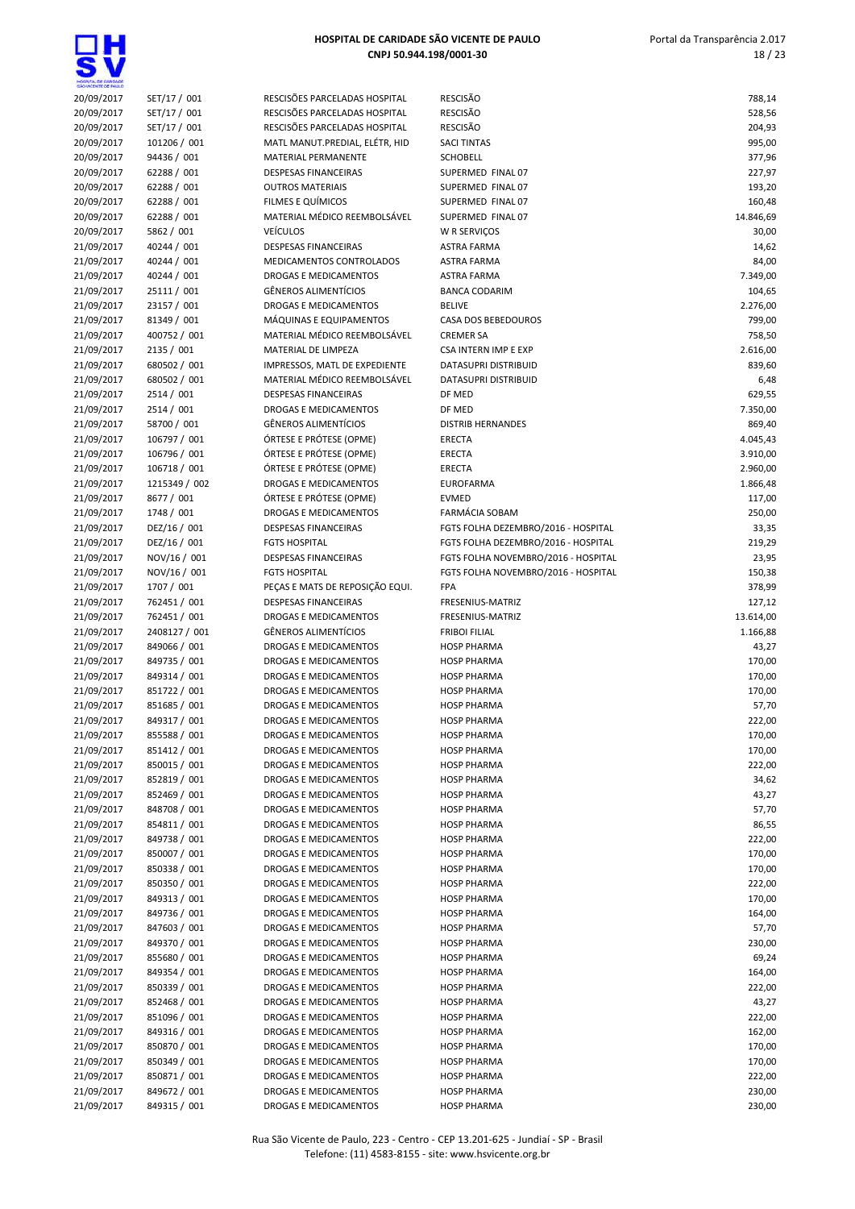| HOSPITAL DE GARDADE<br>SÃO VICENTE DE FAILLO |                              |                                                              |                                          |                      |
|----------------------------------------------|------------------------------|--------------------------------------------------------------|------------------------------------------|----------------------|
| 20/09/2017                                   | SET/17 / 001                 | RESCISÕES PARCELADAS HOSPITAL                                | <b>RESCISÃO</b>                          | 788,14               |
| 20/09/2017                                   | SET/17 / 001                 | RESCISÕES PARCELADAS HOSPITAL                                | <b>RESCISÃO</b>                          | 528,56               |
| 20/09/2017                                   | SET/17 / 001                 | RESCISÕES PARCELADAS HOSPITAL                                | <b>RESCISÃO</b>                          | 204,93               |
| 20/09/2017                                   | 101206 / 001                 | MATL MANUT.PREDIAL, ELÉTR, HID                               | <b>SACI TINTAS</b>                       | 995,00               |
| 20/09/2017                                   | 94436 / 001                  | MATERIAL PERMANENTE                                          | <b>SCHOBELL</b>                          | 377,96               |
| 20/09/2017                                   | 62288 / 001<br>62288 / 001   | <b>DESPESAS FINANCEIRAS</b><br><b>OUTROS MATERIAIS</b>       | SUPERMED FINAL 07<br>SUPERMED FINAL 07   | 227,97<br>193,20     |
| 20/09/2017<br>20/09/2017                     | 62288 / 001                  | FILMES E QUÍMICOS                                            | SUPERMED FINAL 07                        | 160,48               |
| 20/09/2017                                   | 62288 / 001                  | MATERIAL MÉDICO REEMBOLSÁVEL                                 | SUPERMED FINAL 07                        | 14.846,69            |
| 20/09/2017                                   | 5862 / 001                   | <b>VEÍCULOS</b>                                              | W R SERVIÇOS                             | 30,00                |
| 21/09/2017                                   | 40244 / 001                  | DESPESAS FINANCEIRAS                                         | <b>ASTRA FARMA</b>                       | 14,62                |
| 21/09/2017                                   | 40244 / 001                  | MEDICAMENTOS CONTROLADOS                                     | <b>ASTRA FARMA</b>                       | 84,00                |
| 21/09/2017                                   | 40244 / 001                  | <b>DROGAS E MEDICAMENTOS</b>                                 | <b>ASTRA FARMA</b>                       | 7.349,00             |
| 21/09/2017                                   | 25111 / 001                  | <b>GÊNEROS ALIMENTÍCIOS</b>                                  | <b>BANCA CODARIM</b>                     | 104,65               |
| 21/09/2017                                   | 23157 / 001                  | <b>DROGAS E MEDICAMENTOS</b>                                 | <b>BELIVE</b>                            | 2.276,00             |
| 21/09/2017                                   | 81349 / 001                  | MÁQUINAS E EQUIPAMENTOS                                      | CASA DOS BEBEDOUROS                      | 799,00               |
| 21/09/2017                                   | 400752 / 001                 | MATERIAL MÉDICO REEMBOLSÁVEL                                 | <b>CREMER SA</b>                         | 758,50               |
| 21/09/2017                                   | 2135 / 001                   | MATERIAL DE LIMPEZA                                          | CSA INTERN IMP E EXP                     | 2.616,00             |
| 21/09/2017                                   | 680502 / 001                 | IMPRESSOS, MATL DE EXPEDIENTE                                | DATASUPRI DISTRIBUID                     | 839,60               |
| 21/09/2017                                   | 680502 / 001                 | MATERIAL MÉDICO REEMBOLSÁVEL                                 | DATASUPRI DISTRIBUID                     | 6,48                 |
| 21/09/2017                                   | 2514 / 001                   | <b>DESPESAS FINANCEIRAS</b>                                  | DF MED                                   | 629,55               |
| 21/09/2017                                   | 2514 / 001                   | <b>DROGAS E MEDICAMENTOS</b>                                 | DF MED                                   | 7.350,00             |
| 21/09/2017                                   | 58700 / 001                  | <b>GÊNEROS ALIMENTÍCIOS</b>                                  | <b>DISTRIB HERNANDES</b>                 | 869,40               |
| 21/09/2017                                   | 106797 / 001                 | ÓRTESE E PRÓTESE (OPME)                                      | <b>ERECTA</b>                            | 4.045,43             |
| 21/09/2017                                   | 106796 / 001<br>106718 / 001 | ÓRTESE E PRÓTESE (OPME)<br>ÓRTESE E PRÓTESE (OPME)           | <b>ERECTA</b><br><b>ERECTA</b>           | 3.910,00<br>2.960,00 |
| 21/09/2017<br>21/09/2017                     | 1215349 / 002                | <b>DROGAS E MEDICAMENTOS</b>                                 | <b>EUROFARMA</b>                         | 1.866,48             |
| 21/09/2017                                   | 8677 / 001                   | ÓRTESE E PRÓTESE (OPME)                                      | <b>EVMED</b>                             | 117,00               |
| 21/09/2017                                   | 1748 / 001                   | DROGAS E MEDICAMENTOS                                        | <b>FARMÁCIA SOBAM</b>                    | 250,00               |
| 21/09/2017                                   | DEZ/16 / 001                 | <b>DESPESAS FINANCEIRAS</b>                                  | FGTS FOLHA DEZEMBRO/2016 - HOSPITAL      | 33,35                |
| 21/09/2017                                   | DEZ/16 / 001                 | <b>FGTS HOSPITAL</b>                                         | FGTS FOLHA DEZEMBRO/2016 - HOSPITAL      | 219,29               |
| 21/09/2017                                   | NOV/16 / 001                 | <b>DESPESAS FINANCEIRAS</b>                                  | FGTS FOLHA NOVEMBRO/2016 - HOSPITAL      | 23,95                |
| 21/09/2017                                   | NOV/16 / 001                 | <b>FGTS HOSPITAL</b>                                         | FGTS FOLHA NOVEMBRO/2016 - HOSPITAL      | 150,38               |
| 21/09/2017                                   | 1707 / 001                   | PEÇAS E MATS DE REPOSIÇÃO EQUI.                              | <b>FPA</b>                               | 378,99               |
| 21/09/2017                                   | 762451 / 001                 | <b>DESPESAS FINANCEIRAS</b>                                  | FRESENIUS-MATRIZ                         | 127,12               |
| 21/09/2017                                   | 762451 / 001                 | DROGAS E MEDICAMENTOS                                        | FRESENIUS-MATRIZ                         | 13.614,00            |
| 21/09/2017                                   | 2408127 / 001                | <b>GÊNEROS ALIMENTÍCIOS</b>                                  | <b>FRIBOI FILIAL</b>                     | 1.166,88             |
| 21/09/2017                                   | 849066 / 001                 | <b>DROGAS E MEDICAMENTOS</b>                                 | <b>HOSP PHARMA</b>                       | 43,27                |
| 21/09/2017                                   | 849735 / 001                 | DROGAS E MEDICAMENTOS                                        | <b>HOSP PHARMA</b>                       | 170,00               |
| 21/09/2017                                   | 849314 / 001                 | DROGAS E MEDICAMENTOS                                        | <b>HOSP PHARMA</b>                       | 170,00               |
| 21/09/2017                                   | 851722 / 001                 | <b>DROGAS E MEDICAMENTOS</b>                                 | <b>HOSP PHARMA</b>                       | 170,00               |
| 21/09/2017                                   | 851685 / 001                 | DROGAS E MEDICAMENTOS                                        | <b>HOSP PHARMA</b><br><b>HOSP PHARMA</b> | 57,70                |
| 21/09/2017                                   | 849317 / 001<br>855588 / 001 | <b>DROGAS E MEDICAMENTOS</b><br><b>DROGAS E MEDICAMENTOS</b> |                                          | 222,00               |
| 21/09/2017<br>21/09/2017                     | 851412 / 001                 | DROGAS E MEDICAMENTOS                                        | <b>HOSP PHARMA</b><br><b>HOSP PHARMA</b> | 170,00<br>170,00     |
| 21/09/2017                                   | 850015 / 001                 | DROGAS E MEDICAMENTOS                                        | <b>HOSP PHARMA</b>                       | 222,00               |
| 21/09/2017                                   | 852819 / 001                 | DROGAS E MEDICAMENTOS                                        | <b>HOSP PHARMA</b>                       | 34,62                |
| 21/09/2017                                   | 852469 / 001                 | DROGAS E MEDICAMENTOS                                        | <b>HOSP PHARMA</b>                       | 43,27                |
| 21/09/2017                                   | 848708 / 001                 | DROGAS E MEDICAMENTOS                                        | <b>HOSP PHARMA</b>                       | 57,70                |
| 21/09/2017                                   | 854811 / 001                 | DROGAS E MEDICAMENTOS                                        | <b>HOSP PHARMA</b>                       | 86,55                |
| 21/09/2017                                   | 849738 / 001                 | DROGAS E MEDICAMENTOS                                        | <b>HOSP PHARMA</b>                       | 222,00               |
| 21/09/2017                                   | 850007 / 001                 | DROGAS E MEDICAMENTOS                                        | <b>HOSP PHARMA</b>                       | 170,00               |
| 21/09/2017                                   | 850338 / 001                 | DROGAS E MEDICAMENTOS                                        | <b>HOSP PHARMA</b>                       | 170,00               |
| 21/09/2017                                   | 850350 / 001                 | <b>DROGAS E MEDICAMENTOS</b>                                 | <b>HOSP PHARMA</b>                       | 222,00               |
| 21/09/2017                                   | 849313 / 001                 | DROGAS E MEDICAMENTOS                                        | <b>HOSP PHARMA</b>                       | 170,00               |
| 21/09/2017                                   | 849736 / 001                 | DROGAS E MEDICAMENTOS                                        | <b>HOSP PHARMA</b>                       | 164,00               |
| 21/09/2017                                   | 847603 / 001                 | DROGAS E MEDICAMENTOS                                        | <b>HOSP PHARMA</b>                       | 57,70                |
| 21/09/2017                                   | 849370 / 001                 | DROGAS E MEDICAMENTOS                                        | <b>HOSP PHARMA</b>                       | 230,00               |
| 21/09/2017                                   | 855680 / 001                 | DROGAS E MEDICAMENTOS                                        | <b>HOSP PHARMA</b>                       | 69,24                |
| 21/09/2017                                   | 849354 / 001                 | DROGAS E MEDICAMENTOS                                        | <b>HOSP PHARMA</b>                       | 164,00               |
| 21/09/2017                                   | 850339 / 001                 | DROGAS E MEDICAMENTOS                                        | <b>HOSP PHARMA</b>                       | 222,00               |
| 21/09/2017                                   | 852468 / 001<br>851096 / 001 | DROGAS E MEDICAMENTOS                                        | <b>HOSP PHARMA</b>                       | 43,27                |
| 21/09/2017<br>21/09/2017                     | 849316 / 001                 | DROGAS E MEDICAMENTOS<br>DROGAS E MEDICAMENTOS               | <b>HOSP PHARMA</b><br><b>HOSP PHARMA</b> | 222,00<br>162,00     |
| 21/09/2017                                   | 850870 / 001                 | DROGAS E MEDICAMENTOS                                        | <b>HOSP PHARMA</b>                       | 170,00               |
| 21/09/2017                                   | 850349 / 001                 | DROGAS E MEDICAMENTOS                                        | <b>HOSP PHARMA</b>                       | 170,00               |
| 21/09/2017                                   | 850871 / 001                 | DROGAS E MEDICAMENTOS                                        | <b>HOSP PHARMA</b>                       | 222,00               |
| 21/09/2017                                   | 849672 / 001                 | DROGAS E MEDICAMENTOS                                        | <b>HOSP PHARMA</b>                       | 230,00               |
| 21/09/2017                                   | 849315 / 001                 | DROGAS E MEDICAMENTOS                                        | <b>HOSP PHARMA</b>                       | 230,00               |
|                                              |                              |                                                              |                                          |                      |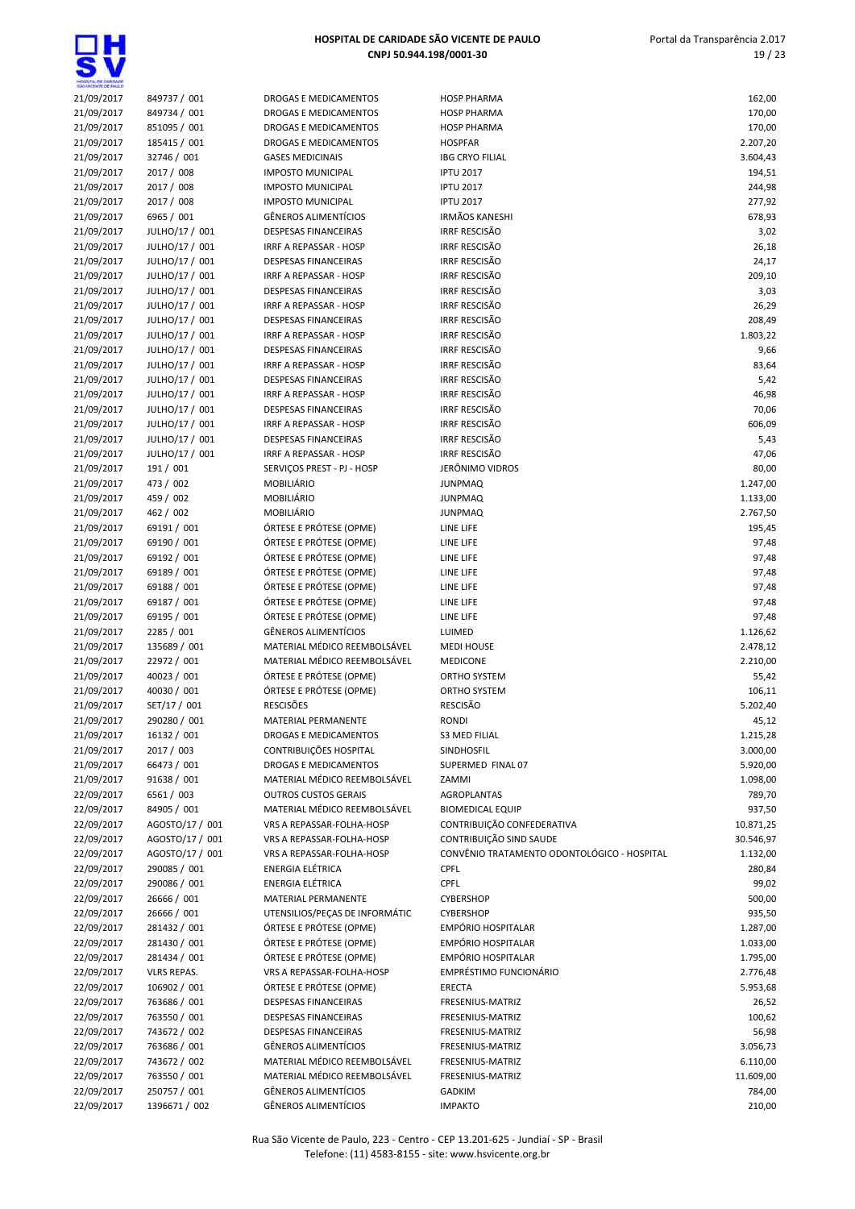| HOSPITAL DE GANDADE<br>SÃO VICENTE DE FAIX O |                           |                                                             |                                             |                      |
|----------------------------------------------|---------------------------|-------------------------------------------------------------|---------------------------------------------|----------------------|
| 21/09/2017                                   | 849737 / 001              | DROGAS E MEDICAMENTOS                                       | <b>HOSP PHARMA</b>                          | 162,00               |
| 21/09/2017                                   | 849734 / 001              | DROGAS E MEDICAMENTOS                                       | <b>HOSP PHARMA</b>                          | 170,00               |
| 21/09/2017                                   | 851095 / 001              | DROGAS E MEDICAMENTOS                                       | <b>HOSP PHARMA</b>                          | 170,00               |
| 21/09/2017                                   | 185415 / 001              | DROGAS E MEDICAMENTOS<br><b>GASES MEDICINAIS</b>            | <b>HOSPFAR</b>                              | 2.207,20             |
| 21/09/2017<br>21/09/2017                     | 32746 / 001<br>2017 / 008 | <b>IMPOSTO MUNICIPAL</b>                                    | <b>IBG CRYO FILIAL</b><br><b>IPTU 2017</b>  | 3.604,43             |
| 21/09/2017                                   | 2017 / 008                | <b>IMPOSTO MUNICIPAL</b>                                    | <b>IPTU 2017</b>                            | 194,51<br>244,98     |
| 21/09/2017                                   | 2017 / 008                | <b>IMPOSTO MUNICIPAL</b>                                    | <b>IPTU 2017</b>                            | 277,92               |
| 21/09/2017                                   | 6965 / 001                | <b>GËNEROS ALIMENTÍCIOS</b>                                 | <b>IRMÃOS KANESHI</b>                       | 678,93               |
| 21/09/2017                                   | JULHO/17 / 001            | <b>DESPESAS FINANCEIRAS</b>                                 | <b>IRRF RESCISÃO</b>                        | 3,02                 |
| 21/09/2017                                   | JULHO/17 / 001            | <b>IRRF A REPASSAR - HOSP</b>                               | <b>IRRF RESCISÃO</b>                        | 26,18                |
| 21/09/2017                                   | JULHO/17 / 001            | <b>DESPESAS FINANCEIRAS</b>                                 | <b>IRRF RESCISÃO</b>                        | 24,17                |
| 21/09/2017                                   | JULHO/17 / 001            | <b>IRRF A REPASSAR - HOSP</b>                               | <b>IRRF RESCISÃO</b>                        | 209,10               |
| 21/09/2017                                   | JULHO/17 / 001            | DESPESAS FINANCEIRAS                                        | <b>IRRF RESCISÃO</b>                        | 3,03                 |
| 21/09/2017                                   | JULHO/17 / 001            | IRRF A REPASSAR - HOSP                                      | <b>IRRF RESCISÃO</b>                        | 26,29                |
| 21/09/2017                                   | JULHO/17 / 001            | <b>DESPESAS FINANCEIRAS</b>                                 | <b>IRRF RESCISÃO</b>                        | 208,49               |
| 21/09/2017                                   | JULHO/17 / 001            | IRRF A REPASSAR - HOSP                                      | <b>IRRF RESCISÃO</b>                        | 1.803,22             |
| 21/09/2017                                   | JULHO/17 / 001            | DESPESAS FINANCEIRAS                                        | <b>IRRF RESCISÃO</b>                        | 9,66                 |
| 21/09/2017                                   | JULHO/17 / 001            | <b>IRRF A REPASSAR - HOSP</b>                               | <b>IRRF RESCISÃO</b>                        | 83,64                |
| 21/09/2017                                   | JULHO/17 / 001            | <b>DESPESAS FINANCEIRAS</b>                                 | <b>IRRF RESCISÃO</b>                        | 5,42                 |
| 21/09/2017                                   | JULHO/17 / 001            | <b>IRRF A REPASSAR - HOSP</b>                               | <b>IRRF RESCISÃO</b>                        | 46,98                |
| 21/09/2017                                   | JULHO/17 / 001            | <b>DESPESAS FINANCEIRAS</b>                                 | <b>IRRF RESCISÃO</b>                        | 70,06                |
| 21/09/2017                                   | JULHO/17 / 001            | <b>IRRF A REPASSAR - HOSP</b>                               | <b>IRRF RESCISÃO</b>                        | 606,09               |
| 21/09/2017                                   | JULHO/17 / 001            | DESPESAS FINANCEIRAS                                        | <b>IRRF RESCISÃO</b>                        | 5,43                 |
| 21/09/2017                                   | JULHO/17 / 001            | IRRF A REPASSAR - HOSP                                      | IRRF RESCISÃO                               | 47,06                |
| 21/09/2017                                   | 191 / 001                 | SERVICOS PREST - PJ - HOSP<br><b>MOBILIÁRIO</b>             | JERÔNIMO VIDROS                             | 80,00                |
| 21/09/2017<br>21/09/2017                     | 473 / 002<br>459 / 002    | MOBILIÁRIO                                                  | <b>JUNPMAQ</b><br><b>JUNPMAQ</b>            | 1.247,00<br>1.133,00 |
| 21/09/2017                                   | 462 / 002                 | MOBILIÁRIO                                                  | <b>JUNPMAQ</b>                              | 2.767,50             |
| 21/09/2017                                   | 69191 / 001               | ÓRTESE E PRÓTESE (OPME)                                     | LINE LIFE                                   | 195,45               |
| 21/09/2017                                   | 69190 / 001               | ÓRTESE E PRÓTESE (OPME)                                     | LINE LIFE                                   | 97,48                |
| 21/09/2017                                   | 69192 / 001               | ÓRTESE E PRÓTESE (OPME)                                     | LINE LIFE                                   | 97,48                |
| 21/09/2017                                   | 69189 / 001               | ÓRTESE E PRÓTESE (OPME)                                     | LINE LIFE                                   | 97,48                |
| 21/09/2017                                   | 69188 / 001               | ÓRTESE E PRÓTESE (OPME)                                     | LINE LIFE                                   | 97,48                |
| 21/09/2017                                   | 69187 / 001               | ÓRTESE E PRÓTESE (OPME)                                     | LINE LIFE                                   | 97,48                |
| 21/09/2017                                   | 69195 / 001               | ÓRTESE E PRÓTESE (OPME)                                     | LINE LIFE                                   | 97,48                |
| 21/09/2017                                   | 2285 / 001                | <b>GÊNEROS ALIMENTÍCIOS</b>                                 | LUIMED                                      | 1.126,62             |
| 21/09/2017                                   | 135689 / 001              | MATERIAL MÉDICO REEMBOLSÁVEL                                | <b>MEDI HOUSE</b>                           | 2.478,12             |
| 21/09/2017                                   | 22972 / 001               | MATERIAL MÉDICO REEMBOLSÁVEL                                | <b>MEDICONE</b>                             | 2.210,00             |
| 21/09/2017                                   | 40023 / 001               | ÓRTESE E PRÓTESE (OPME)                                     | ORTHO SYSTEM                                | 55,42                |
| 21/09/2017                                   | 40030 / 001               | ÓRTESE E PRÓTESE (OPME)                                     | ORTHO SYSTEM                                | 106,11               |
| 21/09/2017                                   | SET/17 / 001              | <b>RESCISÕES</b>                                            | <b>RESCISÃO</b>                             | 5.202,40             |
| 21/09/2017                                   | 290280 / 001              | MATERIAL PERMANENTE                                         | <b>RONDI</b>                                | 45,12                |
| 21/09/2017                                   | 16132 / 001               | <b>DROGAS E MEDICAMENTOS</b>                                | <b>S3 MED FILIAL</b>                        | 1.215,28             |
| 21/09/2017                                   | 2017 / 003                | CONTRIBUIÇÕES HOSPITAL                                      | <b>SINDHOSFIL</b>                           | 3.000,00             |
| 21/09/2017                                   | 66473 / 001               | <b>DROGAS E MEDICAMENTOS</b>                                | SUPERMED FINAL 07                           | 5.920,00             |
| 21/09/2017                                   | 91638 / 001               | MATERIAL MÉDICO REEMBOLSÁVEL                                | ZAMMI                                       | 1.098,00             |
| 22/09/2017<br>22/09/2017                     | 6561 / 003<br>84905 / 001 | <b>OUTROS CUSTOS GERAIS</b><br>MATERIAL MÉDICO REEMBOLSÁVEL | AGROPLANTAS<br><b>BIOMEDICAL EQUIP</b>      | 789,70<br>937,50     |
| 22/09/2017                                   | AGOSTO/17 / 001           | VRS A REPASSAR-FOLHA-HOSP                                   | CONTRIBUIÇÃO CONFEDERATIVA                  | 10.871,25            |
| 22/09/2017                                   | AGOSTO/17 / 001           | VRS A REPASSAR-FOLHA-HOSP                                   | CONTRIBUIÇÃO SIND SAUDE                     | 30.546,97            |
| 22/09/2017                                   | AGOSTO/17 / 001           | VRS A REPASSAR-FOLHA-HOSP                                   | CONVÊNIO TRATAMENTO ODONTOLÓGICO - HOSPITAL | 1.132,00             |
| 22/09/2017                                   | 290085 / 001              | <b>ENERGIA ELÉTRICA</b>                                     | <b>CPFL</b>                                 | 280,84               |
| 22/09/2017                                   | 290086 / 001              | ENERGIA ELÉTRICA                                            | CPFL                                        | 99,02                |
| 22/09/2017                                   | 26666 / 001               | <b>MATERIAL PERMANENTE</b>                                  | <b>CYBERSHOP</b>                            | 500,00               |
| 22/09/2017                                   | 26666 / 001               | UTENSILIOS/PEÇAS DE INFORMÁTIC                              | <b>CYBERSHOP</b>                            | 935,50               |
| 22/09/2017                                   | 281432 / 001              | ÓRTESE E PRÓTESE (OPME)                                     | <b>EMPÓRIO HOSPITALAR</b>                   | 1.287,00             |
| 22/09/2017                                   | 281430 / 001              | ÓRTESE E PRÓTESE (OPME)                                     | EMPÓRIO HOSPITALAR                          | 1.033,00             |
| 22/09/2017                                   | 281434 / 001              | ÓRTESE E PRÓTESE (OPME)                                     | EMPÓRIO HOSPITALAR                          | 1.795,00             |
| 22/09/2017                                   | <b>VLRS REPAS.</b>        | VRS A REPASSAR-FOLHA-HOSP                                   | <b>EMPRÉSTIMO FUNCIONÁRIO</b>               | 2.776,48             |
| 22/09/2017                                   | 106902 / 001              | ÓRTESE E PRÓTESE (OPME)                                     | ERECTA                                      | 5.953,68             |
| 22/09/2017                                   | 763686 / 001              | DESPESAS FINANCEIRAS                                        | FRESENIUS-MATRIZ                            | 26,52                |
| 22/09/2017                                   | 763550 / 001              | <b>DESPESAS FINANCEIRAS</b>                                 | FRESENIUS-MATRIZ                            | 100,62               |
| 22/09/2017                                   | 743672 / 002              | DESPESAS FINANCEIRAS                                        | FRESENIUS-MATRIZ                            | 56,98                |
| 22/09/2017                                   | 763686 / 001              | <b>GÊNEROS ALIMENTÍCIOS</b>                                 | FRESENIUS-MATRIZ                            | 3.056,73             |
| 22/09/2017                                   | 743672 / 002              | MATERIAL MÉDICO REEMBOLSÁVEL                                | FRESENIUS-MATRIZ                            | 6.110,00             |
| 22/09/2017                                   | 763550 / 001              | MATERIAL MÉDICO REEMBOLSÁVEL                                | FRESENIUS-MATRIZ                            | 11.609,00            |
| 22/09/2017                                   | 250757 / 001              | <b>GÊNEROS ALIMENTÍCIOS</b>                                 | <b>GADKIM</b>                               | 784,00               |
| 22/09/2017                                   | 1396671 / 002             | GÊNEROS ALIMENTÍCIOS                                        | <b>IMPAKTO</b>                              | 210,00               |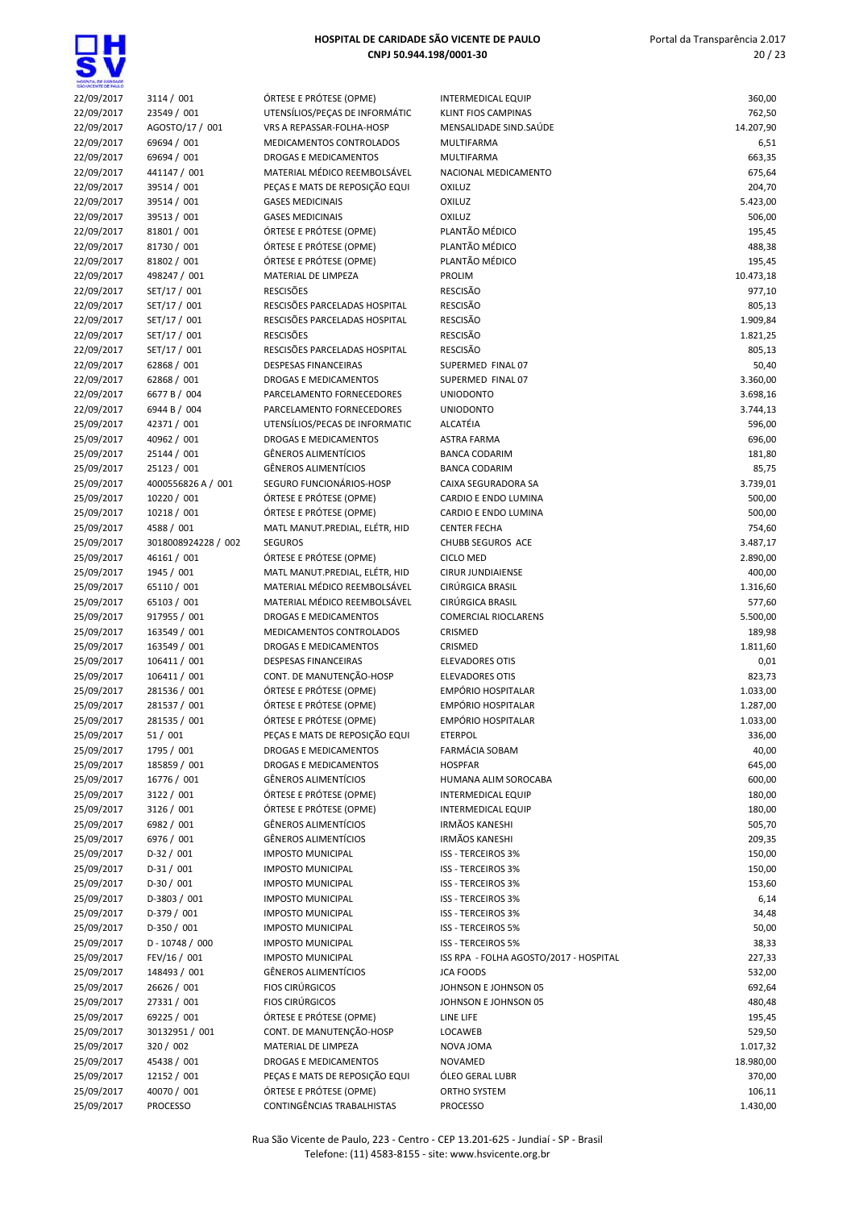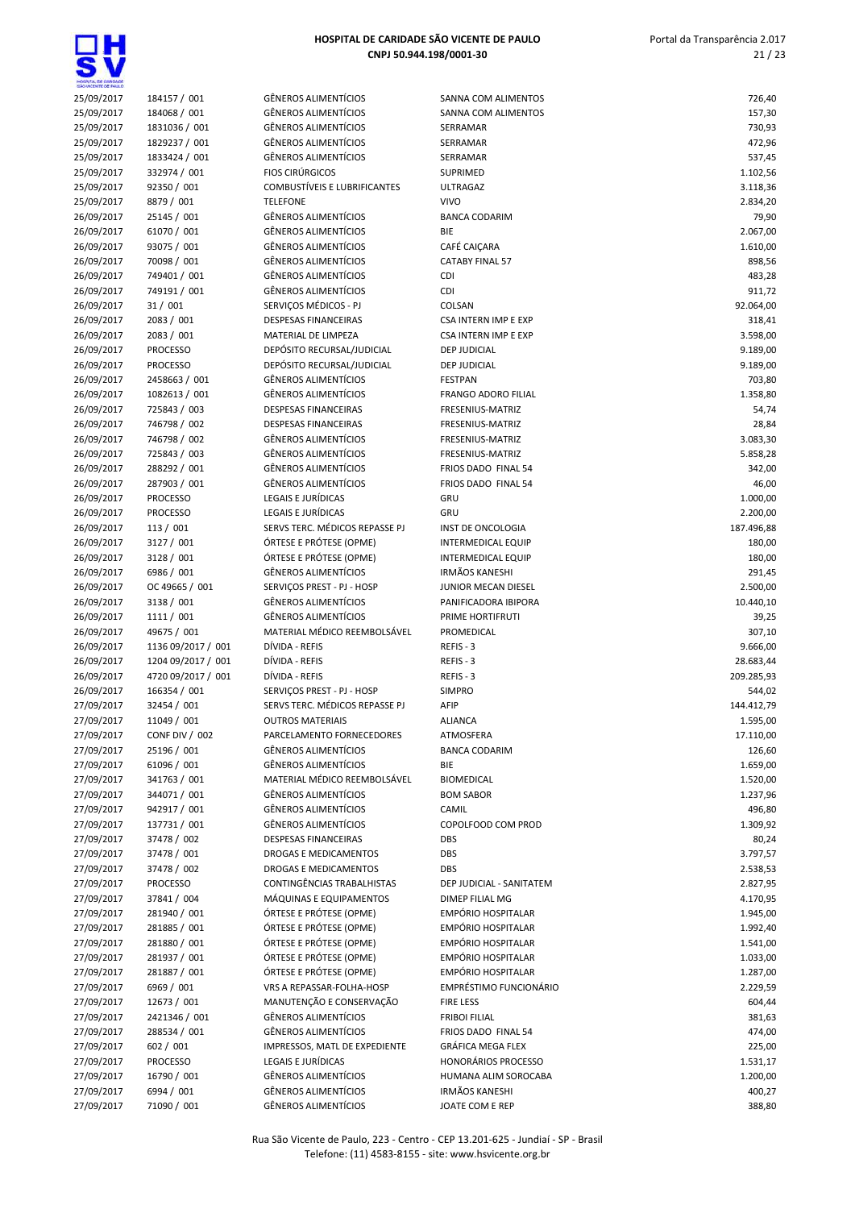<u>Q</u>H

| HOSPITAL DE GARDADE      |                                  |                                                            |                                       |                      |
|--------------------------|----------------------------------|------------------------------------------------------------|---------------------------------------|----------------------|
| 25/09/2017               | 184157 / 001                     | <b>GÊNEROS ALIMENTÍCIOS</b>                                | SANNA COM ALIMENTOS                   | 726,40               |
| 25/09/2017               | 184068 / 001                     | <b>GÊNEROS ALIMENTÍCIOS</b>                                | SANNA COM ALIMENTOS                   | 157,30               |
| 25/09/2017<br>25/09/2017 | 1831036 / 001<br>1829237 / 001   | <b>GÊNEROS ALIMENTÍCIOS</b><br><b>GÊNEROS ALIMENTÍCIOS</b> | SERRAMAR<br>SERRAMAR                  | 730,93<br>472,96     |
| 25/09/2017               | 1833424 / 001                    | <b>GÊNEROS ALIMENTÍCIOS</b>                                | SERRAMAR                              | 537,45               |
| 25/09/2017               | 332974 / 001                     | <b>FIOS CIRÚRGICOS</b>                                     | SUPRIMED                              | 1.102,56             |
| 25/09/2017               | 92350 / 001                      | COMBUSTÍVEIS E LUBRIFICANTES                               | <b>ULTRAGAZ</b>                       | 3.118,36             |
| 25/09/2017               | 8879 / 001                       | <b>TELEFONE</b>                                            | <b>VIVO</b>                           | 2.834,20             |
| 26/09/2017               | 25145 / 001                      | <b>GÊNEROS ALIMENTÍCIOS</b>                                | <b>BANCA CODARIM</b>                  | 79,90                |
| 26/09/2017               | 61070 / 001                      | <b>GÊNEROS ALIMENTÍCIOS</b>                                | BIE                                   | 2.067,00             |
| 26/09/2017               | 93075 / 001                      | <b>GÊNEROS ALIMENTÍCIOS</b>                                | CAFÉ CAIÇARA                          | 1.610,00             |
| 26/09/2017               | 70098 / 001                      | <b>GÊNEROS ALIMENTÍCIOS</b>                                | <b>CATABY FINAL 57</b>                | 898,56               |
| 26/09/2017               | 749401 / 001                     | <b>GÊNEROS ALIMENTÍCIOS</b>                                | <b>CDI</b>                            | 483,28               |
| 26/09/2017               | 749191 / 001                     | <b>GÊNEROS ALIMENTÍCIOS</b>                                | <b>CDI</b>                            | 911,72               |
| 26/09/2017               | 31/001                           | SERVIÇOS MÉDICOS - PJ                                      | COLSAN                                | 92.064,00            |
| 26/09/2017               | 2083 / 001                       | <b>DESPESAS FINANCEIRAS</b>                                | CSA INTERN IMP E EXP                  | 318,41               |
| 26/09/2017               | 2083 / 001                       | MATERIAL DE LIMPEZA                                        | CSA INTERN IMP E EXP                  | 3.598,00             |
| 26/09/2017               | <b>PROCESSO</b>                  | DEPÓSITO RECURSAL/JUDICIAL                                 | <b>DEP JUDICIAL</b>                   | 9.189,00             |
| 26/09/2017<br>26/09/2017 | <b>PROCESSO</b><br>2458663 / 001 | DEPÓSITO RECURSAL/JUDICIAL<br><b>GÊNEROS ALIMENTÍCIOS</b>  | <b>DEP JUDICIAL</b><br><b>FESTPAN</b> | 9.189,00<br>703,80   |
| 26/09/2017               | 1082613 / 001                    | <b>GÊNEROS ALIMENTÍCIOS</b>                                | <b>FRANGO ADORO FILIAL</b>            | 1.358,80             |
| 26/09/2017               | 725843 / 003                     | <b>DESPESAS FINANCEIRAS</b>                                | FRESENIUS-MATRIZ                      | 54,74                |
| 26/09/2017               | 746798 / 002                     | <b>DESPESAS FINANCEIRAS</b>                                | FRESENIUS-MATRIZ                      | 28,84                |
| 26/09/2017               | 746798 / 002                     | <b>GÊNEROS ALIMENTÍCIOS</b>                                | FRESENIUS-MATRIZ                      | 3.083,30             |
| 26/09/2017               | 725843 / 003                     | <b>GÊNEROS ALIMENTÍCIOS</b>                                | FRESENIUS-MATRIZ                      | 5.858,28             |
| 26/09/2017               | 288292 / 001                     | <b>GÊNEROS ALIMENTÍCIOS</b>                                | <b>FRIOS DADO FINAL 54</b>            | 342,00               |
| 26/09/2017               | 287903 / 001                     | <b>GÊNEROS ALIMENTÍCIOS</b>                                | FRIOS DADO FINAL 54                   | 46,00                |
| 26/09/2017               | <b>PROCESSO</b>                  | LEGAIS E JURÍDICAS                                         | GRU                                   | 1.000,00             |
| 26/09/2017               | <b>PROCESSO</b>                  | LEGAIS E JURÍDICAS                                         | GRU                                   | 2.200,00             |
| 26/09/2017               | 113/001                          | SERVS TERC. MÉDICOS REPASSE PJ                             | INST DE ONCOLOGIA                     | 187.496,88           |
| 26/09/2017               | 3127/001                         | ÓRTESE E PRÓTESE (OPME)                                    | <b>INTERMEDICAL EQUIP</b>             | 180,00               |
| 26/09/2017               | 3128 / 001                       | ÓRTESE E PRÓTESE (OPME)                                    | <b>INTERMEDICAL EQUIP</b>             | 180,00               |
| 26/09/2017               | 6986 / 001                       | <b>GÊNEROS ALIMENTÍCIOS</b>                                | <b>IRMÃOS KANESHI</b>                 | 291,45               |
| 26/09/2017               | OC 49665 / 001                   | SERVIÇOS PREST - PJ - HOSP                                 | JUNIOR MECAN DIESEL                   | 2.500,00             |
| 26/09/2017               | 3138 / 001                       | <b>GÊNEROS ALIMENTÍCIOS</b><br><b>GÊNEROS ALIMENTÍCIOS</b> | PANIFICADORA IBIPORA                  | 10.440,10            |
| 26/09/2017<br>26/09/2017 | 1111 / 001<br>49675 / 001        | MATERIAL MÉDICO REEMBOLSÁVEL                               | PRIME HORTIFRUTI<br>PROMEDICAL        | 39,25<br>307,10      |
| 26/09/2017               | 1136 09/2017 / 001               | DÍVIDA - REFIS                                             | REFIS - 3                             | 9.666,00             |
| 26/09/2017               | 1204 09/2017 / 001               | DÍVIDA - REFIS                                             | REFIS-3                               | 28.683,44            |
| 26/09/2017               | 4720 09/2017 / 001               | DÍVIDA - REFIS                                             | REFIS-3                               | 209.285,93           |
| 26/09/2017               | 166354 / 001                     | SERVIÇOS PREST - PJ - HOSP                                 | <b>SIMPRO</b>                         | 544,02               |
| 27/09/2017               | 32454 / 001                      | SERVS TERC. MÉDICOS REPASSE PJ                             | AFIP                                  | 144.412,79           |
| 27/09/2017               | 11049 / 001                      | <b>OUTROS MATERIAIS</b>                                    | ALIANCA                               | 1.595,00             |
| 27/09/2017               | CONF DIV / 002                   | PARCELAMENTO FORNECEDORES                                  | ATMOSFERA                             | 17.110,00            |
| 27/09/2017               | 25196 / 001                      | <b>GÊNEROS ALIMENTÍCIOS</b>                                | <b>BANCA CODARIM</b>                  | 126,60               |
| 27/09/2017               | 61096 / 001                      | <b>GÊNEROS ALIMENTÍCIOS</b>                                | BIE                                   | 1.659,00             |
| 27/09/2017               | 341763 / 001                     | MATERIAL MÉDICO REEMBOLSÁVEL                               | <b>BIOMEDICAL</b>                     | 1.520,00             |
| 27/09/2017               | 344071 / 001                     | <b>GÊNEROS ALIMENTÍCIOS</b>                                | <b>BOM SABOR</b>                      | 1.237,96             |
| 27/09/2017               | 942917 / 001                     | <b>GÊNEROS ALIMENTÍCIOS</b>                                | <b>CAMIL</b>                          | 496,80               |
| 27/09/2017               | 137731 / 001                     | <b>GÊNEROS ALIMENTÍCIOS</b>                                | COPOLFOOD COM PROD                    | 1.309,92             |
| 27/09/2017               | 37478 / 002                      | DESPESAS FINANCEIRAS                                       | DBS                                   | 80,24                |
| 27/09/2017               | 37478 / 001                      | DROGAS E MEDICAMENTOS                                      | DBS<br><b>DBS</b>                     | 3.797,57             |
| 27/09/2017<br>27/09/2017 | 37478 / 002<br><b>PROCESSO</b>   | DROGAS E MEDICAMENTOS<br>CONTINGÊNCIAS TRABALHISTAS        | DEP JUDICIAL - SANITATEM              | 2.538,53<br>2.827,95 |
| 27/09/2017               | 37841 / 004                      | MÁQUINAS E EQUIPAMENTOS                                    | DIMEP FILIAL MG                       | 4.170,95             |
| 27/09/2017               | 281940 / 001                     | ÓRTESE E PRÓTESE (OPME)                                    | EMPÓRIO HOSPITALAR                    | 1.945,00             |
| 27/09/2017               | 281885 / 001                     | ÓRTESE E PRÓTESE (OPME)                                    | EMPÓRIO HOSPITALAR                    | 1.992,40             |
| 27/09/2017               | 281880 / 001                     | ÓRTESE E PRÓTESE (OPME)                                    | EMPÓRIO HOSPITALAR                    | 1.541,00             |
| 27/09/2017               | 281937 / 001                     | ÓRTESE E PRÓTESE (OPME)                                    | EMPÓRIO HOSPITALAR                    | 1.033,00             |
| 27/09/2017               | 281887 / 001                     | ÓRTESE E PRÓTESE (OPME)                                    | EMPÓRIO HOSPITALAR                    | 1.287,00             |
| 27/09/2017               | 6969 / 001                       | VRS A REPASSAR-FOLHA-HOSP                                  | <b>EMPRÉSTIMO FUNCIONÁRIO</b>         | 2.229,59             |
| 27/09/2017               | 12673 / 001                      | MANUTENÇÃO E CONSERVAÇÃO                                   | <b>FIRE LESS</b>                      | 604,44               |
| 27/09/2017               | 2421346 / 001                    | <b>GÊNEROS ALIMENTÍCIOS</b>                                | <b>FRIBOI FILIAL</b>                  | 381,63               |
| 27/09/2017               | 288534 / 001                     | <b>GÊNEROS ALIMENTÍCIOS</b>                                | FRIOS DADO FINAL 54                   | 474,00               |
| 27/09/2017               | 602 / 001                        | IMPRESSOS, MATL DE EXPEDIENTE                              | GRÁFICA MEGA FLEX                     | 225,00               |
| 27/09/2017               | <b>PROCESSO</b>                  | LEGAIS E JURÍDICAS                                         | <b>HONORÁRIOS PROCESSO</b>            | 1.531,17             |
| 27/09/2017               | 16790 / 001                      | <b>GÊNEROS ALIMENTÍCIOS</b>                                | HUMANA ALIM SOROCABA                  | 1.200,00             |
| 27/09/2017               | 6994 / 001                       | <b>GÊNEROS ALIMENTÍCIOS</b>                                | <b>IRMÃOS KANESHI</b>                 | 400,27               |
| 27/09/2017               | 71090 / 001                      | <b>GÊNEROS ALIMENTÍCIOS</b>                                | JOATE COM E REP                       | 388,80               |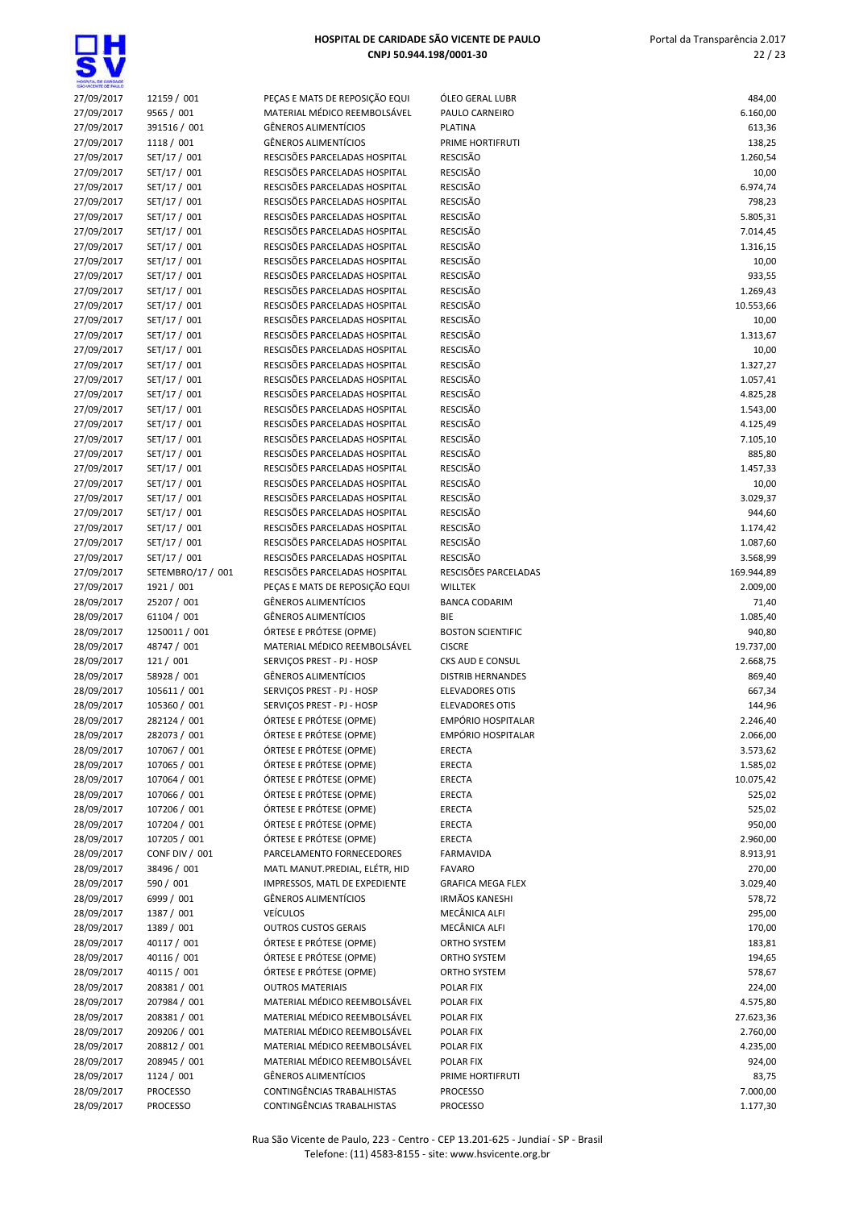